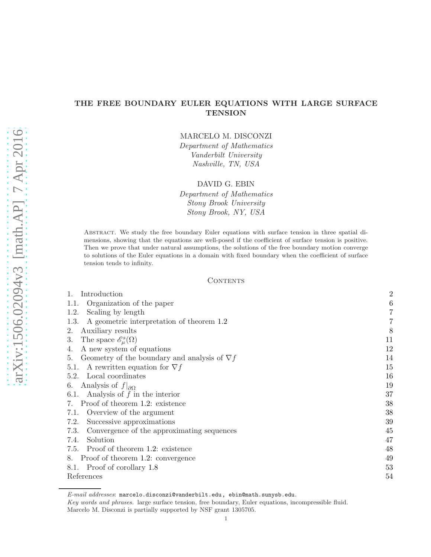## THE FREE BOUNDARY EULER EQUATIONS WITH LARGE SURFACE **TENSION**

MARCELO M. DISCONZI

Department of Mathematics Vanderbilt University Nashville, TN, USA

DAVID G. EBIN

Department of Mathematics Stony Brook University Stony Brook, NY, USA

Abstract. We study the free boundary Euler equations with surface tension in three spatial dimensions, showing that the equations are well-posed if the coefficient of surface tension is positive. Then we prove that under natural assumptions, the solutions of the free boundary motion converge to solutions of the Euler equations in a domain with fixed boundary when the coefficient of surface tension tends to infinity.

## **CONTENTS**

| Introduction                                              | $\overline{2}$   |
|-----------------------------------------------------------|------------------|
| Organization of the paper<br>1.1.                         | $\boldsymbol{6}$ |
| Scaling by length<br>1.2.                                 | 7                |
| A geometric interpretation of theorem 1.2<br>1.3.         | 7                |
| Auxiliary results<br>2.                                   | 8                |
| The space $\mathscr{E}_{\mu}^{s}(\Omega)$<br>3.           | 11               |
| A new system of equations<br>4.                           | 12               |
| Geometry of the boundary and analysis of $\nabla f$<br>5. | 14               |
| A rewritten equation for $\nabla f$<br>5.1.               | 15               |
| Local coordinates<br>5.2.                                 | 16               |
| Analysis of $f _{\partial\Omega}$<br>6.                   | 19               |
| 6.1. Analysis of $f$ in the interior                      | 37               |
| 7. Proof of theorem 1.2: existence                        | 38               |
| Overview of the argument<br>7.1.                          | 38               |
| 7.2.<br>Successive approximations                         | 39               |
| Convergence of the approximating sequences<br>7.3.        | 45               |
| Solution<br>7.4.                                          | 47               |
| 7.5. Proof of theorem 1.2: existence                      | 48               |
| Proof of theorem 1.2: convergence<br>8.                   | 49               |
| 8.1. Proof of corollary 1.8                               | 53               |
| References                                                | 54               |

 $E$ -mail addresses: marcelo.disconzi@vanderbilt.edu, ebin@math.sunysb.edu.

Key words and phrases. large surface tension, free boundary, Euler equations, incompressible fluid.

Marcelo M. Disconzi is partially supported by NSF grant 1305705.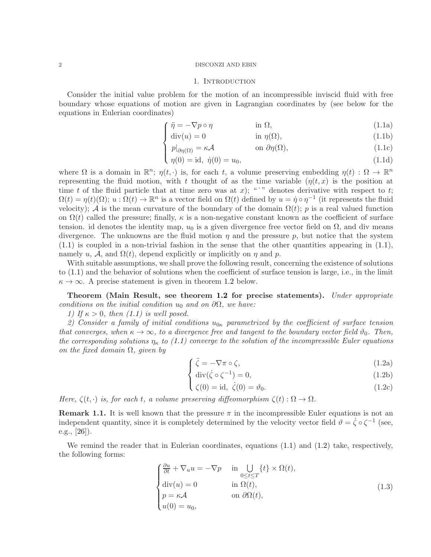## 1. INTRODUCTION

<span id="page-1-0"></span>Consider the initial value problem for the motion of an incompressible inviscid fluid with free boundary whose equations of motion are given in Lagrangian coordinates by (see below for the equations in Eulerian coordinates)

$$
\int \ddot{\eta} = -\nabla p \circ \eta \qquad \text{in } \Omega,
$$
\n(1.1a)  
\ndiv(u) = 0 \qquad \text{in } \eta(\Omega), \qquad (1.1b)

$$
\operatorname{div}(u) = 0 \qquad \qquad \text{in } \eta(\Omega), \tag{1.1b}
$$

$$
\begin{cases}\n p|_{\partial \eta(\Omega)} = \kappa \mathcal{A} & \text{on } \partial \eta(\Omega), \\
 \eta(0) = \text{id}, \ \dot{\eta}(0) = u_0,\n\end{cases}
$$
\n(1.1c)

$$
\eta(0) = id, \ \dot{\eta}(0) = u_0,\tag{1.1d}
$$

<span id="page-1-1"></span>where  $\Omega$  is a domain in  $\mathbb{R}^n$ ;  $\eta(t, \cdot)$  is, for each t, a volume preserving embedding  $\eta(t) : \Omega \to \mathbb{R}^n$ representing the fluid motion, with t thought of as the time variable  $(\eta(t, x))$  is the position at time t of the fluid particle that at time zero was at x); "" denotes derivative with respect to t;  $\Omega(t) = \eta(t)(\Omega); u: \Omega(t) \to \mathbb{R}^n$  is a vector field on  $\Omega(t)$  defined by  $u = \eta \circ \eta^{-1}$  (it represents the fluid velocity); A is the mean curvature of the boundary of the domain  $\Omega(t)$ ; p is a real valued function on  $\Omega(t)$  called the pressure; finally,  $\kappa$  is a non-negative constant known as the coefficient of surface tension. id denotes the identity map,  $u_0$  is a given divergence free vector field on  $\Omega$ , and div means divergence. The unknowns are the fluid motion  $\eta$  and the pressure  $p$ , but notice that the system  $(1.1)$  is coupled in a non-trivial fashion in the sense that the other quantities appearing in  $(1.1)$ , namely u, A, and  $\Omega(t)$ , depend explicitly or implicitly on  $\eta$  and p.

With suitable assumptions, we shall prove the following result, concerning the existence of solutions to [\(1.1\)](#page-1-0) and the behavior of solutions when the coefficient of surface tension is large, i.e., in the limit  $\kappa \to \infty$ . A precise statement is given in theorem [1.2](#page-3-0) below.

Theorem (Main Result, see theorem [1.2](#page-3-0) for precise statements). Under appropriate conditions on the initial condition  $u_0$  and on  $\partial\Omega$ , we have:

1) If  $\kappa > 0$ , then  $(1.1)$  is well posed.

2) Consider a family of initial conditions  $u_{0\kappa}$  parametrized by the coefficient of surface tension that converges, when  $\kappa \to \infty$ , to a divergence free and tangent to the boundary vector field  $\vartheta_0$ . Then, the corresponding solutions  $\eta_{\kappa}$  to [\(1.1\)](#page-1-0) converge to the solution of the incompressible Euler equations on the fixed domain  $\Omega$ , given by

$$
\int \ddot{\zeta} = -\nabla \pi \circ \zeta,\tag{1.2a}
$$

$$
\operatorname{div}(\dot{\zeta} \circ \zeta^{-1}) = 0,\tag{1.2b}
$$

$$
\zeta(0) = id, \dot{\zeta}(0) = \vartheta_0.
$$
\n(1.2c)

Here,  $\zeta(t, \cdot)$  is, for each t, a volume preserving diffeomorphism  $\zeta(t) : \Omega \to \Omega$ .

**Remark 1.1.** It is well known that the pressure  $\pi$  in the incompressible Euler equations is not an independent quantity, since it is completely determined by the velocity vector field  $\vartheta = \dot{\zeta} \circ \zeta^{-1}$  (see, e.g., [\[26\]](#page-53-1)).

We remind the reader that in Eulerian coordinates, equations  $(1.1)$  and  $(1.2)$  take, respectively, the following forms:

$$
\begin{cases}\n\frac{\partial u}{\partial t} + \nabla_u u = -\nabla p & \text{in } \bigcup_{0 \le t \le T} \{t\} \times \Omega(t), \\
\text{div}(u) = 0 & \text{in } \Omega(t), \\
p = \kappa \mathcal{A} & \text{on } \partial\Omega(t), \\
u(0) = u_0,\n\end{cases}
$$
\n(1.3)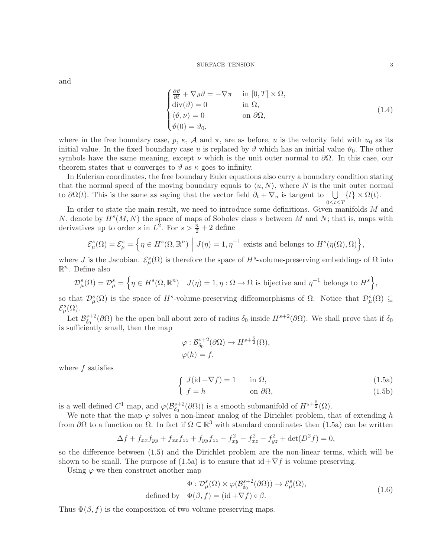and

<span id="page-2-1"></span>
$$
\begin{cases}\n\frac{\partial \vartheta}{\partial t} + \nabla_{\vartheta} \vartheta = -\nabla \pi & \text{in } [0, T] \times \Omega, \\
\text{div}(\vartheta) = 0 & \text{in } \Omega, \\
\langle \vartheta, \nu \rangle = 0 & \text{on } \partial \Omega, \\
\vartheta(0) = \vartheta_0,\n\end{cases}
$$
\n(1.4)

where in the free boundary case,  $p, \kappa, \mathcal{A}$  and  $\pi$ , are as before, u is the velocity field with  $u_0$  as its initial value. In the fixed boundary case u is replaced by  $\vartheta$  which has an initial value  $\vartheta_0$ . The other symbols have the same meaning, except  $\nu$  which is the unit outer normal to  $\partial Ω$ . In this case, our theorem states that u converges to  $\vartheta$  as  $\kappa$  goes to infinity.

In Eulerian coordinates, the free boundary Euler equations also carry a boundary condition stating that the normal speed of the moving boundary equals to  $\langle u, N \rangle$ , where N is the unit outer normal to  $\partial\Omega(t)$ . This is the same as saying that the vector field  $\partial_t + \nabla_u$  is tangent to  $\bigcup_{\alpha\in\Omega}$  $0 \le t \le T$  $\{t\}\times\Omega(t).$ 

In order to state the main result, we need to introduce some definitions. Given manifolds M and N, denote by  $H<sup>s</sup>(M, N)$  the space of maps of Sobolev class s between M and N; that is, maps with derivatives up to order s in  $L^2$ . For  $s > \frac{n}{2} + 2$  define

$$
\mathcal{E}^s_\mu(\Omega) = \mathcal{E}^s_\mu = \left\{ \eta \in H^s(\Omega, \mathbb{R}^n) \middle| J(\eta) = 1, \eta^{-1} \text{ exists and belongs to } H^s(\eta(\Omega), \Omega) \right\},\
$$

where J is the Jacobian.  $\mathcal{E}_{\mu}^{s}(\Omega)$  is therefore the space of  $H^{s}$ -volume-preserving embeddings of  $\Omega$  into  $\mathbb{R}^n$ . Define also

$$
\mathcal{D}_{\mu}^{s}(\Omega) = \mathcal{D}_{\mu}^{s} = \left\{ \eta \in H^{s}(\Omega, \mathbb{R}^{n}) \middle| J(\eta) = 1, \eta : \Omega \to \Omega \text{ is bijective and } \eta^{-1} \text{ belongs to } H^{s} \right\},\
$$

so that  $\mathcal{D}_{\mu}^{s}(\Omega)$  is the space of  $H^{s}$ -volume-preserving diffeomorphisms of  $\Omega$ . Notice that  $\mathcal{D}_{\mu}^{s}(\Omega) \subseteq$  $\mathcal{E}_{\mu}^{s}(\Omega).$ 

Let  $\mathcal{B}_{\delta_0}^{s+2}$  $\delta_0^{s+2}(\partial\Omega)$  be the open ball about zero of radius  $\delta_0$  inside  $H^{s+2}(\partial\Omega)$ . We shall prove that if  $\delta_0$ is sufficiently small, then the map

$$
\varphi: \mathcal{B}_{\delta_0}^{s+2}(\partial\Omega) \to H^{s+\frac{5}{2}}(\Omega),
$$
  

$$
\varphi(h) = f,
$$

<span id="page-2-0"></span>where  $f$  satisfies

$$
\int J(\mathrm{id} + \nabla f) = 1 \qquad \text{in } \Omega,\tag{1.5a}
$$

<span id="page-2-2"></span>
$$
\int f = h \qquad \text{on } \partial \Omega,\tag{1.5b}
$$

is a well defined  $C^1$  map, and  $\varphi(\mathcal{B}_{\delta_0}^{s+2})$  $S_{\delta_0}^{s+2}(\partial\Omega)$  is a smooth submanifold of  $H^{s+\frac{5}{2}}(\Omega)$ .

We note that the map  $\varphi$  solves a non-linear analog of the Dirichlet problem, that of extending h from  $\partial\Omega$  to a function on  $\Omega$ . In fact if  $\Omega \subseteq \mathbb{R}^3$  with standard coordinates then [\(1.5a\)](#page-2-0) can be written

$$
\Delta f + f_{xx}f_{yy} + f_{xx}f_{zz} + f_{yy}f_{zz} - f_{xy}^2 - f_{xz}^2 - f_{yz}^2 + \det(D^2 f) = 0,
$$

so the difference between [\(1.5\)](#page-2-1) and the Dirichlet problem are the non-linear terms, which will be shown to be small. The purpose of [\(1.5a\)](#page-2-0) is to ensure that id  $+\nabla f$  is volume preserving.

Using  $\varphi$  we then construct another map

$$
\Phi: \mathcal{D}_{\mu}^{s}(\Omega) \times \varphi(\mathcal{B}_{\delta_{0}}^{s+2}(\partial \Omega)) \to \mathcal{E}_{\mu}^{s}(\Omega),
$$
  
defined by  $\Phi(\beta, f) = (\text{id} + \nabla f) \circ \beta.$  (1.6)

Thus  $\Phi(\beta, f)$  is the composition of two volume preserving maps.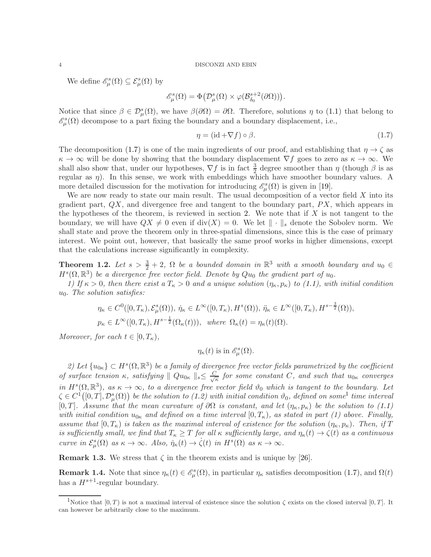We define  $\mathscr{E}_{\mu}^{s}(\Omega) \subseteq \mathcal{E}_{\mu}^{s}(\Omega)$  by

$$
\mathscr{E}^s_{\mu}(\Omega)=\Phi\big(\mathcal{D}^s_{\mu}(\Omega)\times \varphi(\mathcal{B}^{s+2}_{\delta_0}(\partial \Omega))\big).
$$

Notice that since  $\beta \in \mathcal{D}_{\mu}^{s}(\Omega)$ , we have  $\beta(\partial\Omega) = \partial\Omega$ . Therefore, solutions  $\eta$  to [\(1.1\)](#page-1-0) that belong to  $\mathscr{E}_{\mu}^{s}(\Omega)$  decompose to a part fixing the boundary and a boundary displacement, i.e.,

<span id="page-3-1"></span>
$$
\eta = (\text{id} + \nabla f) \circ \beta. \tag{1.7}
$$

The decomposition [\(1.7\)](#page-3-1) is one of the main ingredients of our proof, and establishing that  $\eta \to \zeta$  as  $\kappa \to \infty$  will be done by showing that the boundary displacement  $\nabla f$  goes to zero as  $\kappa \to \infty$ . We shall also show that, under our hypotheses,  $\nabla f$  is in fact  $\frac{3}{2}$  degree smoother than  $\eta$  (though  $\beta$  is as regular as  $\eta$ ). In this sense, we work with embeddings which have smoother boundary values. A more detailed discussion for the motivation for introducing  $\mathscr{E}_{\mu}^{s}(\Omega)$  is given in [\[19\]](#page-53-2).

We are now ready to state our main result. The usual decomposition of a vector field  $X$  into its gradient part,  $QX$ , and divergence free and tangent to the boundary part,  $PX$ , which appears in the hypotheses of the theorem, is reviewed in section [2.](#page-7-0) We note that if  $X$  is not tangent to the boundary, we will have  $QX \neq 0$  even if  $\text{div}(X) = 0$ . We let  $\|\cdot\|_s$  denote the Sobolev norm. We shall state and prove the theorem only in three-spatial dimensions, since this is the case of primary interest. We point out, however, that basically the same proof works in higher dimensions, except that the calculations increase significantly in complexity.

<span id="page-3-0"></span>**Theorem 1.2.** Let  $s > \frac{3}{2} + 2$ ,  $\Omega$  be a bounded domain in  $\mathbb{R}^3$  with a smooth boundary and  $u_0 \in$  $H^{s}(\Omega,\mathbb{R}^{3})$  be a divergence free vector field. Denote by  $Qu_{0}$  the gradient part of  $u_{0}$ .

1) If  $\kappa > 0$ , then there exist a  $T_{\kappa} > 0$  and a unique solution  $(\eta_{\kappa}, p_{\kappa})$  to [\(1.1\)](#page-1-0), with initial condition  $u_0$ . The solution satisfies:

$$
\eta_{\kappa} \in C^{0}([0, T_{\kappa}), \mathcal{E}_{\mu}^{s}(\Omega)), \ \dot{\eta}_{\kappa} \in L^{\infty}([0, T_{\kappa}), H^{s}(\Omega)), \ \ddot{\eta}_{\kappa} \in L^{\infty}([0, T_{\kappa}), H^{s-\frac{3}{2}}(\Omega)),
$$
  

$$
p_{\kappa} \in L^{\infty}([0, T_{\kappa}), H^{s-\frac{1}{2}}(\Omega_{\kappa}(t))), \ \text{where} \ \Omega_{\kappa}(t) = \eta_{\kappa}(t)(\Omega).
$$

Moreover, for each  $t \in [0, T_{\kappa}),$ 

$$
\eta_{\kappa}(t)
$$
 is in  $\mathscr{E}_{\mu}^{s}(\Omega)$ .

2) Let  $\{u_{0\kappa}\}\subset H^s(\Omega,\mathbb{R}^3)$  be a family of divergence free vector fields parametrized by the coefficient of surface tension  $\kappa$ , satisfying  $||Qu_{0\kappa}||_{s} \leq \frac{C}{\sqrt{k}}$  $\frac{d}{d\kappa}$  for some constant C, and such that  $u_{0\kappa}$  converges in  $H^s(\Omega,\mathbb{R}^3)$ , as  $\kappa \to \infty$ , to a divergence free vector field  $\vartheta_0$  which is tangent to the boundary. Let  $\zeta \in C^1([0,T],\mathcal{D}^s_\mu(\Omega))$  $\zeta \in C^1([0,T],\mathcal{D}^s_\mu(\Omega))$  $\zeta \in C^1([0,T],\mathcal{D}^s_\mu(\Omega))$  be the solution to  $(1.2)$  with initial condition  $\vartheta_0$ , defined on some time interval [0, T]. Assume that the mean curvature of  $\partial\Omega$  is constant, and let  $(\eta_{\kappa}, p_{\kappa})$  be the solution to [\(1.1\)](#page-1-0) with initial condition  $u_{0\kappa}$  and defined on a time interval  $[0, T_{\kappa})$ , as stated in part (1) above. Finally, assume that  $[0, T_{\kappa})$  is taken as the maximal interval of existence for the solution  $(\eta_{\kappa}, p_{\kappa})$ . Then, if T is sufficiently small, we find that  $T_{\kappa} \geq T$  for all  $\kappa$  sufficiently large, and  $\eta_{\kappa}(t) \to \zeta(t)$  as a continuous curve in  $\mathcal{E}_{\mu}^{s}(\Omega)$  as  $\kappa \to \infty$ . Also,  $\dot{\eta}_{\kappa}(t) \to \dot{\zeta}(t)$  in  $H^{s}(\Omega)$  as  $\kappa \to \infty$ .

**Remark 1.3.** We stress that  $\zeta$  in the theorem exists and is unique by [\[26\]](#page-53-1).

**Remark 1.4.** Note that since  $\eta_{\kappa}(t) \in \mathcal{E}_{\mu}^{s}(\Omega)$ , in particular  $\eta_{\kappa}$  satisfies decomposition [\(1.7\)](#page-3-1), and  $\Omega(t)$ has a  $H^{s+1}$ -regular boundary.

<span id="page-3-2"></span><sup>&</sup>lt;sup>1</sup>Notice that  $[0, T)$  is not a maximal interval of existence since the solution  $\zeta$  exists on the closed interval  $[0, T]$ . It can however be arbitrarily close to the maximum.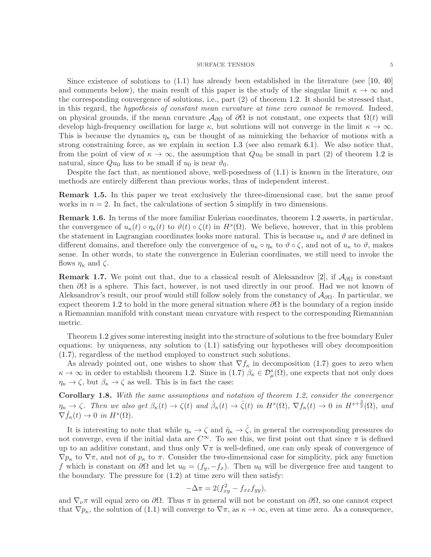Since existence of solutions to  $(1.1)$  has already been established in the literature (see [\[10,](#page-53-3) [40\]](#page-54-0) and comments below), the main result of this paper is the study of the singular limit  $\kappa \to \infty$  and the corresponding convergence of solutions, i.e., part (2) of theorem [1.2.](#page-3-0) It should be stressed that, in this regard, the hypothesis of constant mean curvature at time zero cannot be removed. Indeed, on physical grounds, if the mean curvature  $\mathcal{A}_{\partial\Omega}$  of  $\partial\Omega$  is not constant, one expects that  $\Omega(t)$  will develop high-frequency oscillation for large  $\kappa$ , but solutions will not converge in the limit  $\kappa \to \infty$ . This is because the dynamics  $\eta_{\kappa}$  can be thought of as mimicking the behavior of motions with a strong constraining force, as we explain in section [1.3](#page-6-1) (see also remark  $6.1$ ). We also notice that, from the point of view of  $\kappa \to \infty$ , the assumption that  $Qu_0$  be small in part (2) of theorem [1.2](#page-3-0) is natural, since  $Qu_0$  has to be small if  $u_0$  is near  $\vartheta_0$ .

Despite the fact that, as mentioned above, well-posedness of [\(1.1\)](#page-1-0) is known in the literature, our methods are entirely different than previous works, thus of independent interest.

Remark 1.5. In this paper we treat exclusively the three-dimensional case, but the same proof works in  $n = 2$ . In fact, the calculations of section [5](#page-13-0) simplify in two dimensions.

Remark 1.6. In terms of the more familiar Eulerian coordinates, theorem [1.2](#page-3-0) asserts, in particular, the convergence of  $u_{\kappa}(t) \circ \eta_{\kappa}(t)$  to  $\vartheta(t) \circ \zeta(t)$  in  $H^{s}(\Omega)$ . We believe, however, that in this problem the statement in Lagrangian coordinates looks more natural. This is because  $u_{\kappa}$  and  $\vartheta$  are defined in different domains, and therefore only the convergence of  $u_{\kappa} \circ \eta_{\kappa}$  to  $\vartheta \circ \zeta$ , and not of  $u_{\kappa}$  to  $\vartheta$ , makes sense. In other words, to state the convergence in Eulerian coordinates, we still need to invoke the flows  $\eta_{\kappa}$  and  $\zeta$ .

**Remark 1.7.** We point out that, due to a classical result of Aleksandrov [\[2\]](#page-53-4), if  $\mathcal{A}_{\partial\Omega}$  is constant then  $\partial\Omega$  is a sphere. This fact, however, is not used directly in our proof. Had we not known of Aleksandrov's result, our proof would still follow solely from the constancy of  $\mathcal{A}_{\partial\Omega}$ . In particular, we expect theorem [1.2](#page-3-0) to hold in the more general situation where  $\partial\Omega$  is the boundary of a region inside a Riemannian manifold with constant mean curvature with respect to the corresponding Riemannian metric.

Theorem [1.2](#page-3-0) gives some interesting insight into the structure of solutions to the free boundary Euler equations: by uniqueness, any solution to [\(1.1\)](#page-1-0) satisfying our hypotheses will obey decomposition [\(1.7\)](#page-3-1), regardless of the method employed to construct such solutions.

As already pointed out, one wishes to show that  $\nabla f_{\kappa}$  in decomposition [\(1.7\)](#page-3-1) goes to zero when  $\kappa \to \infty$  in order to establish theorem [1.2.](#page-3-0) Since in [\(1.7\)](#page-3-1)  $\beta_{\kappa} \in \mathcal{D}_{\mu}^{s}(\Omega)$ , one expects that not only does  $\eta_{\kappa} \to \zeta$ , but  $\beta_{\kappa} \to \zeta$  as well. This is in fact the case:

<span id="page-4-0"></span>Corollary 1.8. With the same assumptions and notation of theorem [1.2,](#page-3-0) consider the convergence  $\eta_{\kappa} \to \zeta$ . Then we also get  $\beta_{\kappa}(t) \to \zeta(t)$  and  $\dot{\beta}_{\kappa}(t) \to \dot{\zeta}(t)$  in  $H^s(\Omega)$ ,  $\nabla f_{\kappa}(t) \to 0$  in  $H^{s+\frac{3}{2}}(\Omega)$ , and  $\nabla \dot{f}_{\kappa}(t) \to 0$  in  $H^{s}(\Omega)$ .

It is interesting to note that while  $\eta_{\kappa} \to \zeta$  and  $\dot{\eta}_{\kappa} \to \dot{\zeta}$ , in general the corresponding pressures do not converge, even if the initial data are  $C^{\infty}$ . To see this, we first point out that since  $\pi$  is defined up to an additive constant, and thus only  $\nabla \pi$  is well-defined, one can only speak of convergence of  $\nabla p_{\kappa}$  to  $\nabla \pi$ , and not of  $p_{\kappa}$  to  $\pi$ . Consider the two-dimensional case for simplicity, pick any function f which is constant on  $\partial\Omega$  and let  $u_0 = (f_y, -f_x)$ . Then  $u_0$  will be divergence free and tangent to the boundary. The pressure for  $(1.2)$  at time zero will then satisfy:

$$
-\Delta \pi = 2(f_{xy}^2 - f_{xx}f_{yy}),
$$

and  $\nabla_{\nu}\pi$  will equal zero on  $\partial\Omega$ . Thus  $\pi$  in general will not be constant on  $\partial\Omega$ , so one cannot expect that  $\nabla p_{\kappa}$ , the solution of [\(1.1\)](#page-1-0) will converge to  $\nabla \pi$ , as  $\kappa \to \infty$ , even at time zero. As a consequence,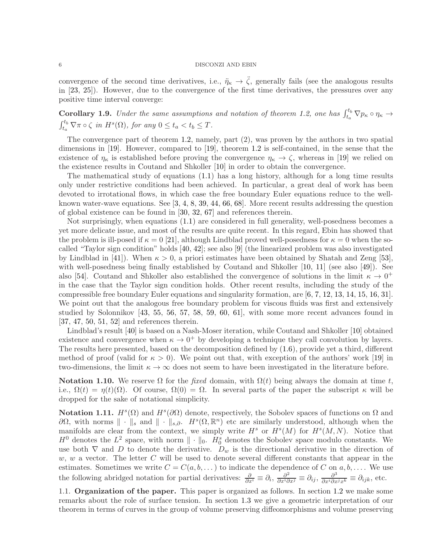convergence of the second time derivatives, i.e.,  $\ddot{\eta}_{\kappa} \to \ddot{\zeta}$ , generally fails (see the analogous results in [\[23,](#page-53-5) [25\]](#page-53-6)). However, due to the convergence of the first time derivatives, the pressures over any positive time interval converge:

**Corollary 1.9.** Under the same assumptions and notation of theorem [1.2,](#page-3-0) one has  $\int_{t_a}^{t_b} \nabla p_{\kappa} \circ \eta_{\kappa} \to$  $\int_{t_a}^{t_b} \nabla \pi \circ \zeta$  in  $H^s(\Omega)$ , for any  $0 \le t_a < t_b \le T$ .

The convergence part of theorem [1.2,](#page-3-0) namely, part (2), was proven by the authors in two spatial dimensions in [\[19\]](#page-53-2). However, compared to [\[19\]](#page-53-2), theorem [1.2](#page-3-0) is self-contained, in the sense that the existence of  $\eta_{\kappa}$  is established before proving the convergence  $\eta_{\kappa} \to \zeta$ , whereas in [\[19\]](#page-53-2) we relied on the existence results in Coutand and Shkoller [\[10\]](#page-53-3) in order to obtain the convergence.

The mathematical study of equations [\(1.1\)](#page-1-0) has a long history, although for a long time results only under restrictive conditions had been achieved. In particular, a great deal of work has been devoted to irrotational flows, in which case the free boundary Euler equations reduce to the wellknown water-wave equations. See [\[3,](#page-53-7) [4,](#page-53-8) [8,](#page-53-9) [39,](#page-54-1) [44,](#page-54-2) [66,](#page-55-0) [68\]](#page-55-1). More recent results addressing the question of global existence can be found in [\[30,](#page-54-3) [32,](#page-54-4) [67\]](#page-55-2) and references therein.

Not surprisingly, when equations [\(1.1\)](#page-1-0) are considered in full generality, well-posedness becomes a yet more delicate issue, and most of the results are quite recent. In this regard, Ebin has showed that the problem is ill-posed if  $\kappa = 0$  [\[21\]](#page-53-10), although Lindblad proved well-posedness for  $\kappa = 0$  when the socalled "Taylor sign condition" holds [\[40,](#page-54-0) [42\]](#page-54-5); see also [\[9\]](#page-53-11) (the linearized problem was also investigated by Lindblad in [\[41\]](#page-54-6)). When  $\kappa > 0$ , a priori estimates have been obtained by Shatah and Zeng [\[53\]](#page-54-7), with well-posedness being finally established by Coutand and Shkoller [\[10,](#page-53-3) [11\]](#page-53-12) (see also [\[49\]](#page-54-8)). See also [\[54\]](#page-54-9). Coutand and Shkoller also established the convergence of solutions in the limit  $\kappa \to 0^+$ in the case that the Taylor sign condition holds. Other recent results, including the study of the compressible free boundary Euler equations and singularity formation, are [\[6,](#page-53-13) [7,](#page-53-14) [12,](#page-53-15) [13,](#page-53-16) [14,](#page-53-17) [15,](#page-53-18) [16,](#page-53-19) [31\]](#page-54-10). We point out that the analogous free boundary problem for viscous fluids was first and extensively studied by Solonnikov [\[43,](#page-54-11) [55,](#page-54-12) [56,](#page-54-13) [57,](#page-54-14) [58,](#page-54-15) [59,](#page-55-3) [60,](#page-55-4) [61\]](#page-55-5), with some more recent advances found in [\[37,](#page-54-16) [47,](#page-54-17) [50,](#page-54-18) [51,](#page-54-19) [52\]](#page-54-20) and references therein.

Lindblad's result [\[40\]](#page-54-0) is based on a Nash-Moser iteration, while Coutand and Shkoller [\[10\]](#page-53-3) obtained existence and convergence when  $\kappa \to 0^+$  by developing a technique they call convolution by layers. The results here presented, based on the decomposition defined by [\(1.6\)](#page-2-2), provide yet a third, different method of proof (valid for  $\kappa > 0$ ). We point out that, with exception of the authors' work [\[19\]](#page-53-2) in two-dimensions, the limit  $\kappa \to \infty$  does not seem to have been investigated in the literature before.

**Notation 1.10.** We reserve Ω for the *fixed* domain, with  $Ω(t)$  being always the domain at time t, i.e.,  $\Omega(t) = \eta(t)(\Omega)$ . Of course,  $\Omega(0) = \Omega$ . In several parts of the paper the subscript  $\kappa$  will be dropped for the sake of notational simplicity.

**Notation 1.11.**  $H^s(\Omega)$  and  $H^s(\partial\Omega)$  denote, respectively, the Sobolev spaces of functions on  $\Omega$  and  $\partial\Omega$ , with norms  $\|\cdot\|_s$  and  $\|\cdot\|_{s,\partial}$ .  $H^s(\Omega,\mathbb{R}^n)$  etc are similarly understood, although when the manifolds are clear from the context, we simply write  $H^s$  or  $H^s(M)$  for  $H^s(M, N)$ . Notice that  $H^0$  denotes the  $L^2$  space, with norm  $\|\cdot\|_0$ .  $H^s_0$  denotes the Sobolev space modulo constants. We use both  $\nabla$  and D to denote the derivative.  $D_w$  is the directional derivative in the direction of w, w a vector. The letter C will be used to denote several different constants that appear in the estimates. Sometimes we write  $C = C(a, b, \dots)$  to indicate the dependence of C on  $a, b, \dots$ . We use the following abridged notation for partial derivatives:  $\frac{\partial}{\partial x^i} \equiv \partial_i$ ,  $\frac{\partial^2}{\partial x^i \partial x^j} \equiv \partial_{ij}$ ,  $\frac{\partial^3}{\partial x^i \partial x^j x^k} \equiv \partial_{ijk}$ , etc.

<span id="page-5-0"></span>1.1. Organization of the paper. This paper is organized as follows. In section [1.2](#page-6-0) we make some remarks about the role of surface tension. In section [1.3](#page-6-1) we give a geometric interpretation of our theorem in terms of curves in the group of volume preserving diffeomorphisms and volume preserving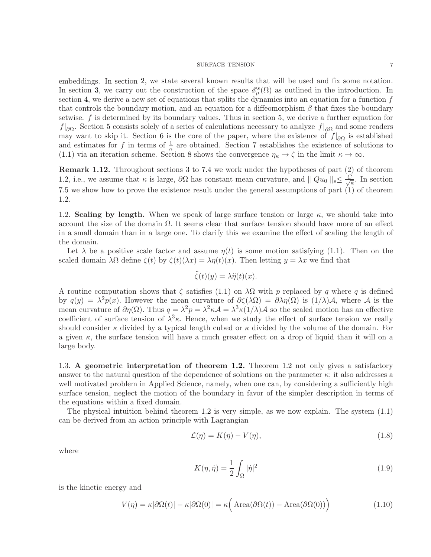embeddings. In section [2,](#page-7-0) we state several known results that will be used and fix some notation. In section [3,](#page-10-0) we carry out the construction of the space  $\mathscr{E}_{\mu}^{s}(\Omega)$  as outlined in the introduction. In section [4,](#page-11-0) we derive a new set of equations that splits the dynamics into an equation for a function  $f$ that controls the boundary motion, and an equation for a diffeomorphism  $\beta$  that fixes the boundary setwise.  $f$  is determined by its boundary values. Thus in section [5,](#page-13-0) we derive a further equation for  $f|_{\partial\Omega}$ . Section [5](#page-13-0) consists solely of a series of calculations necessary to analyze  $f|_{\partial\Omega}$  and some readers may want to skip it. Section [6](#page-18-0) is the core of the paper, where the existence of  $f|_{\partial\Omega}$  is established and estimates for f in terms of  $\frac{1}{\kappa}$  are obtained. Section [7](#page-37-0) establishes the existence of solutions to [\(1.1\)](#page-1-0) via an iteration scheme. Section [8](#page-48-0) shows the convergence  $\eta_{\kappa} \to \zeta$  in the limit  $\kappa \to \infty$ .

<span id="page-6-4"></span>Remark 1.12. Throughout sections [3](#page-10-0) to [7.4](#page-46-0) we work under the hypotheses of part (2) of theorem [1.2,](#page-3-0) i.e., we assume that  $\kappa$  is large,  $\partial\Omega$  has constant mean curvature, and  $||Qu_0||_{s} \leq \frac{C}{\sqrt{l}}$  $\frac{1}{\kappa}$ . In section [7.5](#page-47-0) we show how to prove the existence result under the general assumptions of part (1) of theorem [1.2.](#page-3-0)

<span id="page-6-0"></span>1.2. Scaling by length. When we speak of large surface tension or large  $\kappa$ , we should take into account the size of the domain  $\Omega$ . It seems clear that surface tension should have more of an effect in a small domain than in a large one. To clarify this we examine the effect of scaling the length of the domain.

Let  $\lambda$  be a positive scale factor and assume  $\eta(t)$  is some motion satisfying [\(1.1\)](#page-1-0). Then on the scaled domain  $\lambda \Omega$  define  $\zeta(t)$  by  $\zeta(t)(\lambda x) = \lambda \eta(t)(x)$ . Then letting  $y = \lambda x$  we find that

$$
\ddot{\zeta}(t)(y) = \lambda \ddot{\eta}(t)(x).
$$

A routine computation shows that  $\zeta$  satisfies [\(1.1\)](#page-1-0) on  $\lambda\Omega$  with p replaced by q where q is defined by  $q(y) = \lambda^2 p(x)$ . However the mean curvature of  $\partial \zeta(\lambda \Omega) = \partial \lambda \eta(\Omega)$  is  $(1/\lambda)A$ , where A is the mean curvature of  $\partial \eta(\Omega)$ . Thus  $q = \lambda^2 p = \lambda^2 \kappa A = \lambda^3 \kappa (1/\lambda) A$  so the scaled motion has an effective coefficient of surface tension of  $\lambda^3 \kappa$ . Hence, when we study the effect of surface tension we really should consider  $\kappa$  divided by a typical length cubed or  $\kappa$  divided by the volume of the domain. For a given  $\kappa$ , the surface tension will have a much greater effect on a drop of liquid than it will on a large body.

<span id="page-6-1"></span>1.3. A geometric interpretation of theorem [1.2.](#page-3-0) Theorem [1.2](#page-3-0) not only gives a satisfactory answer to the natural question of the dependence of solutions on the parameter  $\kappa$ ; it also addresses a well motivated problem in Applied Science, namely, when one can, by considering a sufficiently high surface tension, neglect the motion of the boundary in favor of the simpler description in terms of the equations within a fixed domain.

The physical intuition behind theorem [1.2](#page-3-0) is very simple, as we now explain. The system  $(1.1)$ can be derived from an action principle with Lagrangian

$$
\mathcal{L}(\eta) = K(\eta) - V(\eta),\tag{1.8}
$$

where

<span id="page-6-3"></span><span id="page-6-2"></span>
$$
K(\eta, \dot{\eta}) = \frac{1}{2} \int_{\Omega} |\dot{\eta}|^2 \tag{1.9}
$$

is the kinetic energy and

$$
V(\eta) = \kappa |\partial \Omega(t)| - \kappa |\partial \Omega(0)| = \kappa \Big( \text{Area}(\partial \Omega(t)) - \text{Area}(\partial \Omega(0)) \Big)
$$
 (1.10)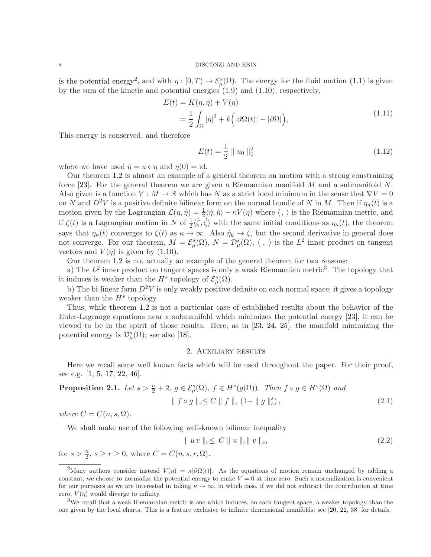is the potential energy<sup>[2](#page-7-1)</sup>, and with  $\eta:[0,T) \to \mathcal{E}_{\mu}^{s}(\Omega)$ . The energy for the fluid motion [\(1.1\)](#page-1-0) is given by the sum of the kinetic and potential energies [\(1.9\)](#page-6-2) and [\(1.10\)](#page-6-3), respectively,

$$
E(t) = K(\eta, \dot{\eta}) + V(\eta)
$$
  
=  $\frac{1}{2} \int_{\Omega} |\dot{\eta}|^2 + k \Big( |\partial \Omega(t)| - |\partial \Omega| \Big),$  (1.11)

This energy is conserved, and therefore

$$
E(t) = \frac{1}{2} \| u_0 \|_0^2
$$
 (1.12)

where we have used  $\dot{\eta} = u \circ \eta$  and  $\eta(0) = id$ .

Our theorem [1.2](#page-3-0) is almost an example of a general theorem on motion with a strong constraining force [\[23\]](#page-53-5). For the general theorem we are given a Riemannian manifold  $M$  and a submanifold  $N$ . Also given is a function  $V : M \to \mathbb{R}$  which has N as a strict local minimum in the sense that  $\nabla V = 0$ on N and  $D^2V$  is a positive definite bilinear form on the normal bundle of N in M. Then if  $\eta_{\kappa}(t)$  is a motion given by the Lagrangian  $\mathcal{L}(\eta, \dot{\eta}) = \frac{1}{2} \langle \dot{\eta}, \dot{\eta} \rangle - \kappa V(\eta)$  where  $\langle , \rangle$  is the Riemannian metric, and if  $\zeta(t)$  is a Lagrangian motion in N of  $\frac{1}{2}\langle \dot{\zeta}, \dot{\zeta} \rangle$  with the same initial conditions as  $\eta_{\kappa}(t)$ , the theorem says that  $\eta_{\kappa}(t)$  converges to  $\zeta(t)$  as  $\kappa \to \infty$ . Also  $\dot{\eta}_k \to \dot{\zeta}$ , but the second derivative in general does not converge. For our theorem,  $M = \mathcal{E}_{\mu}^{s}(\Omega), N = \mathcal{D}_{\mu}^{s}(\Omega), \langle , \rangle$  is the  $L^{2}$  inner product on tangent vectors and  $V(\eta)$  is given by [\(1.10\)](#page-6-3).

Our theorem [1.2](#page-3-0) is not actually an example of the general theorem for two reasons:

a) The  $L^2$  inner product on tangent spaces is only a weak Riemannian metric<sup>[3](#page-7-2)</sup>. The topology that it induces is weaker than the  $H^s$  topology of  $\mathcal{E}_{\mu}^s(\Omega)$ .

b) The bi-linear form  $D^2V$  is only weakly positive definite on each normal space; it gives a topology weaker than the  $H^s$  topology.

Thus, while theorem [1.2](#page-3-0) is not a particular case of established results about the behavior of the Euler-Lagrange equations near a submanifold which minimizes the potential energy [\[23\]](#page-53-5), it can be viewed to be in the spirit of those results. Here, as in [\[23,](#page-53-5) [24,](#page-53-20) [25\]](#page-53-6), the manifold minimizing the potential energy is  $\mathcal{D}_{\mu}^{s}(\Omega)$ ; see also [\[18\]](#page-53-21).

## <span id="page-7-4"></span>2. Auxiliary results

<span id="page-7-0"></span>Here we recall some well known facts which will be used throughout the paper. For their proof, see e.g. [\[1,](#page-53-22) [5,](#page-53-23) [17,](#page-53-24) [22,](#page-53-25) [46\]](#page-54-21).

**Proposition 2.1.** Let 
$$
s > \frac{n}{2} + 2
$$
,  $g \in \mathcal{E}_{\mu}^{s}(\Omega)$ ,  $f \in H^{s}(g(\Omega))$ . Then  $f \circ g \in H^{s}(\Omega)$  and  

$$
\parallel f \circ g \parallel_{s} \leq C \parallel f \parallel_{s} (1 + \parallel g \parallel_{s}^{s}),
$$
(2.1)

where  $C = C(n, s, \Omega)$ .

We shall make use of the following well-known bilinear inequality

<span id="page-7-3"></span>
$$
\| \; u \; v \; \|_r \leq \; C \; \| \; u \; \|_r \| \; v \; \|_s,\tag{2.2}
$$

for  $s > \frac{n}{2}$ ,  $s \ge r \ge 0$ , where  $C = C(n, s, r, \Omega)$ .

<span id="page-7-1"></span><sup>&</sup>lt;sup>2</sup>Many authors consider instead  $V(\eta) = \kappa |\partial \Omega(t)|$ . As the equations of motion remain unchanged by adding a constant, we choose to normalize the potential energy to make  $V = 0$  at time zero. Such a normalization is convenient for our purposes as we are interested in taking  $\kappa \to \infty$ , in which case, if we did not subtract the contribution at time zero,  $V(\eta)$  would diverge to infinity.

<span id="page-7-2"></span><sup>&</sup>lt;sup>3</sup>We recall that a weak Riemannian metric is one which induces, on each tangent space, a weaker topology than the one given by the local charts. This is a feature exclusive to infinite dimensional manifolds; see [\[20,](#page-53-26) [22,](#page-53-25) [38\]](#page-54-22) for details.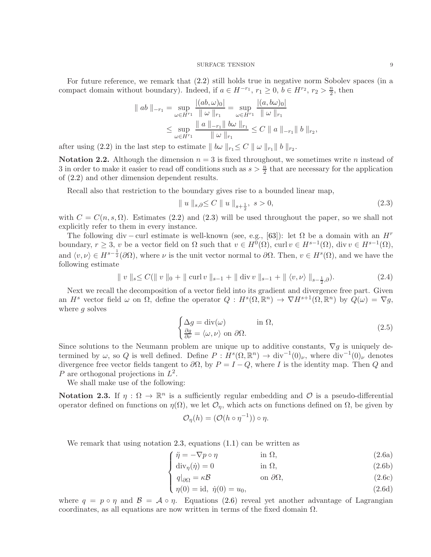For future reference, we remark that [\(2.2\)](#page-7-3) still holds true in negative norm Sobolev spaces (in a compact domain without boundary). Indeed, if  $a \in H^{-r_1}$ ,  $r_1 \ge 0$ ,  $b \in H^{r_2}$ ,  $r_2 > \frac{n}{2}$  $\frac{n}{2}$ , then

$$
\| ab \|_{-r_1} = \sup_{\omega \in H^{r_1}} \frac{|(ab, \omega)_0|}{\| \omega \|_{r_1}} = \sup_{\omega \in H^{r_1}} \frac{|(a, b\omega)_0|}{\| \omega \|_{r_1}}
$$
  

$$
\leq \sup_{\omega \in H^{r_1}} \frac{\| a \|_{-r_1} \| b\omega \|_{r_1}}{\| \omega \|_{r_1}} \leq C \| a \|_{-r_1} \| b \|_{r_2},
$$

after using [\(2.2\)](#page-7-3) in the last step to estimate  $||b\omega||_{r_1} \leq C ||\omega||_{r_1} ||b||_{r_2}$ .

**Notation 2.2.** Although the dimension  $n = 3$  is fixed throughout, we sometimes write n instead of 3 in order to make it easier to read off conditions such as  $s > \frac{n}{2}$  that are necessary for the application of [\(2.2\)](#page-7-3) and other dimension dependent results.

Recall also that restriction to the boundary gives rise to a bounded linear map,

<span id="page-8-0"></span>
$$
\|u\|_{s,\partial} \le C \|u\|_{s+\frac{1}{2}}, \ s > 0,
$$
\n
$$
(2.3)
$$

with  $C = C(n, s, \Omega)$ . Estimates [\(2.2\)](#page-7-3) and [\(2.3\)](#page-8-0) will be used throughout the paper, so we shall not explicitly refer to them in every instance.

The following div – curl estimate is well-known (see, e.g., [\[63\]](#page-55-6)): let  $\Omega$  be a domain with an  $H^r$ boundary,  $r \geq 3$ , v be a vector field on  $\Omega$  such that  $v \in H^0(\Omega)$ , curl  $v \in H^{s-1}(\Omega)$ , div  $v \in H^{s-1}(\Omega)$ , and  $\langle v, v \rangle \in H^{s-\frac{1}{2}}(\partial \Omega)$ , where  $\nu$  is the unit vector normal to  $\partial \Omega$ . Then,  $v \in H^s(\Omega)$ , and we have the following estimate

$$
\| v \|_{s} \leq C(\| v \|_{0} + \| \operatorname{curl} v \|_{s-1} + \| \operatorname{div} v \|_{s-1} + \| \langle v, \nu \rangle \|_{s-\frac{1}{2}, \partial}). \tag{2.4}
$$

Next we recall the decomposition of a vector field into its gradient and divergence free part. Given an  $H^s$  vector field  $\omega$  on  $\Omega$ , define the operator  $Q: H^s(\Omega, \mathbb{R}^n) \to \nabla H^{s+1}(\Omega, \mathbb{R}^n)$  by  $Q(\omega) = \nabla g$ , where  $g$  solves

<span id="page-8-2"></span>
$$
\begin{cases}\n\Delta g = \text{div}(\omega) & \text{in } \Omega, \\
\frac{\partial g}{\partial \nu} = \langle \omega, \nu \rangle \text{ on } \partial \Omega.\n\end{cases}
$$
\n(2.5)

Since solutions to the Neumann problem are unique up to additive constants,  $\nabla g$  is uniquely determined by  $\omega$ , so Q is well defined. Define  $P: H^s(\Omega, \mathbb{R}^n) \to \text{div}^{-1}(0)_{\nu}$ , where  $\text{div}^{-1}(0)_{\nu}$  denotes divergence free vector fields tangent to  $\partial\Omega$ , by  $P = I - Q$ , where I is the identity map. Then Q and P are orthogonal projections in  $L^2$ .

We shall make use of the following:

<span id="page-8-1"></span>Notation 2.3. If  $\eta : \Omega \to \mathbb{R}^n$  is a sufficiently regular embedding and  $\mathcal O$  is a pseudo-differential operator defined on functions on  $\eta(\Omega)$ , we let  $\mathcal{O}_{\eta}$ , which acts on functions defined on  $\Omega$ , be given by

$$
\mathcal{O}_{\eta}(h) = (\mathcal{O}(h \circ \eta^{-1})) \circ \eta.
$$

We remark that using notation [2.3,](#page-8-1) equations [\(1.1\)](#page-1-0) can be written as

$$
\int \ddot{\eta} = -\nabla p \circ \eta \qquad \text{in } \Omega,\tag{2.6a}
$$

$$
\int \operatorname{div}_{\eta}(\dot{\eta}) = 0 \qquad \text{in } \Omega,\tag{2.6b}
$$

$$
q|_{\partial\Omega} = \kappa \mathcal{B} \qquad \text{on } \partial\Omega,\tag{2.6c}
$$

$$
\begin{cases}\nq_{\partial\Omega} - \kappa \mathcal{B} & \text{on } \partial\Omega, \\
\eta(0) = \text{id}, \ \dot{\eta}(0) = u_0,\n\end{cases}
$$
\n(2.6c)

where  $q = p \circ \eta$  and  $\mathcal{B} = \mathcal{A} \circ \eta$ . Equations [\(2.6\)](#page-8-1) reveal yet another advantage of Lagrangian coordinates, as all equations are now written in terms of the fixed domain  $\Omega$ .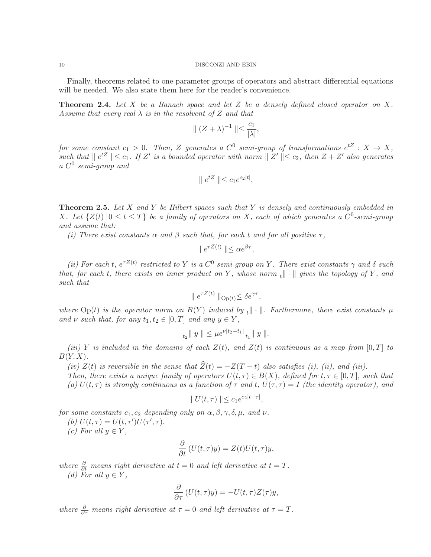Finally, theorems related to one-parameter groups of operators and abstract differential equations will be needed. We also state them here for the reader's convenience.

<span id="page-9-1"></span>**Theorem 2.4.** Let X be a Banach space and let Z be a densely defined closed operator on X. Assume that every real  $\lambda$  is in the resolvent of Z and that

$$
\parallel (Z+\lambda)^{-1}\parallel \leq \frac{c_1}{\vert \lambda \vert},
$$

for some constant  $c_1 > 0$ . Then, Z generates a  $C^0$  semi-group of transformations  $e^{tZ}: X \to X$ , such that  $\parallel e^{tZ} \parallel \leq c_1$ . If Z' is a bounded operator with norm  $\parallel Z' \parallel \leq c_2$ , then  $Z + Z'$  also generates a C 0 semi-group and

$$
\parallel e^{tZ} \parallel \leq c_1 e^{c_2|t|},
$$

<span id="page-9-0"></span>**Theorem 2.5.** Let X and Y be Hilbert spaces such that Y is densely and continuously embedded in X. Let  $\{Z(t) | 0 \le t \le T\}$  be a family of operators on X, each of which generates a  $C^0$ -semi-group and assume that:

(i) There exist constants  $\alpha$  and  $\beta$  such that, for each t and for all positive  $\tau$ ,

$$
\parallel e^{\tau Z(t)} \parallel \leq \alpha e^{\beta \tau},
$$

(ii) For each t,  $e^{\tau Z(t)}$  restricted to Y is a  $C^0$  semi-group on Y. There exist constants  $\gamma$  and  $\delta$  such that, for each t, there exists an inner product on Y, whose norm  $_{t}$  $\|\cdot\|$  gives the topology of Y, and such that

$$
\parallel e^{\tau Z(t)} \parallel_{\text{Op}(t)} \leq \delta e^{\gamma \tau},
$$

where  $\text{Op}(t)$  is the operator norm on  $B(Y)$  induced by  $_t\|\cdot\|$ . Furthermore, there exist constants  $\mu$ and  $\nu$  such that, for any  $t_1, t_2 \in [0, T]$  and any  $y \in Y$ ,

$$
t_2 \| y \| \le \mu e^{\nu |t_2 - t_1|} t_1 \| y \|.
$$

(iii) Y is included in the domains of each  $Z(t)$ , and  $Z(t)$  is continuous as a map from [0, T] to  $B(Y, X)$ .

(iv)  $Z(t)$  is reversible in the sense that  $\widehat{Z}(t) = -Z(T-t)$  also satisfies (i), (ii), and (iii).

Then, there exists a unique family of operators  $U(t, \tau) \in B(X)$ , defined for  $t, \tau \in [0, T]$ , such that (a)  $U(t, \tau)$  is strongly continuous as a function of  $\tau$  and t,  $U(\tau, \tau) = I$  (the identity operator), and

$$
\parallel U(t,\tau) \parallel \leq c_1 e^{c_2|t-\tau|},
$$

for some constants  $c_1, c_2$  depending only on  $\alpha, \beta, \gamma, \delta, \mu$ , and  $\nu$ .

(b)  $U(t, \tau) = U(t, \tau')U(\tau', \tau)$ .

(c) For all  $y \in Y$ ,

$$
\frac{\partial}{\partial t} (U(t,\tau)y) = Z(t)U(t,\tau)y,
$$

where  $\frac{\partial}{\partial t}$  means right derivative at  $t = 0$  and left derivative at  $t = T$ . (d) For all  $y \in Y$ ,

$$
\frac{\partial}{\partial \tau} (U(t,\tau)y) = -U(t,\tau)Z(\tau)y,
$$

where  $\frac{\partial}{\partial \tau}$  means right derivative at  $\tau = 0$  and left derivative at  $\tau = T$ .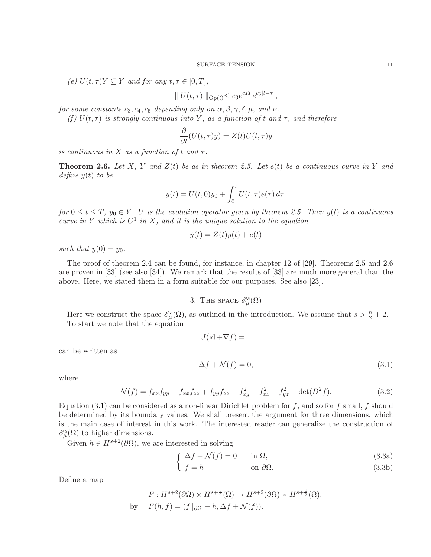(e)  $U(t,\tau)Y \subseteq Y$  and for any  $t, \tau \in [0,T]$ ,

$$
|| U(t,\tau) ||_{\text{Op}(t)} \leq c_3 e^{c_4 T} e^{c_5|t-\tau|},
$$

for some constants  $c_3, c_4, c_5$  depending only on  $\alpha, \beta, \gamma, \delta, \mu$ , and  $\nu$ .

(f)  $U(t, \tau)$  is strongly continuous into Y, as a function of t and  $\tau$ , and therefore

$$
\frac{\partial}{\partial t}(U(t,\tau)y) = Z(t)U(t,\tau)y
$$

is continuous in X as a function of t and  $\tau$ .

<span id="page-10-1"></span>**Theorem 2.6.** Let X, Y and  $Z(t)$  be as in theorem [2.5.](#page-9-0) Let  $e(t)$  be a continuous curve in Y and define  $y(t)$  to be

$$
y(t) = U(t,0)y_0 + \int_0^t U(t,\tau)e(\tau) d\tau,
$$

for  $0 \le t \le T$ ,  $y_0 \in Y$ . U is the evolution operator given by theorem [2.5.](#page-9-0) Then  $y(t)$  is a continuous curve in Y which is  $C^1$  in X, and it is the unique solution to the equation

$$
\dot{y}(t) = Z(t)y(t) + e(t)
$$

such that  $y(0) = y_0$ .

The proof of theorem [2.4](#page-9-1) can be found, for instance, in chapter 12 of [\[29\]](#page-54-23). Theorems [2.5](#page-9-0) and [2.6](#page-10-1) are proven in [\[33\]](#page-54-24) (see also [\[34\]](#page-54-25)). We remark that the results of [\[33\]](#page-54-24) are much more general than the above. Here, we stated them in a form suitable for our purposes. See also [\[23\]](#page-53-5).

3. THE SPACE  $\mathscr{E}_{\mu}^{s}(\Omega)$ 

<span id="page-10-0"></span>Here we construct the space  $\mathscr{E}_{\mu}^{s}(\Omega)$ , as outlined in the introduction. We assume that  $s > \frac{n}{2} + 2$ . To start we note that the equation

<span id="page-10-2"></span> $J(\mathrm{id} + \nabla f) = 1$ 

can be written as

<span id="page-10-3"></span>
$$
\Delta f + \mathcal{N}(f) = 0,\tag{3.1}
$$

where

$$
\mathcal{N}(f) = f_{xx}f_{yy} + f_{xx}f_{zz} + f_{yy}f_{zz} - f_{xy}^2 - f_{xz}^2 - f_{yz}^2 + \det(D^2 f). \tag{3.2}
$$

Equation [\(3.1\)](#page-10-2) can be considered as a non-linear Dirichlet problem for f, and so for f small, f should be determined by its boundary values. We shall present the argument for three dimensions, which is the main case of interest in this work. The interested reader can generalize the construction of  $\mathscr{E}_{\mu}^{s}(\Omega)$  to higher dimensions.

Given  $h \in H^{s+2}(\partial\Omega)$ , we are interested in solving

$$
\begin{cases}\n\Delta f + \mathcal{N}(f) = 0 & \text{in } \Omega, \\
f_{\text{tot}} & \text{in } \Omega.\n\end{cases}
$$
\n(3.3a)

$$
(3.3b)
$$
 on  $\partial\Omega$ .

<span id="page-10-4"></span>Define a map

$$
F: H^{s+2}(\partial\Omega) \times H^{s+\frac{5}{2}}(\Omega) \to H^{s+2}(\partial\Omega) \times H^{s+\frac{1}{2}}(\Omega),
$$
  
by 
$$
F(h, f) = (f|_{\partial\Omega} - h, \Delta f + \mathcal{N}(f)).
$$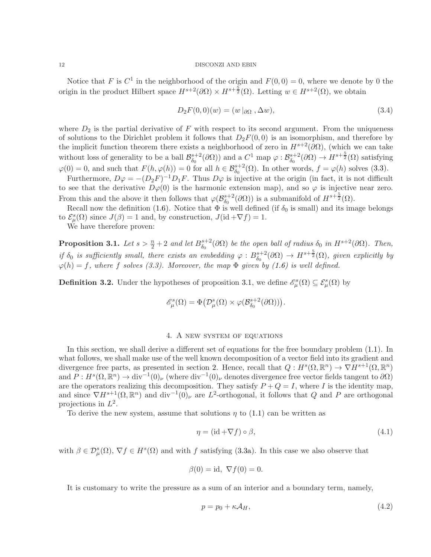Notice that F is  $C^1$  in the neighborhood of the origin and  $F(0,0) = 0$ , where we denote by 0 the origin in the product Hilbert space  $H^{s+2}(\partial\Omega) \times H^{s+\frac{5}{2}}(\Omega)$ . Letting  $w \in H^{s+2}(\Omega)$ , we obtain

<span id="page-11-4"></span>
$$
D_2F(0,0)(w) = (w|_{\partial\Omega}, \Delta w),\tag{3.4}
$$

where  $D_2$  is the partial derivative of F with respect to its second argument. From the uniqueness of solutions to the Dirichlet problem it follows that  $D_2F(0,0)$  is an isomorphism, and therefore by the implicit function theorem there exists a neighborhood of zero in  $H^{s+2}(\partial\Omega)$ , (which we can take without loss of generality to be a ball  $\mathcal{B}_{\delta_{0}}^{s+2}$  $\delta_0^{s+2}(\partial\Omega)$  and a  $C^1$  map  $\varphi: \mathcal{B}_{\delta_0}^{s+2}$  $s_0^{s+2}(\partial\Omega) \to H^{s+\frac{5}{2}}(\Omega)$  satisfying  $\varphi(0) = 0$ , and such that  $F(h, \varphi(h)) = 0$  for all  $h \in \mathcal{B}_{\delta_0}^{s+2}(\Omega)$ . In other words,  $f = \varphi(h)$  solves [\(3.3\)](#page-10-3).

Furthermore,  $D\varphi = -(D_2F)^{-1}D_1F$ . Thus  $D\varphi$  is injective at the origin (in fact, it is not difficult to see that the derivative  $D\varphi(0)$  is the harmonic extension map), and so  $\varphi$  is injective near zero. From this and the above it then follows that  $\varphi(\mathcal{B}_{\delta_0}^{s+2})$  $\delta_{\delta_0}^{s+2}(\partial\Omega)$  is a submanifold of  $H^{s+\frac{5}{2}}(\Omega)$ .

Recall now the definition [\(1.6\)](#page-2-2). Notice that  $\Phi$  is well defined (if  $\delta_0$  is small) and its image belongs to  $\mathcal{E}_{\mu}^{s}(\Omega)$  since  $J(\beta) = 1$  and, by construction,  $J(\mathrm{id} + \nabla f) = 1$ .

We have therefore proven:

<span id="page-11-1"></span>**Proposition 3.1.** Let  $s > \frac{n}{2} + 2$  and let  $B_{\delta_0}^{s+2}$  $\delta_0^{s+2}(\partial\Omega)$  be the open ball of radius  $\delta_0$  in  $H^{s+2}(\partial\Omega)$ . Then, if  $\delta_0$  is sufficiently small, there exists an embedding  $\varphi : B_{\delta_0}^{s+2}$  $\delta_0^{s+2}(\partial\Omega) \to H^{s+\frac{5}{2}}(\Omega)$ , given explicitly by  $\varphi(h) = f$ , where f solves [\(3.3\)](#page-10-3). Moreover, the map  $\Phi$  given by [\(1.6\)](#page-2-2) is well defined.

**Definition 3.2.** Under the hypotheses of proposition [3.1,](#page-11-1) we define  $\mathscr{E}_{\mu}^{s}(\Omega) \subseteq \mathscr{E}_{\mu}^{s}(\Omega)$  by

$$
\mathscr{E}^s_{\mu}(\Omega)=\Phi\big(\mathcal{D}_{\mu}^s(\Omega)\times \varphi(\mathcal{B}_{\delta_0}^{s+2}(\partial \Omega))\big).
$$

## 4. A new system of equations

<span id="page-11-0"></span>In this section, we shall derive a different set of equations for the free boundary problem [\(1.1\)](#page-1-0). In what follows, we shall make use of the well known decomposition of a vector field into its gradient and divergence free parts, as presented in section [2.](#page-7-0) Hence, recall that  $Q: H^s(\Omega, \mathbb{R}^n) \to \nabla H^{s+1}(\Omega, \mathbb{R}^n)$ and  $P: H^s(\Omega, \mathbb{R}^n) \to \text{div}^{-1}(0)_\nu$  (where  $\text{div}^{-1}(0)_\nu$  denotes divergence free vector fields tangent to  $\partial \Omega$ ) are the operators realizing this decomposition. They satisfy  $P + Q = I$ , where I is the identity map, and since  $\nabla H^{s+1}(\Omega,\mathbb{R}^n)$  and div<sup>-1</sup>(0)<sub>v</sub> are L<sup>2</sup>-orthogonal, it follows that Q and P are orthogonal projections in  $L^2$ .

To derive the new system, assume that solutions  $\eta$  to [\(1.1\)](#page-1-0) can be written as

<span id="page-11-2"></span>
$$
\eta = (\text{id} + \nabla f) \circ \beta,\tag{4.1}
$$

with  $\beta \in \mathcal{D}_{\mu}^{s}(\Omega)$ ,  $\nabla f \in H^{s}(\Omega)$  and with f satisfying [\(3.3a\)](#page-10-4). In this case we also observe that

$$
\beta(0) = \mathrm{id}, \ \nabla f(0) = 0.
$$

It is customary to write the pressure as a sum of an interior and a boundary term, namely,

<span id="page-11-3"></span>
$$
p = p_0 + \kappa \mathcal{A}_H,\tag{4.2}
$$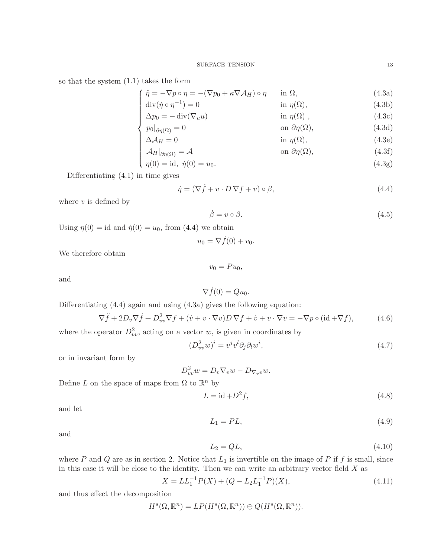<span id="page-12-1"></span>so that the system [\(1.1\)](#page-1-0) takes the form

$$
\begin{cases}\n\ddot{\eta} = -\nabla p \circ \eta = -(\nabla p_0 + \kappa \nabla A_H) \circ \eta & \text{in } \Omega, \\
\text{div}(\dot{\eta} \circ \eta^{-1}) = 0 & \text{in } \eta(\Omega), \\
\Delta p_0 = -\text{div}(\nabla_u u) & \text{in } \eta(\Omega),\n\end{cases}
$$
\n(4.3a)  
\n
$$
\text{in } \eta(\Omega),
$$
\n(4.3c)  
\n
$$
\text{on } \partial p(\Omega)
$$
\n(4.3d)

$$
\Delta p_0 = -\operatorname{div}(\nabla_u u) \qquad \qquad \text{in } \eta(\Omega) , \qquad (4.3c)
$$

$$
p_0|_{\partial \eta(\Omega)} = 0 \qquad \text{on } \partial \eta(\Omega), \tag{4.3d}
$$

$$
\Delta \mathcal{A}_H = 0 \qquad \text{in } \eta(\Omega), \tag{4.3e}
$$

$$
\begin{cases}\n\Delta \mathcal{A}_H = 0 & \text{in } \eta(\Omega), \\
\mathcal{A}_H|_{\partial \eta(\Omega)} = \mathcal{A} & \text{on } \partial \eta(\Omega), \\
\eta(0) = \text{id}, \ \dot{\eta}(0) = u_0.\n\end{cases}
$$
\n(4.3e)  
\n(4.3f)  
\n(4.3g)

$$
\eta(0) = id, \quad \dot{\eta}(0) = u_0. \tag{4.3g}
$$

Differentiating [\(4.1\)](#page-11-2) in time gives

$$
\dot{\eta} = (\nabla \dot{f} + v \cdot D \nabla f + v) \circ \beta,\tag{4.4}
$$

where  $v$  is defined by

<span id="page-12-0"></span>
$$
\dot{\beta} = v \circ \beta. \tag{4.5}
$$

Using  $\eta(0) = id$  and  $\dot{\eta}(0) = u_0$ , from [\(4.4\)](#page-12-0) we obtain

$$
u_0 = \nabla \dot{f}(0) + v_0.
$$

We therefore obtain

<span id="page-12-2"></span>
$$
v_0 = Pu_0,
$$

and

$$
\nabla \dot{f}(0) = Qu_0.
$$

Differentiating [\(4.4\)](#page-12-0) again and using [\(4.3a\)](#page-12-1) gives the following equation:

$$
\nabla \ddot{f} + 2D_v \nabla \dot{f} + D_{vv}^2 \nabla f + (\dot{v} + v \cdot \nabla v) D \nabla f + \dot{v} + v \cdot \nabla v = -\nabla p \circ (\text{id} + \nabla f), \tag{4.6}
$$

where the operator  $D_{vv}^2$ , acting on a vector w, is given in coordinates by

$$
(D_{vv}^2 w)^i = v^j v^l \partial_j \partial_l w^i,\tag{4.7}
$$

or in invariant form by

$$
D_{vv}^2 w = D_v \nabla_v w - D_{\nabla_v v} w.
$$

Define L on the space of maps from  $\Omega$  to  $\mathbb{R}^n$  by

$$
L = id + D^2 f,\tag{4.8}
$$

and let

<span id="page-12-5"></span><span id="page-12-4"></span>
$$
L_1 = PL,\t\t(4.9)
$$

and

<span id="page-12-6"></span><span id="page-12-3"></span>
$$
L_2 = QL,\tag{4.10}
$$

where P and Q are as in section [2.](#page-7-0) Notice that  $L_1$  is invertible on the image of P if f is small, since in this case it will be close to the identity. Then we can write an arbitrary vector field  $X$  as

$$
X = LL_1^{-1}P(X) + (Q - L_2L_1^{-1}P)(X),
$$
\n(4.11)

and thus effect the decomposition

$$
H^s(\Omega, \mathbb{R}^n) = LP(H^s(\Omega, \mathbb{R}^n)) \oplus Q(H^s(\Omega, \mathbb{R}^n)).
$$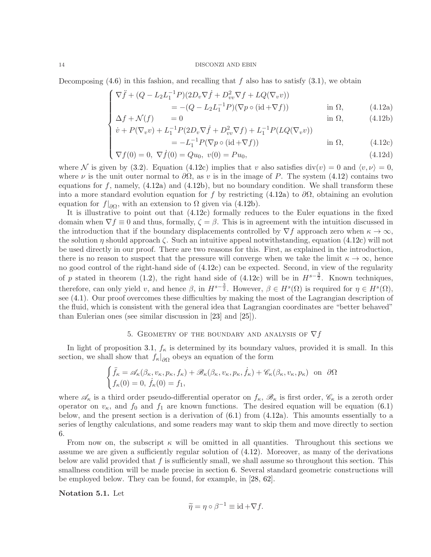<span id="page-13-1"></span>Decomposing  $(4.6)$  in this fashion, and recalling that f also has to satisfy  $(3.1)$ , we obtain

$$
\begin{cases}\n\nabla \ddot{f} + (Q - L_2 L_1^{-1} P)(2D_v \nabla \dot{f} + D_{vv}^2 \nabla f + LQ(\nabla_v v)) \\
= -(Q - L_2 L_1^{-1} P)(\nabla p \circ (\mathrm{id} + \nabla f)) \\
\Delta f + \mathcal{N}(f) = 0\n\end{cases}
$$
\nin  $\Omega$ , (4.12a)  
\nin  $\Omega$ , (4.12b)

$$
\Delta f + \mathcal{N}(f) = 0 \qquad \text{in } \Omega, \qquad (4.12b)
$$

$$
\begin{cases}\n\dot{v} + P(\nabla_v v) + L_1^{-1} P(2D_v \nabla \dot{f} + D_{vv}^2 \nabla f) + L_1^{-1} P(LQ(\nabla_v v)) \\
= -L_1^{-1} P(\nabla p \circ (\text{id} + \nabla f)) \quad \text{in } \Omega, \\
\nabla f(0) = 0, \ \nabla \dot{f}(0) = Qu_0, \ v(0) = Pu_0,\n\end{cases} \tag{4.12c}
$$

$$
\nabla f(0) = 0, \ \nabla \dot{f}(0) = Qu_0, \ v(0) = Pu_0,
$$
\n(4.12d)

where N is given by [\(3.2\)](#page-10-3). Equation [\(4.12c\)](#page-13-1) implies that v also satisfies  $\text{div}(v) = 0$  and  $\langle v, \nu \rangle = 0$ , where  $\nu$  is the unit outer normal to  $\partial\Omega$ , as v is in the image of P. The system [\(4.12\)](#page-12-3) contains two equations for  $f$ , namely,  $(4.12a)$  and  $(4.12b)$ , but no boundary condition. We shall transform these into a more standard evolution equation for f by restricting [\(4.12a\)](#page-13-1) to  $\partial\Omega$ , obtaining an evolution equation for  $f|_{\partial\Omega}$ , with an extension to  $\Omega$  given via [\(4.12b\)](#page-13-1).

It is illustrative to point out that [\(4.12c\)](#page-13-1) formally reduces to the Euler equations in the fixed domain when  $\nabla f \equiv 0$  and thus, formally,  $\zeta = \beta$ . This is in agreement with the intuition discussed in the introduction that if the boundary displacements controlled by  $\nabla f$  approach zero when  $\kappa \to \infty$ , the solution  $\eta$  should approach  $\zeta$ . Such an intuitive appeal notwithstanding, equation [\(4.12c\)](#page-13-1) will not be used directly in our proof. There are two reasons for this. First, as explained in the introduction, there is no reason to suspect that the pressure will converge when we take the limit  $\kappa \to \infty$ , hence no good control of the right-hand side of [\(4.12c\)](#page-13-1) can be expected. Second, in view of the regularity of p stated in theorem [\(1.2\)](#page-3-0), the right hand side of [\(4.12c\)](#page-13-1) will be in  $H^{s-\frac{3}{2}}$ . Known techniques, therefore, can only yield v, and hence  $\beta$ , in  $H^{s-\frac{3}{2}}$ . However,  $\beta \in H^s(\Omega)$  is required for  $\eta \in H^s(\Omega)$ , see [\(4.1\)](#page-11-2). Our proof overcomes these difficulties by making the most of the Lagrangian description of the fluid, which is consistent with the general idea that Lagrangian coordinates are "better behaved" than Eulerian ones (see similar discussion in [\[23\]](#page-53-5) and [\[25\]](#page-53-6)).

## 5. GEOMETRY OF THE BOUNDARY AND ANALYSIS OF  $\nabla f$

<span id="page-13-0"></span>In light of proposition [3.1,](#page-11-1)  $f_{\kappa}$  is determined by its boundary values, provided it is small. In this section, we shall show that  $f_{\kappa}|_{\partial\Omega}$  obeys an equation of the form

$$
\begin{cases} \ddot{f}_{\kappa} = \mathscr{A}_{\kappa}(\beta_{\kappa}, v_{\kappa}, p_{\kappa}, f_{\kappa}) + \mathscr{B}_{\kappa}(\beta_{\kappa}, v_{\kappa}, p_{\kappa}, \dot{f}_{\kappa}) + \mathscr{C}_{\kappa}(\beta_{\kappa}, v_{\kappa}, p_{\kappa}) & \text{on } \partial\Omega \\ f_{\kappa}(0) = 0, \dot{f}_{\kappa}(0) = f_1, \end{cases}
$$

where  $\mathscr{A}_{\kappa}$  is a third order pseudo-differential operator on  $f_{\kappa}$ ,  $\mathscr{B}_{\kappa}$  is first order,  $\mathscr{C}_{\kappa}$  is a zeroth order operator on  $v_{\kappa}$ , and  $f_0$  and  $f_1$  are known functions. The desired equation will be equation [\(6.1\)](#page-19-1) below, and the present section is a derivation of [\(6.1\)](#page-19-1) from [\(4.12a\)](#page-13-1). This amounts essentially to a series of lengthy calculations, and some readers may want to skip them and move directly to section [6.](#page-18-0)

From now on, the subscript  $\kappa$  will be omitted in all quantities. Throughout this sections we assume we are given a sufficiently regular solution of [\(4.12\)](#page-12-3). Moreover, as many of the derivations below are valid provided that  $f$  is sufficiently small, we shall assume so throughout this section. This smallness condition will be made precise in section [6.](#page-18-0) Several standard geometric constructions will be employed below. They can be found, for example, in [\[28,](#page-54-26) [62\]](#page-55-7).

Notation 5.1. Let

$$
\widetilde{\eta} = \eta \circ \beta^{-1} \equiv \mathrm{id} + \nabla f.
$$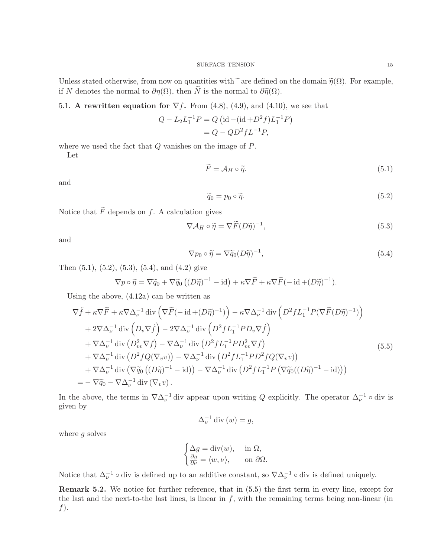Unless stated otherwise, from now on quantities with  $\tilde{a}$  are defined on the domain  $\tilde{\eta}(0)$ . For example, if N denotes the normal to  $\partial \eta(\Omega)$ , then  $\widetilde{N}$  is the normal to  $\partial \widetilde{\eta}(\Omega)$ .

# <span id="page-14-0"></span>5.1. A rewritten equation for  $\nabla f$ . From [\(4.8\)](#page-12-4), [\(4.9\)](#page-12-5), and [\(4.10\)](#page-12-6), we see that

$$
Q - L_2 L_1^{-1} P = Q \left( \operatorname{id} - (\operatorname{id} + D^2 f) L_1^{-1} P \right)
$$
  
=  $Q - Q D^2 f L^{-1} P$ ,

where we used the fact that  $Q$  vanishes on the image of  $P$ .

Let

<span id="page-14-1"></span>
$$
\widetilde{F} = \mathcal{A}_H \circ \widetilde{\eta}.\tag{5.1}
$$

and

<span id="page-14-4"></span><span id="page-14-3"></span><span id="page-14-2"></span>
$$
\widetilde{q}_0 = p_0 \circ \widetilde{\eta}.\tag{5.2}
$$

Notice that  $\widetilde{F}$  depends on f. A calculation gives

$$
\nabla \mathcal{A}_H \circ \widetilde{\eta} = \nabla \widetilde{F}(D\widetilde{\eta})^{-1},\tag{5.3}
$$

and

$$
\nabla p_0 \circ \widetilde{\eta} = \nabla \widetilde{q}_0 (D\widetilde{\eta})^{-1},\tag{5.4}
$$

Then  $(5.1)$ ,  $(5.2)$ ,  $(5.3)$ ,  $(5.4)$ , and  $(4.2)$  give

$$
\nabla p \circ \widetilde{\eta} = \nabla \widetilde{q}_0 + \nabla \widetilde{q}_0 \left( (D\widetilde{\eta})^{-1} - \mathrm{id} \right) + \kappa \nabla \widetilde{F} + \kappa \nabla \widetilde{F} (-\mathrm{id} + (D\widetilde{\eta})^{-1}).
$$

Using the above, [\(4.12a\)](#page-13-1) can be written as

$$
\nabla \ddot{f} + \kappa \nabla \widetilde{F} + \kappa \nabla \Delta_{\nu}^{-1} \operatorname{div} \left( \nabla \widetilde{F}(-\operatorname{id} + (D\widetilde{\eta})^{-1}) \right) - \kappa \nabla \Delta_{\nu}^{-1} \operatorname{div} \left( D^{2} f L_{1}^{-1} P (\nabla \widetilde{F} (D\widetilde{\eta})^{-1}) \right) + 2 \nabla \Delta_{\nu}^{-1} \operatorname{div} \left( D_{v} \nabla \dot{f} \right) - 2 \nabla \Delta_{\nu}^{-1} \operatorname{div} \left( D^{2} f L_{1}^{-1} P D_{v} \nabla \dot{f} \right) + \nabla \Delta_{\nu}^{-1} \operatorname{div} \left( D_{v}^{2} \nabla f \right) - \nabla \Delta_{\nu}^{-1} \operatorname{div} \left( D^{2} f L_{1}^{-1} P D_{v}^{2} \nabla f \right) + \nabla \Delta_{\nu}^{-1} \operatorname{div} \left( D^{2} f Q (\nabla_{v} v) \right) - \nabla \Delta_{\nu}^{-1} \operatorname{div} \left( D^{2} f L_{1}^{-1} P D^{2} f Q (\nabla_{v} v) \right) + \nabla \Delta_{\nu}^{-1} \operatorname{div} \left( \nabla \widetilde{q}_{0} \left( (D\widetilde{\eta})^{-1} - \operatorname{id} \right) \right) - \nabla \Delta_{\nu}^{-1} \operatorname{div} \left( D^{2} f L_{1}^{-1} P \left( \nabla \widetilde{q}_{0} ((D\widetilde{\eta})^{-1} - \operatorname{id} \right) \right) \right) = - \nabla \widetilde{q}_{0} - \nabla \Delta_{\nu}^{-1} \operatorname{div} (\nabla_{v} v).
$$
\n(5.5)

In the above, the terms in  $\nabla \Delta_{\nu}^{-1}$  div appear upon writing Q explicitly. The operator  $\Delta_{\nu}^{-1} \circ$  div is given by

<span id="page-14-5"></span>
$$
\Delta_{\nu}^{-1} \operatorname{div} (w) = g,
$$

where  $q$  solves

$$
\begin{cases} \Delta g = \text{div}(w), & \text{ in } \Omega, \\ \frac{\partial g}{\partial \nu} = \langle w, \nu \rangle, & \text{ on } \partial \Omega. \end{cases}
$$

Notice that  $\Delta_{\nu}^{-1} \circ \text{div}$  is defined up to an additive constant, so  $\nabla \Delta_{\nu}^{-1} \circ \text{div}$  is defined uniquely.

Remark 5.2. We notice for further reference, that in [\(5.5\)](#page-14-5) the first term in every line, except for the last and the next-to-the last lines, is linear in  $f$ , with the remaining terms being non-linear (in  $f$ ).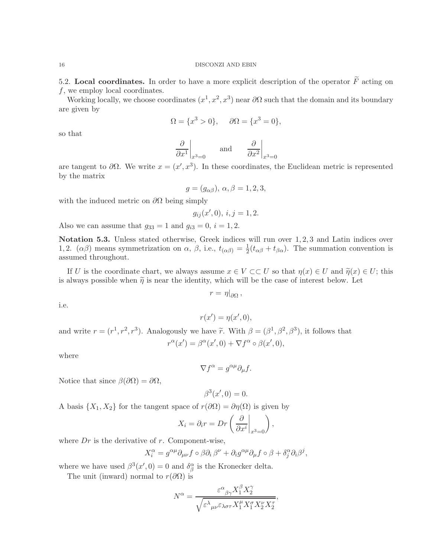5.2. Local coordinates. In order to have a more explicit description of the operator  $\widetilde{F}$  acting on f, we employ local coordinates.

Working locally, we choose coordinates  $(x^1, x^2, x^3)$  near  $\partial\Omega$  such that the domain and its boundary are given by

$$
\Omega = \{x^3 > 0\}, \quad \partial\Omega = \{x^3 = 0\},\
$$

so that

$$
\left.\frac{\partial}{\partial x^1}\right|_{x^3=0}\qquad\text{and}\qquad \left.\frac{\partial}{\partial x^2}\right|_{x^3=0}
$$

are tangent to  $\partial\Omega$ . We write  $x = (x', x^3)$ . In these coordinates, the Euclidean metric is represented by the matrix

$$
g = (g_{\alpha\beta}), \alpha, \beta = 1, 2, 3,
$$

with the induced metric on  $\partial\Omega$  being simply

$$
g_{ij}(x',0), i,j=1,2.
$$

Also we can assume that  $g_{33} = 1$  and  $g_{i3} = 0$ ,  $i = 1, 2$ .

<span id="page-15-1"></span>Notation 5.3. Unless stated otherwise, Greek indices will run over 1,2,3 and Latin indices over 1, 2.  $(\alpha\beta)$  means symmetrization on  $\alpha$ ,  $\beta$ , i.e.,  $t_{(\alpha\beta)} = \frac{1}{2}$  $\frac{1}{2}(t_{\alpha\beta}+t_{\beta\alpha})$ . The summation convention is assumed throughout.

If U is the coordinate chart, we always assume  $x \in V \subset\subset U$  so that  $\eta(x) \in U$  and  $\tilde{\eta}(x) \in U$ ; this is always possible when  $\tilde{\eta}$  is near the identity, which will be the case of interest below. Let

$$
r=\left.\eta\right|_{\partial\Omega},
$$

i.e.

$$
r(x') = \eta(x', 0),
$$

and write  $r = (r^1, r^2, r^3)$ . Analogously we have  $\tilde{r}$ . With  $\beta = (\beta^1, \beta^2, \beta^3)$ , it follows that

$$
r^{\alpha}(x') = \beta^{\alpha}(x', 0) + \nabla f^{\alpha} \circ \beta(x', 0),
$$

where

$$
\nabla f^{\alpha} = g^{\alpha \mu} \partial_{\mu} f.
$$

Notice that since  $\beta(\partial\Omega) = \partial\Omega$ ,

$$
\beta^3(x',0) = 0.
$$

A basis  $\{X_1, X_2\}$  for the tangent space of  $r(\partial\Omega) = \partial\eta(\Omega)$  is given by

$$
X_i = \partial_i r = Dr \left( \left. \frac{\partial}{\partial x^i} \right|_{x^3 = 0} \right),
$$

where  $Dr$  is the derivative of  $r$ . Component-wise,

$$
X_i^{\alpha} = g^{\alpha\mu}\partial_{\mu\nu}f \circ \beta\partial_i \beta^{\nu} + \partial_i g^{\alpha\mu}\partial_{\mu}f \circ \beta + \delta_j^{\alpha}\partial_i \beta^j,
$$

where we have used  $\beta^3(x',0) = 0$  and  $\delta^\alpha_\beta$  is the Kronecker delta.

The unit (inward) normal to  $r(\partial\Omega)$  is

$$
N^{\alpha} = \frac{\varepsilon^{\alpha}{}_{\beta\gamma}X_1^{\beta}X_2^{\gamma}}{\sqrt{\varepsilon^{\lambda}{}_{\mu\nu}\varepsilon_{\lambda\sigma\tau}X_1^{\mu}X_1^{\sigma}X_2^{\nu}X_2^{\tau}}},
$$

<span id="page-15-0"></span>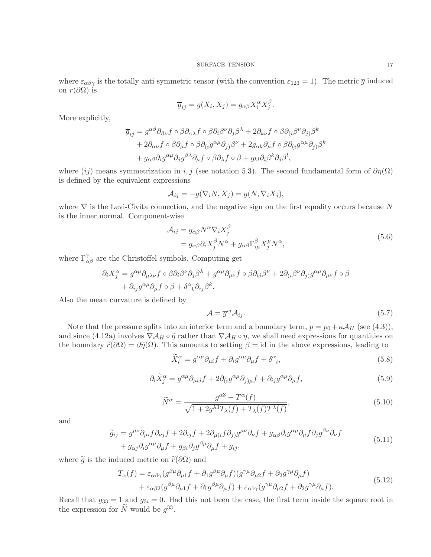where  $\varepsilon_{\alpha\beta\gamma}$  is the totally anti-symmetric tensor (with the convention  $\varepsilon_{123} = 1$ ). The metric  $\overline{g}$  induced on  $r(\partial\Omega)$  is

$$
\overline{g}_{ij} = g(X_i, X_j) = g_{\alpha\beta} X_i^{\alpha} X_j^{\beta}.
$$

More explicitly,

$$
\overline{g}_{ij} = g^{\alpha\beta}\partial_{\beta\nu}f \circ \beta\partial_{\alpha\lambda}f \circ \beta\partial_i\beta^\nu\partial_j\beta^\lambda + 2\partial_{k\nu}f \circ \beta\partial_{(i}\beta^\nu\partial_j)\beta^k + 2\partial_{\alpha\nu}f \circ \beta\partial_\mu f \circ \beta\partial_{(i}g^{\alpha\mu}\partial_j)\beta^\nu + 2g_{\alpha k}\partial_\mu f \circ \beta\partial_{(i}g^{\alpha\mu}\partial_j)\beta^k + g_{\alpha\beta}\partial_i g^{\alpha\mu}\partial_j g^{\beta\lambda}\partial_\mu f \circ \beta\partial_\lambda f \circ \beta + g_{kl}\partial_i\beta^k\partial_j\beta^l,
$$

where (ij) means symmetrization in i, j (see notation [5.3\)](#page-15-1). The second fundamental form of  $\partial \eta(\Omega)$ is defined by the equivalent expressions

$$
\mathcal{A}_{ij} = -g(\nabla_i N, X_j) = g(N, \nabla_i X_j),
$$

where  $\nabla$  is the Levi-Civita connection, and the negative sign on the first equality occurs because N is the inner normal. Component-wise

$$
\mathcal{A}_{ij} = g_{\alpha\beta} N^{\alpha} \nabla_i X_j^{\beta}
$$
  
=  $g_{\alpha\beta} \partial_i X_j^{\beta} N^{\alpha} + g_{\alpha\beta} \Gamma_{i\mu}^{\beta} X_j^{\mu} N^{\alpha}$ , (5.6)

where  $\Gamma^{\gamma}_{\alpha\beta}$  are the Christoffel symbols. Computing get

$$
\partial_i X_j^{\alpha} = g^{\alpha \mu} \partial_{\mu \lambda \nu} f \circ \beta \partial_i \beta^{\nu} \partial_j \beta^{\lambda} + g^{\alpha \mu} \partial_{\mu \nu} f \circ \beta \partial_{ij} \beta^{\nu} + 2 \partial_{(i} \beta^{\nu} \partial_j) g^{\alpha \mu} \partial_{\mu \nu} f \circ \beta + \partial_{ij} g^{\alpha \mu} \partial_{\mu} f \circ \beta + \delta^{\alpha}{}_{k} \partial_{ij} \beta^{k}.
$$

Also the mean curvature is defined by

<span id="page-16-6"></span><span id="page-16-5"></span><span id="page-16-4"></span><span id="page-16-3"></span><span id="page-16-2"></span><span id="page-16-0"></span>
$$
\mathcal{A} = \overline{g}^{ij} \mathcal{A}_{ij}.\tag{5.7}
$$

Note that the pressure splits into an interior term and a boundary term,  $p = p_0 + \kappa A_H$  (see [\(4.3\)](#page-11-3)), and since [\(4.12a\)](#page-13-1) involves  $\nabla A_H \circ \tilde{\eta}$  rather than  $\nabla A_H \circ \eta$ , we shall need expressions for quantities on the boundary  $\tilde{r}(\partial\Omega) = \partial \tilde{\eta}(\Omega)$ . This amounts to setting  $\beta = id$  in the above expressions, leading to

$$
\widetilde{X}_i^{\alpha} = g^{\alpha \mu} \partial_{\mu i} f + \partial_i g^{\alpha \mu} \partial_{\mu} f + \delta^{\alpha}{}_i,\tag{5.8}
$$

$$
\partial_i \widetilde{X}_j^\alpha = g^{\alpha\mu} \partial_{\mu ij} f + 2 \partial_{(i} g^{\alpha\mu} \partial_{j)\mu} f + \partial_{ij} g^{\alpha\mu} \partial_\mu f,\tag{5.9}
$$

<span id="page-16-1"></span>
$$
\widetilde{N}^{\alpha} = \frac{g^{\alpha 3} + T^{\alpha}(f)}{\sqrt{1 + 2g^{\lambda 3}T_{\lambda}(f) + T_{\lambda}(f)T^{\lambda}(f)}},\tag{5.10}
$$

and

$$
\widetilde{g}_{ij} = g^{\mu\nu}\partial_{\mu i}f \partial_{\nu j}f + 2\partial_{ij}f + 2\partial_{\mu (i}f \partial_{j)}g^{\mu\nu}\partial_{\nu}f + g_{\alpha\beta}\partial_{i}g^{\alpha\mu}\partial_{\mu}f \partial_{j}g^{\beta\nu}\partial_{\nu}f \n+ g_{\alpha j}\partial_{i}g^{\alpha\mu}\partial_{\mu}f + g_{\beta i}\partial_{j}g^{\beta\mu}\partial_{\mu}f + g_{ij},
$$
\n(5.11)

where  $\tilde{g}$  is the induced metric on  $\tilde{r}(\partial\Omega)$  and

$$
T_{\alpha}(f) = \varepsilon_{\alpha\beta\gamma}(g^{\beta\mu}\partial_{\mu1}f + \partial_1g^{\beta\mu}\partial_{\mu}f)(g^{\gamma\mu}\partial_{\mu2}f + \partial_2g^{\gamma\mu}\partial_{\mu}f) + \varepsilon_{\alpha\beta 2}(g^{\beta\mu}\partial_{\mu1}f + \partial_1g^{\beta\mu}\partial_{\mu}f) + \varepsilon_{\alpha 1\gamma}(g^{\gamma\mu}\partial_{\mu2}f + \partial_2g^{\gamma\mu}\partial_{\mu}f).
$$
\n(5.12)

Recall that  $g_{33} = 1$  and  $g_{3i} = 0$ . Had this not been the case, the first term inside the square root in the expression for  $\tilde{N}$  would be  $g^{33}$ .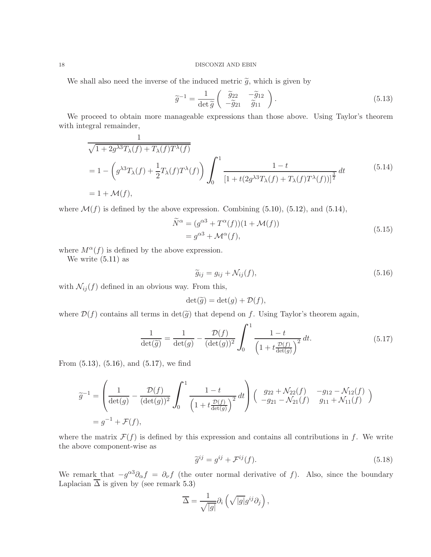We shall also need the inverse of the induced metric  $\tilde{g}$ , which is given by

<span id="page-17-1"></span>
$$
\widetilde{g}^{-1} = \frac{1}{\det \widetilde{g}} \begin{pmatrix} \widetilde{g}_{22} & -\widetilde{g}_{12} \\ -\widetilde{g}_{21} & \widetilde{g}_{11} \end{pmatrix} . \tag{5.13}
$$

We proceed to obtain more manageable expressions than those above. Using Taylor's theorem with integral remainder,

$$
\frac{1}{\sqrt{1+2g^{\lambda 3}T_{\lambda}(f)+T_{\lambda}(f)T^{\lambda}(f)}}
$$
\n
$$
=1-\left(g^{\lambda 3}T_{\lambda}(f)+\frac{1}{2}T_{\lambda}(f)T^{\lambda}(f)\right)\int_{0}^{1}\frac{1-t}{\left[1+t(2g^{\lambda 3}T_{\lambda}(f)+T_{\lambda}(f)T^{\lambda}(f))\right]^{\frac{3}{2}}}dt
$$
\n
$$
=1+\mathcal{M}(f),\tag{5.14}
$$

where  $\mathcal{M}(f)$  is defined by the above expression. Combining [\(5.10\)](#page-16-0), [\(5.12\)](#page-16-1), and [\(5.14\)](#page-17-0),

<span id="page-17-0"></span>
$$
\widetilde{N}^{\alpha} = (g^{\alpha 3} + T^{\alpha}(f))(1 + \mathcal{M}(f))
$$
  
=  $g^{\alpha 3} + \mathcal{M}^{\alpha}(f),$  (5.15)

where  $M^{\alpha}(f)$  is defined by the above expression.

We write  $(5.11)$  as

<span id="page-17-4"></span><span id="page-17-2"></span>
$$
\widetilde{g}_{ij} = g_{ij} + \mathcal{N}_{ij}(f),\tag{5.16}
$$

with  $\mathcal{N}_{ij}(f)$  defined in an obvious way. From this,

<span id="page-17-3"></span>
$$
\det(\widetilde{g}) = \det(g) + \mathcal{D}(f),
$$

where  $\mathcal{D}(f)$  contains all terms in  $\det(\tilde{g})$  that depend on f. Using Taylor's theorem again,

$$
\frac{1}{\det(\widetilde{g})} = \frac{1}{\det(g)} - \frac{\mathcal{D}(f)}{(\det(g))^2} \int_0^1 \frac{1-t}{\left(1 + t \frac{\mathcal{D}(f)}{\det(g)}\right)^2} dt.
$$
\n(5.17)

From [\(5.13\)](#page-17-1), [\(5.16\)](#page-17-2), and [\(5.17\)](#page-17-3), we find

$$
\widetilde{g}^{-1} = \left(\frac{1}{\det(g)} - \frac{\mathcal{D}(f)}{(\det(g))^2} \int_0^1 \frac{1-t}{\left(1 + t\frac{\mathcal{D}(f)}{\det(g)}\right)^2} dt\right) \left(\begin{array}{cc} g_{22} + \mathcal{N}_{22}(f) & -g_{12} - \mathcal{N}_{12}(f) \\ -g_{21} - \mathcal{N}_{21}(f) & g_{11} + \mathcal{N}_{11}(f) \end{array}\right)
$$
  
=  $g^{-1} + \mathcal{F}(f),$ 

where the matrix  $\mathcal{F}(f)$  is defined by this expression and contains all contributions in f. We write the above component-wise as

<span id="page-17-5"></span>
$$
\widetilde{g}^{ij} = g^{ij} + \mathcal{F}^{ij}(f). \tag{5.18}
$$

We remark that  $-g^{\alpha 3}\partial_{\alpha}f = \partial_{\nu}f$  (the outer normal derivative of f). Also, since the boundary Laplacian  $\overline{\Delta}$  is given by (see remark [5.3\)](#page-15-1)

$$
\overline{\Delta} = \frac{1}{\sqrt{|g|}} \partial_i \left( \sqrt{|g|} g^{ij} \partial_j \right),
$$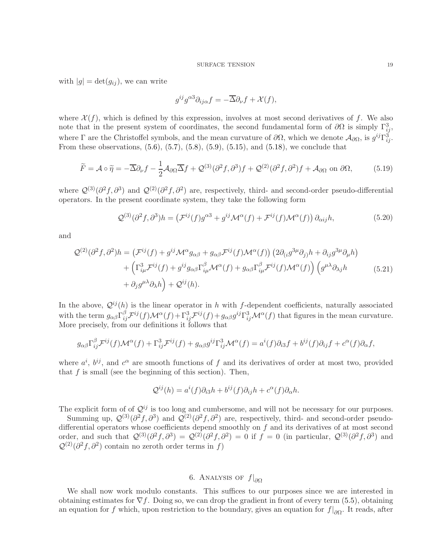with  $|g| = \det(g_{ij}),$  we can write

<span id="page-18-2"></span><span id="page-18-1"></span>
$$
g^{ij}g^{\alpha 3}\partial_{ij\alpha}f = -\overline{\Delta}\partial_{\nu}f + \mathcal{X}(f),
$$

where  $\mathcal{X}(f)$ , which is defined by this expression, involves at most second derivatives of f. We also note that in the present system of coordinates, the second fundamental form of  $\partial\Omega$  is simply  $\Gamma_{ij}^3$ , where  $\Gamma$  are the Christoffel symbols, and the mean curvature of  $\partial\Omega$ , which we denote  $\mathcal{A}_{\partial\Omega}$ , is  $g^{ij}\Gamma_{ij}^3$ . From these observations,  $(5.6)$ ,  $(5.7)$ ,  $(5.8)$ ,  $(5.9)$ ,  $(5.15)$ , and  $(5.18)$ , we conclude that

$$
\widetilde{F} = \mathcal{A} \circ \widetilde{\eta} = -\overline{\Delta} \partial_{\nu} f - \frac{1}{2} \mathcal{A}_{\partial \Omega} \overline{\Delta} f + \mathcal{Q}^{(3)} (\partial^2 f, \partial^3) f + \mathcal{Q}^{(2)} (\partial^2 f, \partial^2) f + \mathcal{A}_{\partial \Omega} \text{ on } \partial \Omega,
$$
\n(5.19)

where  $\mathcal{Q}^{(3)}(\partial^2 f, \partial^3)$  and  $\mathcal{Q}^{(2)}(\partial^2 f, \partial^2)$  are, respectively, third- and second-order pseudo-differential operators. In the present coordinate system, they take the following form

$$
\mathcal{Q}^{(3)}(\partial^2 f, \partial^3)h = \left(\mathcal{F}^{ij}(f)g^{\alpha 3} + g^{ij}\mathcal{M}^{\alpha}(f) + \mathcal{F}^{ij}(f)\mathcal{M}^{\alpha}(f)\right)\partial_{\alpha ij}h,\tag{5.20}
$$

and

$$
\mathcal{Q}^{(2)}(\partial^2 f, \partial^2)h = \left(\mathcal{F}^{ij}(f) + g^{ij}\mathcal{M}^\alpha g_{\alpha\beta} + g_{\alpha\beta}\mathcal{F}^{ij}(f)\mathcal{M}^\alpha(f)\right)\left(2\partial_{(i}g^{3\mu}\partial_j)h + \partial_{ij}g^{3\mu}\partial_\mu h\right) + \left(\Gamma^3_{i\mu}\mathcal{F}^{ij}(f) + g^{ij}g_{\alpha\beta}\Gamma^\beta_{i\mu}\mathcal{M}^\alpha(f) + g_{\alpha\beta}\Gamma^\beta_{i\mu}\mathcal{F}^{ij}(f)\mathcal{M}^\alpha(f)\right)\left(g^{\mu\lambda}\partial_{\lambda j}h\right) + \partial_j g^{\mu\lambda}\partial_\lambda h\right) + \mathcal{Q}^{ij}(h).
$$
\n(5.21)

In the above,  $\mathcal{Q}^{ij}(h)$  is the linear operator in h with f-dependent coefficients, naturally associated with the term  $g_{\alpha\beta}\Gamma_{ij}^{\beta}\mathcal{F}^{ij}(f)\mathcal{M}^{\alpha}(f)+\Gamma_{ij}^{3}\mathcal{F}^{ij}(f)+g_{\alpha\beta}g^{ij}\Gamma_{ij}^{3}\mathcal{M}^{\alpha}(f)$  that figures in the mean curvature. More precisely, from our definitions it follows that

$$
g_{\alpha\beta}\Gamma_{ij}^{\beta}\mathcal{F}^{ij}(f)\mathcal{M}^{\alpha}(f) + \Gamma_{ij}^{3}\mathcal{F}^{ij}(f) + g_{\alpha\beta}g^{ij}\Gamma_{ij}^{3}\mathcal{M}^{\alpha}(f) = a^{i}(f)\partial_{i3}f + b^{ij}(f)\partial_{ij}f + c^{\alpha}(f)\partial_{\alpha}f,
$$

where  $a^i$ ,  $b^{ij}$ , and  $c^{\alpha}$  are smooth functions of f and its derivatives of order at most two, provided that  $f$  is small (see the beginning of this section). Then,

<span id="page-18-3"></span>
$$
\mathcal{Q}^{ij}(h) = a^i(f)\partial_{i3}h + b^{ij}(f)\partial_{ij}h + c^{\alpha}(f)\partial_{\alpha}h.
$$

The explicit form of of  $\mathcal{Q}^{ij}$  is too long and cumbersome, and will not be necessary for our purposes.

Summing up,  $\mathcal{Q}^{(3)}(\partial^2 f, \partial^3)$  and  $\mathcal{Q}^{(2)}(\partial^2 f, \partial^2)$  are, respectively, third- and second-order pseudodifferential operators whose coefficients depend smoothly on  $f$  and its derivatives of at most second order, and such that  $\mathcal{Q}^{(3)}(\partial^2 f, \partial^3) = \mathcal{Q}^{(2)}(\partial^2 f, \partial^2) = 0$  if  $f = 0$  (in particular,  $\mathcal{Q}^{(3)}(\partial^2 f, \partial^3)$  and  $\mathcal{Q}^{(2)}(\partial^2 f, \partial^2)$  contain no zeroth order terms in f)

## 6. ANALYSIS OF  $f|_{\partial\Omega}$

<span id="page-18-0"></span>We shall now work modulo constants. This suffices to our purposes since we are interested in obtaining estimates for  $\nabla f$ . Doing so, we can drop the gradient in front of every term [\(5.5\)](#page-14-5), obtaining an equation for f which, upon restriction to the boundary, gives an equation for  $f|_{\partial\Omega}$ . It reads, after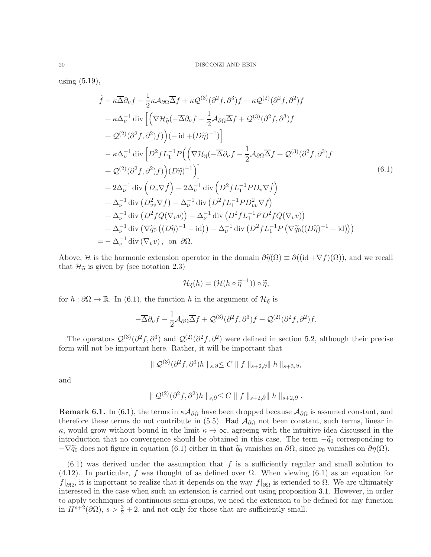using [\(5.19\)](#page-18-1),

$$
\ddot{f} - \kappa \overline{\Delta} \partial_{\nu} f - \frac{1}{2} \kappa \mathcal{A}_{\partial \Omega} \overline{\Delta} f + \kappa \mathcal{Q}^{(3)} (\partial^2 f, \partial^3) f + \kappa \mathcal{Q}^{(2)} (\partial^2 f, \partial^2) f \n+ \kappa \Delta_{\nu}^{-1} \operatorname{div} \left[ \left( \nabla \mathcal{H}_{\eta} (-\overline{\Delta} \partial_{\nu} f - \frac{1}{2} \mathcal{A}_{\partial \Omega} \overline{\Delta} f + \mathcal{Q}^{(3)} (\partial^2 f, \partial^3) f \right) \right. \n+ \mathcal{Q}^{(2)} (\partial^2 f, \partial^2) f) \right) (- \operatorname{id} + (D\tilde{\eta})^{-1}) \Big] \n- \kappa \Delta_{\nu}^{-1} \operatorname{div} \left[ D^2 f L_1^{-1} P \left( \left( \nabla \mathcal{H}_{\tilde{\eta}} (-\overline{\Delta} \partial_{\nu} f - \frac{1}{2} \mathcal{A}_{\partial \Omega} \overline{\Delta} f + \mathcal{Q}^{(3)} (\partial^2 f, \partial^3) f \right) \right. \n+ \mathcal{Q}^{(2)} (\partial^2 f, \partial^2) f) \right) (D\tilde{\eta})^{-1} ) \Big] \n+ 2 \Delta_{\nu}^{-1} \operatorname{div} (D_{\nu} \nabla \dot{f}) - 2 \Delta_{\nu}^{-1} \operatorname{div} (D^2 f L_1^{-1} P D_{\nu} \nabla \dot{f}) \n+ \Delta_{\nu}^{-1} \operatorname{div} (D_{\nu}^2 \nabla f) - \Delta_{\nu}^{-1} \operatorname{div} (D^2 f L_1^{-1} P D_{\nu}^2 \nabla f) \n+ \Delta_{\nu}^{-1} \operatorname{div} (D^2 f Q (\nabla_{\nu} v)) - \Delta_{\nu}^{-1} \operatorname{div} (D^2 f L_1^{-1} P D^2 f Q (\nabla_{\nu} v)) \n+ \Delta_{\nu}^{-1} \operatorname{div} (\nabla \tilde{q}_0 ((D\tilde{\eta})^{-1} - \operatorname{id}) ) - \Delta_{\nu}^{-1} \operatorname{div} (D^2 f L_1^{-1} P (\nabla \tilde
$$

Above, H is the harmonic extension operator in the domain  $\partial \widetilde{\eta}( \Omega) \equiv \partial (id + \nabla f)(\Omega)$ , and we recall that  $\mathcal{H}_{\tilde{\eta}}$  is given by (see notation [2.3\)](#page-8-1)

<span id="page-19-1"></span>
$$
\mathcal{H}_{\widetilde{\eta}}(h)=(\mathcal{H}(h\circ\widetilde{\eta}^{-1}))\circ\widetilde{\eta},
$$

for  $h : \partial\Omega \to \mathbb{R}$ . In [\(6.1\)](#page-19-1), the function h in the argument of  $\mathcal{H}_{\tilde{\eta}}$  is

$$
-\overline{\Delta}\partial_{\nu}f - \frac{1}{2}\mathcal{A}_{\partial\Omega}\overline{\Delta}f + \mathcal{Q}^{(3)}(\partial^2f, \partial^3)f + \mathcal{Q}^{(2)}(\partial^2f, \partial^2)f.
$$

The operators  $\mathcal{Q}^{(3)}(\partial^2 f, \partial^3)$  and  $\mathcal{Q}^{(2)}(\partial^2 f, \partial^2)$  were defined in section [5.2,](#page-15-0) although their precise form will not be important here. Rather, it will be important that

$$
\parallel \mathcal{Q}^{(3)}(\partial^2 f, \partial^3)h \parallel_{s,\partial} \leq C \parallel f \parallel_{s+2,\partial} \parallel h \parallel_{s+3,\partial},
$$

and

$$
\| \mathcal{Q}^{(2)}(\partial^2 f, \partial^2) h \|_{s,\partial} \leq C \| f \|_{s+2,\partial} \| h \|_{s+2,\partial}.
$$

<span id="page-19-0"></span>**Remark 6.1.** In [\(6.1\)](#page-19-1), the terms in  $\kappa \mathcal{A}_{\partial\Omega}$  have been dropped because  $\mathcal{A}_{\partial\Omega}$  is assumed constant, and therefore these terms do not contribute in [\(5.5\)](#page-14-5). Had  $\mathcal{A}_{\partial\Omega}$  not been constant, such terms, linear in κ, would grow without bound in the limit κ → ∞, agreeing with the intuitive idea discussed in the introduction that no convergence should be obtained in this case. The term  $-\tilde{q}_0$  corresponding to  $-\nabla \widetilde{q}_0$  does not figure in equation [\(6.1\)](#page-19-1) either in that  $\widetilde{q}_0$  vanishes on  $\partial \Omega$ , since  $p_0$  vanishes on  $\partial \eta(\Omega)$ .

 $(6.1)$  was derived under the assumption that f is a sufficiently regular and small solution to [\(4.12\)](#page-12-3). In particular, f was thought of as defined over  $\Omega$ . When viewing [\(6.1\)](#page-19-1) as an equation for  $f|_{\partial\Omega}$ , it is important to realize that it depends on the way  $f|_{\partial\Omega}$  is extended to  $\Omega$ . We are ultimately interested in the case when such an extension is carried out using proposition [3.1.](#page-11-1) However, in order to apply techniques of continuous semi-groups, we need the extension to be defined for any function in  $H^{s+2}(\partial\Omega)$ ,  $s > \frac{3}{2} + 2$ , and not only for those that are sufficiently small.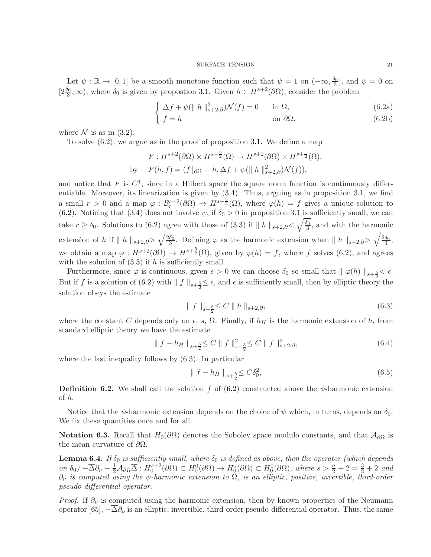Let  $\psi : \mathbb{R} \to [0,1]$  be a smooth monotone function such that  $\psi = 1$  on  $(-\infty, \frac{\delta_0}{3}]$  $\frac{\partial}{\partial 3}$ , and  $\psi = 0$  on  $[2\frac{\delta_0}{3}, \infty)$ , where  $\delta_0$  is given by propostion [3.1.](#page-11-1) Given  $h \in H^{s+2}(\partial\Omega)$ , consider the problem

$$
\begin{cases} \Delta f + \psi(\|h\|_{s+2,\partial}^2) \mathcal{N}(f) = 0 & \text{in } \Omega, \end{cases}
$$
 (6.2a)

$$
\int f = h \qquad \text{on } \partial \Omega. \tag{6.2b}
$$

<span id="page-20-3"></span>where  $\mathcal N$  is as in [\(3.2\)](#page-10-3).

To solve [\(6.2\)](#page-19-0), we argue as in the proof of proposition [3.1.](#page-11-1) We define a map

$$
F: H^{s+2}(\partial \Omega) \times H^{s+\frac{5}{2}}(\Omega) \to H^{s+2}(\partial \Omega) \times H^{s+\frac{1}{2}}(\Omega),
$$
  
by 
$$
F(h, f) = (f|_{\partial \Omega} - h, \Delta f + \psi(\|h\|_{s+2,\partial}^2) \mathcal{N}(f)),
$$

and notice that  $F$  is  $C<sup>1</sup>$ , since in a Hilbert space the square norm function is continuously differentiable. Moreover, its linearization is given by [\(3.4\)](#page-11-4). Thus, arguing as in proposition [3.1,](#page-11-1) we find a small  $r > 0$  and a map  $\varphi : \mathcal{B}_r^{s+2}(\partial \Omega) \to H^{s+\frac{5}{2}}(\Omega)$ , where  $\varphi(h) = f$  gives a unique solution to [\(6.2\)](#page-19-0). Noticing that  $(3.4)$  does not involve  $\psi$ , if  $\delta_0 > 0$  in proposition [3.1](#page-11-1) is sufficiently small, we can take  $r \ge \delta_0$ . Solutions to [\(6.2\)](#page-19-0) agree with those of [\(3.3\)](#page-10-3) if  $||h||_{s+2,\partial} < \sqrt{\frac{\delta_0}{3}}$  $\frac{\partial}{\partial 3}$ , and with the harmonic extension of h if  $|| h ||_{s+2,\partial} > \sqrt{\frac{2\delta_0}{3}}$  $\frac{\delta_0}{3}$ . Defining  $\varphi$  as the harmonic extension when  $|| h ||_{s+2,\partial} > \sqrt{\frac{2\delta_0}{3}}$  $\frac{\delta_0}{3},$ we obtain a map  $\varphi: H^{s+2}(\partial\Omega) \to H^{s+\frac{5}{2}}(\Omega)$ , given by  $\varphi(h) = f$ , where f solves [\(6.2\)](#page-19-0), and agrees with the solution of  $(3.3)$  if h is sufficiently small.

Furthermore, since  $\varphi$  is continuous, given  $\epsilon > 0$  we can choose  $\delta_0$  so small that  $\|\varphi(h)\|_{s+\frac{5}{2}} < \epsilon$ . But if f is a solution of [\(6.2\)](#page-19-0) with  $|| f ||_{s+\frac{5}{2}} \leq \epsilon$ , and  $\epsilon$  is sufficiently small, then by elliptic theory the solution obeys the estimate

<span id="page-20-0"></span>
$$
\| f \|_{s + \frac{5}{2}} \le C \| h \|_{s + 2, \partial}, \tag{6.3}
$$

where the constant C depends only on  $\epsilon$ , s,  $\Omega$ . Finally, if  $h_H$  is the harmonic extension of h, from standard elliptic theory we have the estimate

$$
\| f - h_H \|_{s + \frac{5}{2}} \le C \| f \|_{s + \frac{5}{2}}^2 \le C \| f \|_{s + 2, \partial}^2,
$$
\n(6.4)

where the last inequality follows by [\(6.3\)](#page-20-0). In particular

<span id="page-20-1"></span>
$$
\| f - h_H \|_{s + \frac{5}{2}} \le C \delta_0^2,\tag{6.5}
$$

**Definition 6.2.** We shall call the solution f of  $(6.2)$  constructed above the  $\psi$ -harmonic extension of h.

Notice that the  $\psi$ -harmonic extension depends on the choice of  $\psi$  which, in turns, depends on  $\delta_0$ . We fix these quantities once and for all.

Notation 6.3. Recall that  $H_0(\partial\Omega)$  denotes the Sobolev space modulo constants, and that  $\mathcal{A}_{\partial\Omega}$  is the mean curvature of  $\partial\Omega$ .

<span id="page-20-2"></span>**Lemma 6.4.** If  $\delta_0$  is sufficiently small, where  $\delta_0$  is defined as above, then the operator (which depends  $\lim_{\delta \to 0} \delta_0$   $-\overline{\Delta} \partial_{\nu} - \frac{1}{2} \mathcal{A}_{\partial \Omega} \overline{\Delta} : H_0^{s+2}(\partial \Omega) \subset H_0^0(\partial \Omega) \to H_0^s(\partial \Omega) \subset H_0^0(\partial \Omega)$ , where  $s > \frac{n}{2} + 2 = \frac{3}{2} + 2$  and  $\partial_{\nu}$  is computed using the  $\psi$ -harmonic extension to  $\Omega$ , is an elliptic, positive, invertible, third-order pseudo-differential operator.

*Proof.* If  $\partial_{\nu}$  is computed using the harmonic extension, then by known properties of the Neumann operator [\[65\]](#page-55-8),  $-\overline{\Delta} \partial_{\nu}$  is an elliptic, invertible, third-order pseudo-differential operator. Thus, the same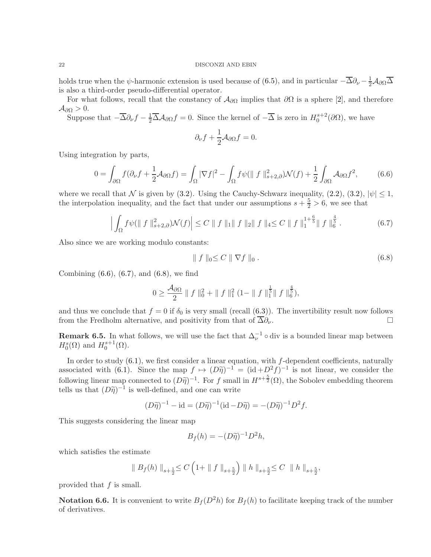holds true when the  $\psi$ -harmonic extension is used because of [\(6.5\)](#page-20-1), and in particular  $-\overline{\Delta}\partial_{\nu} - \frac{1}{2}\mathcal{A}_{\partial\Omega}\overline{\Delta}$ is also a third-order pseudo-differential operator.

For what follows, recall that the constancy of  $\mathcal{A}_{\partial\Omega}$  implies that  $\partial\Omega$  is a sphere [\[2\]](#page-53-4), and therefore  $\mathcal{A}_{\partial\Omega}>0.$ 

Suppose that  $-\overline{\Delta} \partial_{\nu} f - \frac{1}{2} \overline{\Delta} A_{\partial \Omega} f = 0$ . Since the kernel of  $-\overline{\Delta}$  is zero in  $H_0^{s+2}(\partial \Omega)$ , we have

<span id="page-21-0"></span>
$$
\partial_{\nu}f + \frac{1}{2}\mathcal{A}_{\partial\Omega}f = 0.
$$

Using integration by parts,

$$
0 = \int_{\partial\Omega} f(\partial_{\nu} f + \frac{1}{2} \mathcal{A}_{\partial\Omega} f) = \int_{\Omega} |\nabla f|^2 - \int_{\Omega} f\psi(\|f\|_{s+2,\partial}^2) \mathcal{N}(f) + \frac{1}{2} \int_{\partial\Omega} \mathcal{A}_{\partial\Omega} f^2,\tag{6.6}
$$

where we recall that N is given by [\(3.2\)](#page-10-3). Using the Cauchy-Schwarz inequality, [\(2.2\)](#page-7-3), (3.2),  $|\psi| \leq 1$ , the interpolation inequality, and the fact that under our assumptions  $s + \frac{5}{2} > 6$ , we see that

$$
\left| \int_{\Omega} f \psi(\| f \|_{s+2,\partial}^2) \mathcal{N}(f) \right| \le C \| f \|_{1} \| f \|_{2} \| f \|_{4} \le C \| f \|_{1}^{1+\frac{6}{5}} \| f \|_{6}^{\frac{4}{5}}.
$$
 (6.7)

Also since we are working modulo constants:

<span id="page-21-2"></span><span id="page-21-1"></span>
$$
\parallel f \parallel_0 \leq C \parallel \nabla f \parallel_0. \tag{6.8}
$$

Combining  $(6.6)$ ,  $(6.7)$ , and  $(6.8)$ , we find

$$
0 \geq \frac{\mathcal{A}_{\partial\Omega}}{2} \| f \|_{0}^{2} + \| f \|_{1}^{2} (1 - \| f \|_{1}^{\frac{1}{5}} \| f \|_{6}^{\frac{4}{5}}),
$$

and thus we conclude that  $f = 0$  if  $\delta_0$  is very small (recall [\(6.3\)](#page-20-0)). The invertibility result now follows from the Fredholm alternative, and positivity from that of  $\overline{\Delta} \partial_{\nu}$ .

**Remark 6.5.** In what follows, we will use the fact that  $\Delta_{\nu}^{-1} \circ \text{div}$  is a bounded linear map between  $H_0^s(\Omega)$  and  $H_0^{s+1}(\Omega)$ .

In order to study  $(6.1)$ , we first consider a linear equation, with  $f$ -dependent coefficients, naturally associated with [\(6.1\)](#page-19-1). Since the map  $f \mapsto (D\tilde{\eta})^{-1} = (\text{id} + D^2f)^{-1}$  is not linear, we consider the following linear map connected to  $(D\tilde{\eta})^{-1}$ . For f small in  $H^{s+\frac{5}{2}}(\Omega)$ , the Sobolev embedding theorem tells us that  $(D\tilde{\eta})^{-1}$  is well-defined, and one can write

$$
(D\widetilde{\eta})^{-1} - id = (D\widetilde{\eta})^{-1} (id - D\widetilde{\eta}) = -(D\widetilde{\eta})^{-1} D^2 f.
$$

This suggests considering the linear map

$$
B_f(h) = -(D\widetilde{\eta})^{-1}D^2h,
$$

which satisfies the estimate

$$
\parallel B_f(h) \parallel_{s+\frac{1}{2}} \leq C \left(1+\parallel f \parallel_{s+\frac{5}{2}}\right) \parallel h \parallel_{s+\frac{5}{2}} \leq C \parallel h \parallel_{s+\frac{5}{2}},
$$

provided that f is small.

**Notation 6.6.** It is convenient to write  $B_f(D^2h)$  for  $B_f(h)$  to facilitate keeping track of the number of derivatives.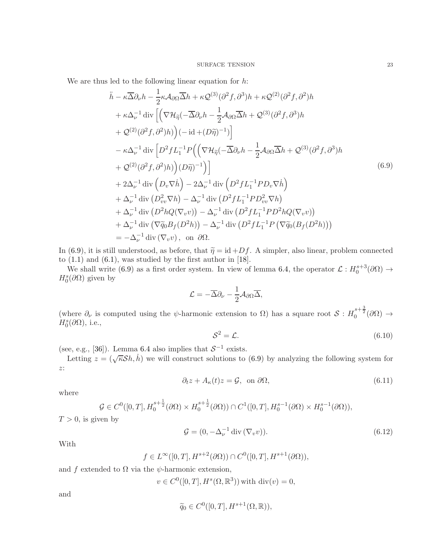We are thus led to the following linear equation for  $h$ :

$$
\ddot{h} - \kappa \overline{\Delta} \partial_{\nu} h - \frac{1}{2} \kappa \mathcal{A}_{\partial \Omega} \overline{\Delta} h + \kappa \mathcal{Q}^{(3)} (\partial^2 f, \partial^3) h + \kappa \mathcal{Q}^{(2)} (\partial^2 f, \partial^2) h \n+ \kappa \Delta_{\nu}^{-1} \operatorname{div} \left[ \left( \nabla \mathcal{H}_{\widetilde{\eta}} (-\overline{\Delta} \partial_{\nu} h - \frac{1}{2} \mathcal{A}_{\partial \Omega} \overline{\Delta} h + \mathcal{Q}^{(3)} (\partial^2 f, \partial^3) h \n+ \mathcal{Q}^{(2)} (\partial^2 f, \partial^2) h \right) (-\operatorname{id} + (D\widetilde{\eta})^{-1}) \right] \n- \kappa \Delta_{\nu}^{-1} \operatorname{div} \left[ D^2 f L_1^{-1} P \left( \left( \nabla \mathcal{H}_{\widetilde{\eta}} (-\overline{\Delta} \partial_{\nu} h - \frac{1}{2} \mathcal{A}_{\partial \Omega} \overline{\Delta} h + \mathcal{Q}^{(3)} (\partial^2 f, \partial^3) h \right) \right. \n+ \mathcal{Q}^{(2)} (\partial^2 f, \partial^2) h) \right) (D\widetilde{\eta})^{-1} \Big) \right] \n+ 2\Delta_{\nu}^{-1} \operatorname{div} \left( D_{\nu} \nabla \dot{h} \right) - 2\Delta_{\nu}^{-1} \operatorname{div} \left( D^2 f L_1^{-1} P D_{\nu} \nabla \dot{h} \right) \n+ \Delta_{\nu}^{-1} \operatorname{div} (D_{\nu}^2 \nabla h) - \Delta_{\nu}^{-1} \operatorname{div} (D^2 f L_1^{-1} P D_{\nu}^2 \nabla h) \n+ \Delta_{\nu}^{-1} \operatorname{div} (D^2 h Q (\nabla_{\nu} v)) - \Delta_{\nu}^{-1} \operatorname{div} (D^2 f L_1^{-1} P D^2 h Q (\nabla_{\nu} v)) \n+ \Delta_{\nu}^{-1} \operatorname{div} (\nabla \widetilde{q}_0 B_f (D^2 h)) - \Delta_{\nu}^{-1} \operatorname{div} (D^2 f L_1^{-1} P (\nabla
$$

In [\(6.9\)](#page-22-0), it is still understood, as before, that  $\tilde{\eta} = id + Df$ . A simpler, also linear, problem connected to  $(1.1)$  and  $(6.1)$ , was studied by the first author in [\[18\]](#page-53-21).

We shall write [\(6.9\)](#page-22-0) as a first order system. In view of lemma [6.4,](#page-20-2) the operator  $\mathcal{L}: H_0^{s+3}(\partial\Omega) \to$  $H_0^s(\partial\Omega)$  given by

<span id="page-22-0"></span>
$$
\mathcal{L} = -\overline{\Delta}\partial_{\nu} - \frac{1}{2}\mathcal{A}_{\partial\Omega}\overline{\Delta},
$$

(where  $\partial_{\nu}$  is computed using the  $\psi$ -harmonic extension to  $\Omega$ ) has a square root  $\mathcal{S}: H_0^{s+\frac{3}{2}}(\partial\Omega) \to$  $H_0^s(\partial\Omega)$ , i.e.,

<span id="page-22-3"></span><span id="page-22-2"></span><span id="page-22-1"></span>
$$
S^2 = \mathcal{L}.\tag{6.10}
$$

(see, e.g., [\[36\]](#page-54-27)). Lemma [6.4](#page-20-2) also implies that  $S^{-1}$  exists.

Letting  $z = (\sqrt{\kappa} \mathcal{S}h, \dot{h})$  we will construct solutions to [\(6.9\)](#page-22-0) by analyzing the following system for z:

$$
\partial_t z + A_\kappa(t) z = \mathcal{G}, \text{ on } \partial\Omega,
$$
\n(6.11)

where

$$
\mathcal{G} \in C^0([0,T],H^{s+\frac{1}{2}}_0(\partial\Omega)\times H^{s+\frac{1}{2}}_0(\partial\Omega))\cap C^1([0,T],H^{s-1}_0(\partial\Omega)\times H^{s-1}_0(\partial\Omega)),
$$

 $T > 0$ , is given by

$$
\mathcal{G} = (0, -\Delta_{\nu}^{-1} \operatorname{div} (\nabla_v v)). \tag{6.12}
$$

With

$$
f \in L^{\infty}([0,T], H^{s+2}(\partial \Omega)) \cap C^0([0,T], H^{s+1}(\partial \Omega)),
$$

and 
$$
f
$$
 extended to  $\Omega$  via the  $\psi$ -harmonic extension,

 $v \in C^{0}([0, T], H^{s}(\Omega, \mathbb{R}^{3}))$  with  $\text{div}(v) = 0$ ,

and

$$
\widetilde{q}_0 \in C^0([0,T], H^{s+1}(\Omega, \mathbb{R})),
$$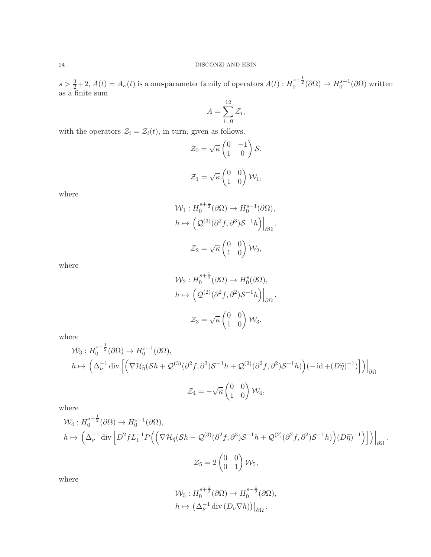$s > \frac{3}{2} + 2$ ,  $A(t) = A_{\kappa}(t)$  is a one-parameter family of operators  $A(t) : H_0^{s + \frac{1}{2}}(\partial \Omega) \to H_0^{s-1}(\partial \Omega)$  written as a finite sum

$$
A = \sum_{i=0}^{12} \mathcal{Z}_i,
$$

with the operators  $\mathcal{Z}_i = \mathcal{Z}_i(t)$ , in turn, given as follows.

$$
\mathcal{Z}_0 = \sqrt{\kappa} \begin{pmatrix} 0 & -1 \\ 1 & 0 \end{pmatrix} \mathcal{S}.
$$

$$
\mathcal{Z}_1 = \sqrt{\kappa} \begin{pmatrix} 0 & 0 \\ 1 & 0 \end{pmatrix} \mathcal{W}_1,
$$

where

$$
\mathcal{W}_1: H_0^{s+\frac{1}{2}}(\partial \Omega) \to H_0^{s-1}(\partial \Omega),
$$
  

$$
h \mapsto \left( \mathcal{Q}^{(3)}(\partial^2 f, \partial^3) \mathcal{S}^{-1} h \right) \Big|_{\partial \Omega}.
$$
  

$$
\mathcal{Z}_2 = \sqrt{\kappa} \begin{pmatrix} 0 & 0 \\ 1 & 0 \end{pmatrix} \mathcal{W}_2,
$$

where

$$
\mathcal{W}_2: H_0^{s+\frac{1}{2}}(\partial \Omega) \to H_0^s(\partial \Omega),
$$
  
\n
$$
h \mapsto \left( \mathcal{Q}^{(2)}(\partial^2 f, \partial^2) \mathcal{S}^{-1} h \right) \Big|_{\partial \Omega}.
$$
  
\n
$$
\mathcal{Z}_3 = \sqrt{\kappa} \begin{pmatrix} 0 & 0 \\ 1 & 0 \end{pmatrix} \mathcal{W}_3,
$$

where

$$
\mathcal{W}_3: H_0^{s+\frac{1}{2}}(\partial\Omega) \to H_0^{s-1}(\partial\Omega),
$$
  
\n
$$
h \mapsto \left(\Delta_{\nu}^{-1} \operatorname{div} \left[ \left( \nabla \mathcal{H}_{\tilde{\eta}} (\mathcal{S}h + \mathcal{Q}^{(3)}(\partial^2 f, \partial^3) \mathcal{S}^{-1} h + \mathcal{Q}^{(2)}(\partial^2 f, \partial^2) \mathcal{S}^{-1} h) \right) (-\operatorname{id} + (D\tilde{\eta})^{-1}) \right] \Big) \Big|_{\partial\Omega}.
$$
  
\n
$$
\mathcal{Z}_4 = -\sqrt{\kappa} \begin{pmatrix} 0 & 0 \\ 1 & 0 \end{pmatrix} \mathcal{W}_4,
$$

where

$$
\mathcal{W}_4: H_0^{s+\frac{1}{2}}(\partial\Omega) \to H_0^{s-1}(\partial\Omega),
$$
  
\n
$$
h \mapsto \left(\Delta_{\nu}^{-1} \operatorname{div} \left[ D^2 f L_1^{-1} P \Big( \Big( \nabla \mathcal{H}_{\tilde{\eta}}(Sh + \mathcal{Q}^{(3)}(\partial^2 f, \partial^3) \mathcal{S}^{-1} h + \mathcal{Q}^{(2)}(\partial^2 f, \partial^2) \mathcal{S}^{-1} h) \Big) (D\tilde{\eta})^{-1} \Big) \right] \Big) \Big|_{\partial\Omega}.
$$
  
\n
$$
\mathcal{Z}_5 = 2 \begin{pmatrix} 0 & 0 \\ 0 & 1 \end{pmatrix} \mathcal{W}_5,
$$

where

$$
\mathcal{W}_5: H_0^{s+\frac{1}{2}}(\partial\Omega) \to H_0^{s-\frac{1}{2}}(\partial\Omega),
$$
  

$$
h \mapsto (\Delta_{\nu}^{-1} \operatorname{div} (D_v \nabla h))|_{\partial\Omega}.
$$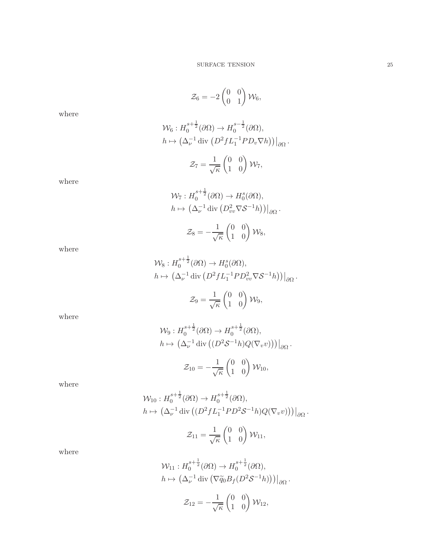$$
\mathcal{Z}_6 = -2 \begin{pmatrix} 0 & 0 \\ 0 & 1 \end{pmatrix} \mathcal{W}_6,
$$

where

$$
\mathcal{W}_6: H_0^{s+\frac{1}{2}}(\partial\Omega) \to H_0^{s-\frac{1}{2}}(\partial\Omega),
$$
  

$$
h \mapsto (\Delta_{\nu}^{-1} \operatorname{div} (D^2 f L_1^{-1} P D_{\nu} \nabla h))|_{\partial\Omega}.
$$

$$
\mathcal{Z}_7 = \frac{1}{\sqrt{\kappa}} \begin{pmatrix} 0 & 0 \\ 1 & 0 \end{pmatrix} \mathcal{W}_7,
$$

where

$$
\mathcal{W}_7: H_0^{s+\frac{1}{2}}(\partial\Omega) \to H_0^s(\partial\Omega),
$$
  

$$
h \mapsto (\Delta_{\nu}^{-1} \operatorname{div} (D_{\nu\nu}^2 \nabla \mathcal{S}^{-1} h))|_{\partial\Omega}.
$$

$$
\mathcal{Z}_8 = -\frac{1}{\sqrt{\kappa}} \begin{pmatrix} 0 & 0 \\ 1 & 0 \end{pmatrix} \mathcal{W}_8,
$$

where

$$
\mathcal{W}_8: H_0^{s+\frac{1}{2}}(\partial \Omega) \to H_0^s(\partial \Omega),
$$
  
\n
$$
h \mapsto \left(\Delta_{\nu}^{-1} \operatorname{div} \left(D^2 f L_1^{-1} P D_{vv}^2 \nabla \mathcal{S}^{-1} h\right)\right)|_{\partial \Omega}.
$$
  
\n
$$
\mathcal{Z}_9 = \frac{1}{\sqrt{\kappa}} \begin{pmatrix} 0 & 0 \\ 1 & 0 \end{pmatrix} \mathcal{W}_9,
$$

where

$$
\mathcal{W}_9: H_0^{s+\frac{1}{2}}(\partial\Omega) \to H_0^{s+\frac{1}{2}}(\partial\Omega),
$$
  

$$
h \mapsto (\Delta_{\nu}^{-1} \operatorname{div} ((D^2 \mathcal{S}^{-1} h) Q(\nabla_v v)))|_{\partial\Omega}.
$$

$$
\mathcal{Z}_{10} = -\frac{1}{\sqrt{\kappa}} \begin{pmatrix} 0 & 0 \\ 1 & 0 \end{pmatrix} \mathcal{W}_{10},
$$

where

$$
\mathcal{W}_{10}: H_0^{s+\frac{1}{2}}(\partial\Omega) \to H_0^{s+\frac{1}{2}}(\partial\Omega),
$$
  

$$
h \mapsto \left(\Delta_{\nu}^{-1} \operatorname{div} \left( (D^2 f L_1^{-1} P D^2 \mathcal{S}^{-1} h) Q(\nabla_v v) \right) \right) |_{\partial\Omega}.
$$

$$
\mathcal{Z}_{11} = \frac{1}{\sqrt{\kappa}} \begin{pmatrix} 0 & 0 \\ 1 & 0 \end{pmatrix} \mathcal{W}_{11},
$$

where

$$
\mathcal{W}_{11}: H_0^{s+\frac{1}{2}}(\partial\Omega) \to H_0^{s+\frac{1}{2}}(\partial\Omega),
$$
  
\n
$$
h \mapsto \left(\Delta_{\nu}^{-1} \operatorname{div} \left(\nabla \widetilde{q}_0 B_f(D^2 \mathcal{S}^{-1} h)\right)\right)|_{\partial\Omega}.
$$
  
\n
$$
\mathcal{Z}_{12} = -\frac{1}{\sqrt{\kappa}} \begin{pmatrix} 0 & 0 \\ 1 & 0 \end{pmatrix} \mathcal{W}_{12},
$$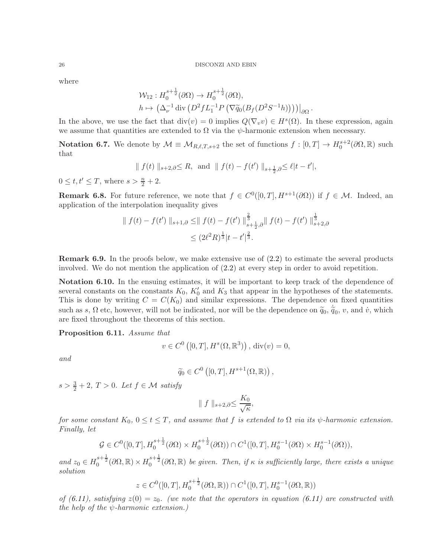where

$$
\mathcal{W}_{12}: H_0^{s+\frac{1}{2}}(\partial\Omega) \to H_0^{s+\frac{1}{2}}(\partial\Omega),
$$
  
\n
$$
h \mapsto (\Delta_{\nu}^{-1} \operatorname{div} (D^2 f L_1^{-1} P (\nabla \widetilde{q}_0 (B_f (D^2 S^{-1} h))))|_{\partial\Omega}.
$$

In the above, we use the fact that  $\text{div}(v) = 0$  implies  $Q(\nabla_v v) \in H^s(\Omega)$ . In these expression, again we assume that quantities are extended to  $\Omega$  via the  $\psi$ -harmonic extension when necessary.

<span id="page-25-3"></span>**Notation 6.7.** We denote by  $\mathcal{M} \equiv \mathcal{M}_{R,\ell,T,s+2}$  the set of functions  $f : [0,T] \to H_0^{s+2}(\partial\Omega,\mathbb{R})$  such that

$$
|| f(t) ||_{s+2,\partial} \leq R
$$
, and  $|| f(t) - f(t') ||_{s+\frac{1}{2},\partial} \leq \ell |t-t'|$ ,

 $0 \leq t, t' \leq T$ , where  $s > \frac{n}{2} + 2$ .

<span id="page-25-0"></span>**Remark 6.8.** For future reference, we note that  $f \in C^0([0,T], H^{s+1}(\partial\Omega))$  if  $f \in \mathcal{M}$ . Indeed, an application of the interpolation inequality gives

$$
\| f(t) - f(t') \|_{s+1, \partial} \le \| f(t) - f(t') \|_{s+\frac{1}{2}, \partial}^{\frac{2}{3}} \| f(t) - f(t') \|_{s+2, \partial}^{\frac{1}{3}}
$$
  

$$
\le (2\ell^2 R)^{\frac{1}{3}} |t - t'|^{\frac{2}{3}}.
$$

**Remark 6.9.** In the proofs below, we make extensive use of  $(2.2)$  to estimate the several products involved. We do not mention the application of [\(2.2\)](#page-7-3) at every step in order to avoid repetition.

<span id="page-25-2"></span>Notation 6.10. In the ensuing estimates, it will be important to keep track of the dependence of several constants on the constants  $K_0$ ,  $K'_0$  and  $K_3$  that appear in the hypotheses of the statements. This is done by writing  $C = C(K_0)$  and similar expressions. The dependence on fixed quantities such as s,  $\Omega$  etc, however, will not be indicated, nor will be the dependence on  $\tilde{q}_0$ ,  $\tilde{q}_0$ , v, and  $\dot{v}$ , which are fixed throughout the theorems of this section.

<span id="page-25-1"></span>Proposition 6.11. Assume that

$$
v \in C^{0} ([0, T], H^{s}(\Omega, \mathbb{R}^{3}))
$$
, div $(v) = 0$ ,

and

$$
\widetilde{q}_0 \in C^0\left([0,T], H^{s+1}(\Omega, \mathbb{R})\right),\,
$$

 $s > \frac{3}{2} + 2$ ,  $T > 0$ . Let  $f \in \mathcal{M}$  satisfy

$$
\parallel f \parallel_{s+2,\partial} \leq \frac{K_0}{\sqrt{\kappa}},
$$

for some constant  $K_0$ ,  $0 \le t \le T$ , and assume that f is extended to  $\Omega$  via its  $\psi$ -harmonic extension. Finally, let

$$
\mathcal{G} \in C^0([0,T], H_0^{s+\frac{1}{2}}(\partial \Omega) \times H_0^{s+\frac{1}{2}}(\partial \Omega)) \cap C^1([0,T], H_0^{s-1}(\partial \Omega) \times H_0^{s-1}(\partial \Omega)),
$$

and  $z_0 \in H_0^{s+\frac{1}{2}}(\partial\Omega,\mathbb{R}) \times H_0^{s+\frac{1}{2}}(\partial\Omega,\mathbb{R})$  be given. Then, if  $\kappa$  is sufficiently large, there exists a unique solution

$$
z \in C^0([0,T], H_0^{s + \frac{1}{2}}(\partial \Omega, \mathbb{R})) \cap C^1([0,T], H_0^{s-1}(\partial \Omega, \mathbb{R}))
$$

of [\(6.11\)](#page-22-1), satisfying  $z(0) = z_0$ . (we note that the operators in equation (6.11) are constructed with the help of the  $\psi$ -harmonic extension.)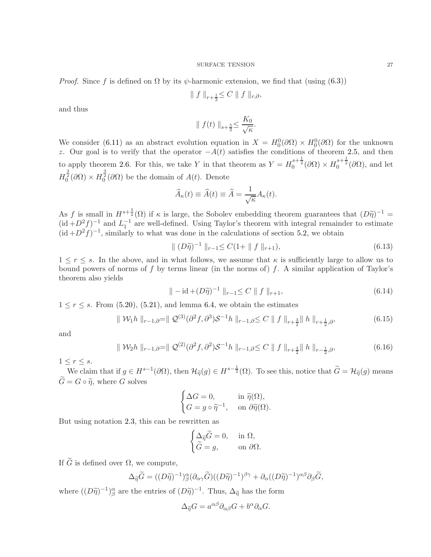*Proof.* Since f is defined on  $\Omega$  by its  $\psi$ -harmonic extension, we find that (using [\(6.3\)](#page-20-0))

$$
\| f \|_{r + \frac{1}{2}} \leq C \| f \|_{r, \partial},
$$

and thus

$$
\| f(t) \|_{s + \frac{5}{2}} \le \frac{K_0}{\sqrt{\kappa}}
$$

<span id="page-26-3"></span><span id="page-26-0"></span>.

We consider [\(6.11\)](#page-22-1) as an abstract evolution equation in  $X = H_0^0(\partial\Omega) \times H_0^0(\partial\Omega)$  for the unknown z. Our goal is to verify that the operator  $-\hat{A(t)}$  satisfies the conditions of theorem [2.5,](#page-9-0) and then to apply theorem [2.6.](#page-10-1) For this, we take Y in that theorem as  $Y = H_0^{s + \frac{1}{2}}(\partial \Omega) \times H_0^{s + \frac{1}{2}}(\partial \Omega)$ , and let  $H_0^{\frac{3}{2}}(\partial\Omega) \times H_0^{\frac{3}{2}}(\partial\Omega)$  be the domain of  $A(t)$ . Denote

$$
\widehat{A}_{\kappa}(t) \equiv \widehat{A}(t) \equiv \widehat{A} = \frac{1}{\sqrt{\kappa}} A_{\kappa}(t).
$$

As f is small in  $H^{s+\frac{5}{2}}(\Omega)$  if  $\kappa$  is large, the Sobolev embedding theorem guarantees that  $(D\tilde{\eta})^{-1} =$  $(\mathrm{id} + D_{\alpha}^2 f)^{-1}$  and  $L_1^{-1}$  are well-defined. Using Taylor's theorem with integral remainder to estimate  $(id + D^2f)^{-1}$ , similarly to what was done in the calculations of section [5.2,](#page-15-0) we obtain

$$
\| (D\tilde{\eta})^{-1} \|_{r-1} \le C(1 + \| f \|_{r+1}), \tag{6.13}
$$

 $1 \leq r \leq s$ . In the above, and in what follows, we assume that  $\kappa$  is sufficiently large to allow us to bound powers of norms of  $f$  by terms linear (in the norms of)  $f$ . A similar application of Taylor's theorem also yields

<span id="page-26-1"></span>
$$
\| - \mathrm{id} + (D\widetilde{\eta})^{-1} \|_{r-1} \le C \| f \|_{r+1}, \tag{6.14}
$$

 $1 \leq r \leq s$ . From  $(5.20), (5.21),$  $(5.20), (5.21),$  $(5.20), (5.21),$  and lemma [6.4,](#page-20-2) we obtain the estimates

$$
\| W_1 h \|_{r-1,\partial} = \| Q^{(3)}(\partial^2 f, \partial^3) S^{-1} h \|_{r-1,\partial} \le C \| f \|_{r+\frac{3}{2}} \| h \|_{r+\frac{1}{2},\partial},
$$
\n(6.15)

and

$$
\| \mathcal{W}_2 h \|_{r-1,\partial} = \| \mathcal{Q}^{(2)}(\partial^2 f, \partial^2) \mathcal{S}^{-1} h \|_{r-1,\partial} \le C \| f \|_{r+\frac{3}{2}} \| h \|_{r-\frac{1}{2},\partial}, \tag{6.16}
$$

 $1 \leq r \leq s.$ 

We claim that if  $g \in H^{s-1}(\partial\Omega)$ , then  $\mathcal{H}_{\tilde{\eta}}(g) \in H^{s-\frac{1}{2}}(\Omega)$ . To see this, notice that  $\tilde{G} = \mathcal{H}_{\tilde{\eta}}(g)$  means  $\widetilde{G} = G \circ \widetilde{\eta}$ , where G solves

<span id="page-26-2"></span>
$$
\begin{cases} \Delta G=0, &\text{in }\widetilde{\eta}(\Omega),\\ G=g\circ\widetilde{\eta}^{-1}, &\text{on }\partial\widetilde{\eta}(\Omega). \end{cases}
$$

But using notation [2.3,](#page-8-1) this can be rewritten as

$$
\begin{cases} \Delta_{\widetilde{\eta}}\widetilde{G}=0,& \text{in }\Omega,\\ \widetilde{G}=g,& \text{on }\partial\Omega. \end{cases}
$$

If  $\tilde{G}$  is defined over  $\Omega$ , we compute,

$$
\Delta_{\widetilde{\eta}}\widetilde{G} = ((D\widetilde{\eta})^{-1})^{\alpha}_{\beta}(\partial_{\alpha\gamma}\widetilde{G})((D\widetilde{\eta})^{-1})^{\beta\gamma} + \partial_{\alpha}((D\widetilde{\eta})^{-1})^{\alpha\beta}\partial_{\beta}\widetilde{G},
$$

where  $((D\tilde{\eta})^{-1})^{\alpha}_{\beta}$  are the entries of  $(D\tilde{\eta})^{-1}$ . Thus,  $\Delta_{\tilde{\eta}}$  has the form

$$
\Delta_{\widetilde{\eta}}G = a^{\alpha\beta}\partial_{\alpha\beta}G + b^{\alpha}\partial_{\alpha}G.
$$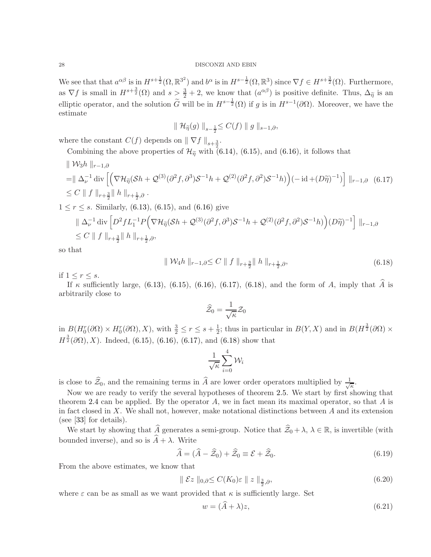We see that that  $a^{\alpha\beta}$  is in  $H^{s+\frac{1}{2}}(\Omega,\mathbb{R}^3)$  and  $b^{\alpha}$  is in  $H^{s-\frac{1}{2}}(\Omega,\mathbb{R}^3)$  since  $\nabla f \in H^{s+\frac{3}{2}}(\Omega)$ . Furthermore, as  $\nabla f$  is small in  $H^{s+\frac{3}{2}}(\Omega)$  and  $s>\frac{3}{2}+2$ , we know that  $(a^{\alpha\beta})$  is positive definite. Thus,  $\Delta_{\tilde{\eta}}$  is an elliptic operator, and the solution  $\tilde{G}$  will be in  $H^{s-\frac{1}{2}}(\Omega)$  if g is in  $H^{s-1}(\partial\Omega)$ . Moreover, we have the estimate

<span id="page-27-0"></span>
$$
\|\mathcal{H}_{\widetilde{\eta}}(g)\|_{s-\frac{1}{2}} \leq C(f)\|\,g\,\|_{s-1,\partial},
$$

where the constant  $C(f)$  depends on  $\|\nabla f\|_{s+\frac{3}{2}}$ .

Combining the above properties of  $\mathcal{H}_{\tilde{\eta}}$  with [\(6.14\)](#page-26-0), [\(6.15\)](#page-26-1), and [\(6.16\)](#page-26-2), it follows that

 $\parallel \mathcal{W}_3h \parallel_{r-1,\partial}$ 

=
$$
\|\Delta_{\nu}^{-1}\text{div}\left[\left(\nabla\mathcal{H}_{\tilde{\eta}}(\mathcal{S}h+\mathcal{Q}^{(3)}(\partial^2 f,\partial^3)\mathcal{S}^{-1}h+\mathcal{Q}^{(2)}(\partial^2 f,\partial^2)\mathcal{S}^{-1}h)\right)(-\text{id}+(\mathcal{D}\tilde{\eta})^{-1})\right]\|_{r-1,\partial}
$$
 (6.17)  
\n $\leq C\|f\|_{r+\frac{3}{2}}\|h\|_{r+\frac{1}{2},\partial}.$ 

 $1 \le r \le s$ . Similarly, [\(6.13\)](#page-26-3), [\(6.15\)](#page-26-1), and [\(6.16\)](#page-26-2) give

$$
\|\Delta_{\nu}^{-1}\mathrm{div}\left[D^2fL_1^{-1}P\Big(\nabla\mathcal{H}_{\widetilde{\eta}}(\mathcal{S}h+\mathcal{Q}^{(3)}(\partial^2f,\partial^3)\mathcal{S}^{-1}h+\mathcal{Q}^{(2)}(\partial^2f,\partial^2)\mathcal{S}^{-1}h)\Big)(D\widetilde{\eta})^{-1}\right]\|_{r-1,\partial}
$$
  
\$\leq C \|\ f\|\_{r+\frac{3}{2}}\|\ h\|\_{r+\frac{1}{2},\partial},

so that

$$
\| \mathcal{W}_4 h \|_{r-1,\partial} \le C \| f \|_{r+\frac{3}{2}} \| h \|_{r+\frac{1}{2},\partial}, \tag{6.18}
$$

if  $1 \leq r \leq s$ .

If  $\kappa$  sufficiently large, [\(6.13\)](#page-26-3), [\(6.15\)](#page-26-1), [\(6.16\)](#page-26-2), [\(6.17\)](#page-27-0), [\(6.18\)](#page-27-1), and the form of A, imply that  $\widehat{A}$  is arbitrarily close to

<span id="page-27-1"></span>
$$
\widehat{\mathcal{Z}}_0 = \frac{1}{\sqrt{\kappa}}\mathcal{Z}_0
$$

in  $B(H_0^r(\partial\Omega)\times H_0^r(\partial\Omega), X)$ , with  $\frac{3}{2} \leq r \leq s + \frac{1}{2}$  $\frac{1}{2}$ ; thus in particular in  $B(Y, X)$  and in  $B(H^{\frac{3}{2}}(\partial \Omega) \times$  $H^{\frac{3}{2}}(\partial\Omega), X$ ). Indeed, [\(6.15\)](#page-26-1), [\(6.16\)](#page-26-2), [\(6.17\)](#page-27-0), and [\(6.18\)](#page-27-1) show that

$$
\frac{1}{\sqrt{\kappa}}\sum_{i=0}^4\mathcal{W}_i
$$

is close to  $\widehat{z}_0$ , and the remaining terms in  $\widehat{A}$  are lower order operators multiplied by  $\frac{1}{\sqrt{2}}$  $\frac{1}{\kappa}$ .

Now we are ready to verify the several hypotheses of theorem [2.5.](#page-9-0) We start by first showing that theorem [2.4](#page-9-1) can be applied. By the operator  $A$ , we in fact mean its maximal operator, so that  $A$  is in fact closed in  $X$ . We shall not, however, make notational distinctions between  $A$  and its extension (see [\[33\]](#page-54-24) for details).

We start by showing that  $\widehat{A}$  generates a semi-group. Notice that  $\widehat{Z}_0 + \lambda, \lambda \in \mathbb{R}$ , is invertible (with bounded inverse), and so is  $\hat{A} + \lambda$ . Write

$$
\widehat{A} = (\widehat{A} - \widehat{\mathcal{Z}}_0) + \widehat{\mathcal{Z}}_0 \equiv \mathcal{E} + \widehat{\mathcal{Z}}_0.
$$
\n(6.19)

From the above estimates, we know that

$$
\| \mathcal{E} z \|_{0,\partial} \le C(K_0) \varepsilon \| z \|_{\frac{3}{2},\partial}, \tag{6.20}
$$

where  $\varepsilon$  can be as small as we want provided that  $\kappa$  is sufficiently large. Set

<span id="page-27-4"></span><span id="page-27-3"></span><span id="page-27-2"></span>
$$
w = (\hat{A} + \lambda)z,\tag{6.21}
$$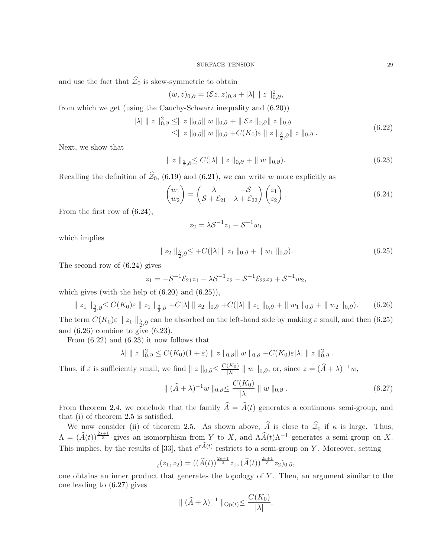and use the fact that  $\widehat{\mathcal{Z}}_0$  is skew-symmetric to obtain

<span id="page-28-4"></span>
$$
(w, z)_{0, \partial} = (\mathcal{E}z, z)_{0, \partial} + |\lambda| \| z \|_{0, \partial}^2,
$$

from which we get (using the Cauchy-Schwarz inequality and [\(6.20\)](#page-27-2))

$$
|\lambda| \| z \|_{0,\partial}^2 \leq \| z \|_{0,\partial} \| w \|_{0,\partial} + \| \mathcal{E} z \|_{0,\partial} \| z \|_{0,\partial}
$$
  
\n
$$
\leq \| z \|_{0,\partial} \| w \|_{0,\partial} + C(K_0) \varepsilon \| z \|_{\frac{3}{2},\partial} \| z \|_{0,\partial} .
$$
\n(6.22)

Next, we show that

$$
\| z \|_{\frac{3}{2}, \partial} \le C(|\lambda| \| z \|_{0, \partial} + \| w \|_{0, \partial}). \tag{6.23}
$$

Recalling the definition of  $\hat{\mathcal{Z}}_0$ , [\(6.19\)](#page-27-3) and [\(6.21\)](#page-27-4), we can write w more explicitly as

$$
\begin{pmatrix} w_1 \\ w_2 \end{pmatrix} = \begin{pmatrix} \lambda & -\mathcal{S} \\ \mathcal{S} + \mathcal{E}_{21} & \lambda + \mathcal{E}_{22} \end{pmatrix} \begin{pmatrix} z_1 \\ z_2 \end{pmatrix} . \tag{6.24}
$$

From the first row of [\(6.24\)](#page-28-0),

<span id="page-28-3"></span><span id="page-28-2"></span><span id="page-28-1"></span><span id="page-28-0"></span>
$$
z_2 = \lambda \mathcal{S}^{-1} z_1 - \mathcal{S}^{-1} w_1
$$

which implies

$$
\| z_2 \|_{\frac{3}{2}, \partial} \leq +C(|\lambda| \| z_1 \|_{0, \partial} + \| w_1 \|_{0, \partial}). \tag{6.25}
$$

The second row of [\(6.24\)](#page-28-0) gives

$$
z_1 = -S^{-1} \mathcal{E}_{21} z_1 - \lambda S^{-1} z_2 - S^{-1} \mathcal{E}_{22} z_2 + S^{-1} w_2,
$$

which gives (with the help of  $(6.20)$  and  $(6.25)$ ),

$$
\| z_1 \|_{\frac{3}{2},\partial} \le C(K_0) \varepsilon \| z_1 \|_{\frac{3}{2},\partial} + C|\lambda| \| z_2 \|_{0,\partial} + C(|\lambda| \| z_1 \|_{0,\partial} + \| w_1 \|_{0,\partial} + \| w_2 \|_{0,\partial}). \tag{6.26}
$$

The term  $C(K_0)\varepsilon \parallel z_1 \parallel_{\frac{3}{2},\partial}$  can be absorbed on the left-hand side by making  $\varepsilon$  small, and then  $(6.25)$ and  $(6.26)$  combine to give  $(6.23)$ .

From  $(6.22)$  and  $(6.23)$  it now follows that

$$
|\lambda| \| z \|_{0,\partial}^2 \leq C(K_0)(1+\varepsilon) \| z \|_{0,\partial} \| w \|_{0,\partial} + C(K_0)\varepsilon |\lambda| \| z \|_{0,\partial}^2.
$$

Thus, if  $\varepsilon$  is sufficiently small, we find  $|| z ||_{0,\partial} \leq \frac{C(K_0)}{|\lambda|}$  $\frac{(K_0)}{|\lambda|} \| w \|_{0,\partial}$ , or, since  $z = (\hat{A} + \lambda)^{-1}w$ ,

<span id="page-28-5"></span>
$$
\| (\widehat{A} + \lambda)^{-1} w \|_{0,\partial} \le \frac{C(K_0)}{|\lambda|} \| w \|_{0,\partial} .
$$
 (6.27)

From theorem [2.4,](#page-9-1) we conclude that the family  $\hat{A} = \hat{A}(t)$  generates a continuous semi-group, and that (i) of theorem [2.5](#page-9-0) is satisfied.

We now consider (ii) of theorem [2.5.](#page-9-0) As shown above, A is close to  $\mathcal{Z}_0$  if  $\kappa$  is large. Thus,  $\Lambda = (\widehat{A}(t))^{2s+1 \over 3}$  gives an isomorphism from Y to X, and  $\Lambda \widehat{A}(t) \Lambda^{-1}$  generates a semi-group on X. This implies, by the results of [\[33\]](#page-54-24), that  $e^{\tau A(t)}$  restricts to a semi-group on Y. Moreover, setting

$$
t(z_1, z_2) = ((\widehat{A}(t))^\frac{2s+1}{3} z_1, (\widehat{A}(t))^\frac{2s+1}{3} z_2)_{0, \partial},
$$

one obtains an inner product that generates the topology of  $Y$ . Then, an argument similar to the one leading to [\(6.27\)](#page-28-5) gives

$$
\parallel (\widehat{A} + \lambda)^{-1} \parallel_{\text{Op}(t)} \leq \frac{C(K_0)}{|\lambda|}.
$$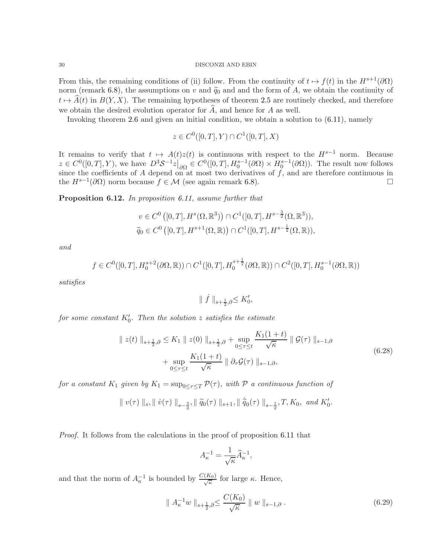From this, the remaining conditions of (ii) follow. From the continuity of  $t \mapsto f(t)$  in the  $H^{s+1}(\partial\Omega)$ norm (remark [6.8\)](#page-25-0), the assumptions on v and  $\tilde{q}_0$  and and the form of A, we obtain the continuity of  $t \mapsto \hat{A}(t)$  in  $B(Y, X)$ . The remaining hypotheses of theorem [2.5](#page-9-0) are routinely checked, and therefore we obtain the desired evolution operator for  $\widehat{A}$ , and hence for A as well.

Invoking theorem [2.6](#page-10-1) and given an initial condition, we obtain a solution to [\(6.11\)](#page-22-1), namely

$$
z \in C^0([0,T],Y) \cap C^1([0,T],X)
$$

It remains to verify that  $t \mapsto A(t)z(t)$  is continuous with respect to the  $H^{s-1}$  norm. Because  $z \in C^0([0,T], Y)$ , we have  $D^3 \mathcal{S}^{-1} z|_{\partial \Omega} \in C^0([0,T], H_0^{s-1}(\partial \Omega) \times H_0^{s-1}(\partial \Omega)$ ). The result now follows since the coefficients of  $A$  depend on at most two derivatives of  $f$ , and are therefore continuous in the  $H^{s-1}(\partial\Omega)$  norm because  $f \in \mathcal{M}$  (see again remark [6.8\)](#page-25-0). □

Proposition 6.12. In proposition [6.11,](#page-25-1) assume further that

$$
v \in C^{0} ([0, T], H^{s}(\Omega, \mathbb{R}^{3})) \cap C^{1}([0, T], H^{s-\frac{3}{2}}(\Omega, \mathbb{R}^{3})),
$$
  

$$
\widetilde{q}_{0} \in C^{0} ([0, T], H^{s+1}(\Omega, \mathbb{R})) \cap C^{1}([0, T], H^{s-\frac{1}{2}}(\Omega, \mathbb{R})),
$$

and

$$
f \in C^{0}([0, T], H_{0}^{s+2}(\partial \Omega, \mathbb{R})) \cap C^{1}([0, T], H_{0}^{s+\frac{1}{2}}(\partial \Omega, \mathbb{R})) \cap C^{2}([0, T], H_{0}^{s-1}(\partial \Omega, \mathbb{R}))
$$

satisfies

<span id="page-29-1"></span>
$$
\parallel \dot{f}\parallel_{s+\frac{1}{2},\partial} \leq K_0',
$$

for some constant  $K'_0$ . Then the solution  $z$  satisfies the estimate

$$
\| z(t) \|_{s + \frac{1}{2}, \partial} \le K_1 \| z(0) \|_{s + \frac{1}{2}, \partial} + \sup_{0 \le \tau \le t} \frac{K_1(1+t)}{\sqrt{\kappa}} \| \mathcal{G}(\tau) \|_{s - 1, \partial}
$$
  
+ 
$$
\sup_{0 \le \tau \le t} \frac{K_1(1+t)}{\sqrt{\kappa}} \| \partial_\tau \mathcal{G}(\tau) \|_{s - 1, \partial},
$$
 (6.28)

for a constant K<sub>1</sub> given by K<sub>1</sub> = sup<sub>0< $\tau$ </sub> $\varphi(\tau)$ , with P a continuous function of

$$
\parallel v(\tau) \parallel_s, \parallel \dot{v}(\tau) \parallel_{s-\frac{3}{2}}, \parallel \widetilde{q}_0(\tau) \parallel_{s+1}, \parallel \dot{\widetilde{q}}_0(\tau) \parallel_{s-\frac{1}{2}}, T, K_0, \text{ and } K'_0.
$$

Proof. It follows from the calculations in the proof of proposition [6.11](#page-25-1) that

<span id="page-29-0"></span>
$$
A_{\kappa}^{-1} = \frac{1}{\sqrt{\kappa}} \widehat{A}_{\kappa}^{-1},
$$

and that the norm of  $A_{\kappa}^{-1}$  is bounded by  $\frac{C(K_0)}{\sqrt{\kappa}}$  for large  $\kappa$ . Hence,

$$
\| A_{\kappa}^{-1} w \|_{s + \frac{1}{2}, \partial} \le \frac{C(K_0)}{\sqrt{\kappa}} \| w \|_{s - 1, \partial} .
$$
 (6.29)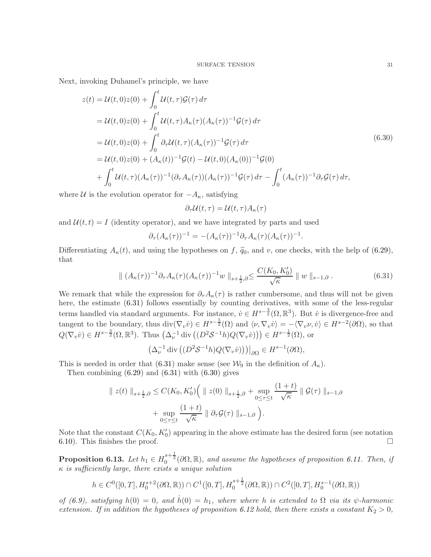Next, invoking Duhamel's principle, we have

$$
z(t) = U(t, 0)z(0) + \int_0^t U(t, \tau)G(\tau) d\tau
$$
  
=  $U(t, 0)z(0) + \int_0^t U(t, \tau)A_{\kappa}(\tau)(A_{\kappa}(\tau))^{-1}G(\tau) d\tau$   
=  $U(t, 0)z(0) + \int_0^t \partial_{\tau}U(t, \tau)(A_{\kappa}(\tau))^{-1}G(\tau) d\tau$   
=  $U(t, 0)z(0) + (A_{\kappa}(t))^{-1}G(t) - U(t, 0)(A_{\kappa}(0))^{-1}G(0)$   
+  $\int_0^t U(t, \tau)(A_{\kappa}(\tau))^{-1}(\partial_{\tau}A_{\kappa}(\tau))(A_{\kappa}(\tau))^{-1}G(\tau) d\tau - \int_0^t (A_{\kappa}(\tau))^{-1} \partial_{\tau}G(\tau) d\tau,$  (9.11)

where  $U$  is the evolution operator for  $-A_{\kappa}$ , satisfying

$$
\partial_{\tau} \mathcal{U}(t,\tau) = \mathcal{U}(t,\tau) A_{\kappa}(\tau)
$$

and  $\mathcal{U}(t, t) = I$  (identity operator), and we have integrated by parts and used

$$
\partial_{\tau}(A_{\kappa}(\tau))^{-1} = -(A_{\kappa}(\tau))^{-1} \partial_{\tau} A_{\kappa}(\tau) (A_{\kappa}(\tau))^{-1}
$$

Differentiating  $A_{\kappa}(t)$ , and using the hypotheses on f,  $\tilde{q}_0$ , and v, one checks, with the help of [\(6.29\)](#page-29-0), that

$$
\| (A_{\kappa}(\tau))^{-1} \partial_{\tau} A_{\kappa}(\tau) (A_{\kappa}(\tau))^{-1} w \|_{s + \frac{1}{2}, \partial} \leq \frac{C(K_0, K_0')}{\sqrt{\kappa}} \| w \|_{s - 1, \partial} .
$$
 (6.31)

<span id="page-30-1"></span><span id="page-30-0"></span>.

We remark that while the expression for  $\partial_{\tau}A_{\kappa}(\tau)$  is rather cumbersome, and thus will not be given here, the estimate  $(6.31)$  follows essentially by counting derivatives, with some of the less-regular terms handled via standard arguments. For instance,  $\dot{v} \in H^{s-\frac{3}{2}}(\Omega,\mathbb{R}^3)$ . But  $\dot{v}$  is divergence-free and tangent to the boundary, thus div $(\nabla_v \dot{v}) \in H^{s-\frac{5}{2}}(\Omega)$  and  $\langle \nu, \nabla_v \dot{v} \rangle = -\langle \nabla_v \nu, \dot{v} \rangle \in H^{s-2}(\partial \Omega)$ , so that  $Q(\nabla_v \dot{v}) \in H^{s-\frac{3}{2}}(\Omega,\mathbb{R}^3)$ . Thus  $(\Delta_{\nu}^{-1} \operatorname{div} \left( (D^2 \mathcal{S}^{-1} h) Q(\nabla_v \dot{v}) \right)) \in H^{s-\frac{1}{2}}(\Omega)$ , or

$$
\left(\Delta_{\nu}^{-1} \operatorname{div} \left( (D^2 \mathcal{S}^{-1} h) Q(\nabla_v \dot{v}) \right) \right)|_{\partial \Omega} \in H^{s-1}(\partial \Omega),
$$

This is needed in order that [\(6.31\)](#page-30-0) make sense (see  $\mathcal{W}_9$  in the definition of  $A_\kappa$ ).

Then combining  $(6.29)$  and  $(6.31)$  with  $(6.30)$  gives

$$
\| z(t) \|_{s+\frac{1}{2},\partial} \le C(K_0, K'_0) \Big( \| z(0) \|_{s+\frac{1}{2},\partial} + \sup_{0 \le \tau \le t} \frac{(1+t)}{\sqrt{\kappa}} \| \mathcal{G}(\tau) \|_{s-1,\partial}
$$
  
+ 
$$
\sup_{0 \le \tau \le t} \frac{(1+t)}{\sqrt{\kappa}} \| \partial_\tau \mathcal{G}(\tau) \|_{s-1,\partial} \Big).
$$

Note that the constant  $C(K_0, K'_0)$  appearing in the above estimate has the desired form (see notation [6.10\)](#page-25-2). This finishes the proof.  $\square$ 

<span id="page-30-2"></span>**Proposition 6.13.** Let  $h_1 \in H_0^{s+\frac{1}{2}}(\partial\Omega,\mathbb{R})$ , and assume the hypotheses of proposition [6.11.](#page-25-1) Then, if  $\kappa$  is sufficiently large, there exists a unique solution

$$
h \in C^{0}([0, T], H_{0}^{s+2}(\partial \Omega, \mathbb{R})) \cap C^{1}([0, T], H_{0}^{s+\frac{1}{2}}(\partial \Omega, \mathbb{R})) \cap C^{2}([0, T], H_{0}^{s-1}(\partial \Omega, \mathbb{R}))
$$

of [\(6.9\)](#page-22-0), satisfying  $h(0) = 0$ , and  $\dot{h}(0) = h_1$ , where where h is extended to  $\Omega$  via its  $\psi$ -harmonic extension. If in addition the hypotheses of proposition [6.12](#page-29-1) hold, then there exists a constant  $K_2 > 0$ ,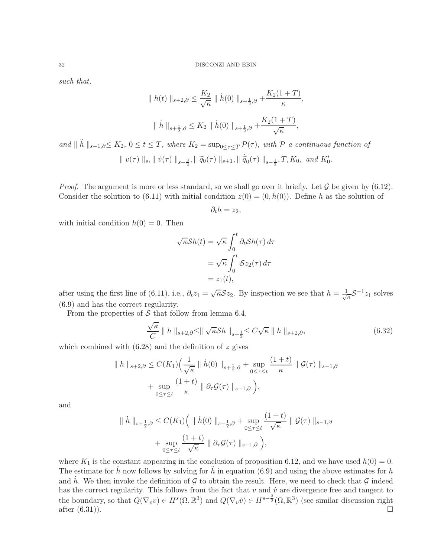such that,

$$
\| h(t) \|_{s+2,\partial} \le \frac{K_2}{\sqrt{\kappa}} \| h(0) \|_{s+\frac{1}{2},\partial} + \frac{K_2(1+T)}{\kappa},
$$
  

$$
\| h \|_{s+\frac{1}{2},\partial} \le K_2 \| h(0) \|_{s+\frac{1}{2},\partial} + \frac{K_2(1+T)}{\sqrt{\kappa}},
$$

and  $\|\ddot{h}\|_{s-1,\partial} \leq K_2$ ,  $0 \leq t \leq T$ , where  $K_2 = \sup_{0 \leq \tau \leq T} \mathcal{P}(\tau)$ , with P a continuous function of  $\|v(\tau)\|_{s}, \|\dot{v}(\tau)\|_{s-\frac{3}{2}}, \|\widetilde{q}_0(\tau)\|_{s+1}, \|\dot{\widetilde{q}}_0(\tau)\|_{s-\frac{1}{2}}, T, K_0, \text{ and } K_0'.$ 

*Proof.* The argument is more or less standard, so we shall go over it briefly. Let  $\mathcal G$  be given by [\(6.12\)](#page-22-2). Consider the solution to [\(6.11\)](#page-22-1) with initial condition  $z(0) = (0, h(0))$ . Define h as the solution of

<span id="page-31-0"></span>
$$
\partial_t h = z_2,
$$

with initial condition  $h(0) = 0$ . Then

$$
\sqrt{\kappa} \mathcal{S}h(t) = \sqrt{\kappa} \int_0^t \partial_t \mathcal{S}h(\tau) d\tau
$$

$$
= \sqrt{\kappa} \int_0^t \mathcal{S}z_2(\tau) d\tau
$$

$$
= z_1(t),
$$

after using the first line of [\(6.11\)](#page-22-1), i.e.,  $\partial_t z_1 = \sqrt{\kappa} S z_2$ . By inspection we see that  $h = \frac{1}{\sqrt{\kappa}}$  $\frac{1}{\kappa} \mathcal{S}^{-1} z_1$  solves [\(6.9\)](#page-22-0) and has the correct regularity.

From the properties of  $S$  that follow from lemma [6.4,](#page-20-2)

$$
\frac{\sqrt{\kappa}}{C} \parallel h \parallel_{s+2,\partial} \leq \parallel \sqrt{\kappa} \mathcal{S}h \parallel_{s+\frac{1}{2}} \leq C\sqrt{\kappa} \parallel h \parallel_{s+2,\partial},
$$
\n(6.32)

which combined with  $(6.28)$  and the definition of z gives

$$
\| h \|_{s+2,\partial} \le C(K_1) \Big( \frac{1}{\sqrt{\kappa}} \| \dot{h}(0) \|_{s+\frac{1}{2},\partial} + \sup_{0 \le \tau \le t} \frac{(1+t)}{\kappa} \| \mathcal{G}(\tau) \|_{s-1,\partial}
$$
  
+ 
$$
\sup_{0 \le \tau \le t} \frac{(1+t)}{\kappa} \| \partial_\tau \mathcal{G}(\tau) \|_{s-1,\partial} \Big),
$$

and

$$
\|\dot{h}\|_{s+\frac{1}{2},\partial} \le C(K_1) \Big( \|\dot{h}(0)\|_{s+\frac{1}{2},\partial} + \sup_{0 \le \tau \le t} \frac{(1+t)}{\sqrt{\kappa}} \|\mathcal{G}(\tau)\|_{s-1,\partial}
$$
  
+ 
$$
\sup_{0 \le \tau \le t} \frac{(1+t)}{\sqrt{\kappa}} \|\partial_\tau \mathcal{G}(\tau)\|_{s-1,\partial} \Big),
$$

where  $K_1$  is the constant appearing in the conclusion of proposition [6.12,](#page-29-1) and we have used  $h(0) = 0$ . The estimate for  $\ddot{h}$  now follows by solving for  $\ddot{h}$  in equation [\(6.9\)](#page-22-0) and using the above estimates for h and h. We then invoke the definition of  $\mathcal G$  to obtain the result. Here, we need to check that  $\mathcal G$  indeed has the correct regularity. This follows from the fact that  $v$  and  $\dot{v}$  are divergence free and tangent to the boundary, so that  $Q(\nabla_v v) \in H^s(\Omega, \mathbb{R}^3)$  and  $Q(\nabla_v \dot{v}) \in H^{s-\frac{3}{2}}(\Omega, \mathbb{R}^3)$  (see similar discussion right after  $(6.31)$ ).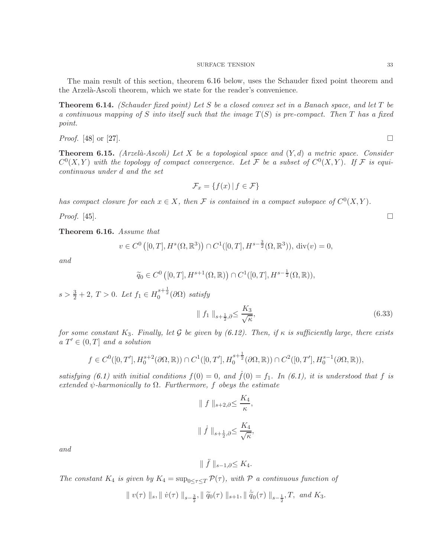The main result of this section, theorem [6.16](#page-32-0) below, uses the Schauder fixed point theorem and the Arzelà-Ascoli theorem, which we state for the reader's convenience.

<span id="page-32-1"></span>**Theorem 6.14.** (Schauder fixed point) Let S be a closed convex set in a Banach space, and let T be a continuous mapping of S into itself such that the image  $T(S)$  is pre-compact. Then T has a fixed point.

*Proof.* [\[48\]](#page-54-28) or [\[27\]](#page-53-27).

**Theorem 6.15.** (Arzelà-Ascoli) Let X be a topological space and  $(Y, d)$  a metric space. Consider  $C^0(X,Y)$  with the topology of compact convergence. Let F be a subset of  $C^0(X,Y)$ . If F is equicontinuous under d and the set

$$
\mathcal{F}_x = \{ f(x) \, | \, f \in \mathcal{F} \}
$$

has compact closure for each  $x \in X$ , then F is contained in a compact subspace of  $C^0(X,Y)$ .

*Proof.* [\[45\]](#page-54-29).

Theorem 6.16. Assume that

$$
v \in C^{0}([0, T], H^{s}(\Omega, \mathbb{R}^{3})) \cap C^{1}([0, T], H^{s-\frac{3}{2}}(\Omega, \mathbb{R}^{3})), \operatorname{div}(v) = 0,
$$

and

$$
\widetilde{q}_0 \in C^0\left([0,T], H^{s+1}(\Omega, \mathbb{R})\right) \cap C^1([0,T], H^{s-\frac{1}{2}}(\Omega, \mathbb{R})),
$$

 $s > \frac{3}{2} + 2$ ,  $T > 0$ . Let  $f_1 \in H_0^{s + \frac{1}{2}}(\partial \Omega)$  satisfy

$$
\| f_1 \|_{s + \frac{1}{2}, \partial} \le \frac{K_3}{\sqrt{\kappa}}, \tag{6.33}
$$

for some constant K<sub>3</sub>. Finally, let G be given by [\(6.12\)](#page-22-2). Then, if  $\kappa$  is sufficiently large, there exists  $a T' \in (0, T]$  and a solution

$$
f \in C^{0}([0, T'], H_0^{s+2}(\partial \Omega, \mathbb{R})) \cap C^{1}([0, T'], H_0^{s+\frac{1}{2}}(\partial \Omega, \mathbb{R})) \cap C^{2}([0, T'], H_0^{s-1}(\partial \Omega, \mathbb{R})),
$$

satisfying [\(6.1\)](#page-19-1) with initial conditions  $f(0) = 0$ , and  $\dot{f}(0) = f_1$ . In (6.1), it is understood that f is extended  $\psi$ -harmonically to  $\Omega$ . Furthermore, f obeys the estimate

$$
\| f \|_{s+2,\partial} \leq \frac{K_4}{\kappa},
$$
  

$$
\| \dot{f} \|_{s+\frac{1}{2},\partial} \leq \frac{K_4}{\sqrt{\kappa}},
$$

and

$$
\parallel \ddot{f} \parallel_{s-1,\partial} \leq K_4.
$$

The constant  $K_4$  is given by  $K_4 = \sup_{0 \leq \tau \leq T} \mathcal{P}(\tau)$ , with  $\mathcal P$  a continuous function of

$$
\parallel v(\tau) \parallel_s, \parallel \dot{v}(\tau) \parallel_{s-\frac{3}{2}}, \parallel \widetilde{q}_0(\tau) \parallel_{s+1}, \parallel \dot{\widetilde{q}}_0(\tau) \parallel_{s-\frac{1}{2}}, T, \text{ and } K_3.
$$

<span id="page-32-0"></span>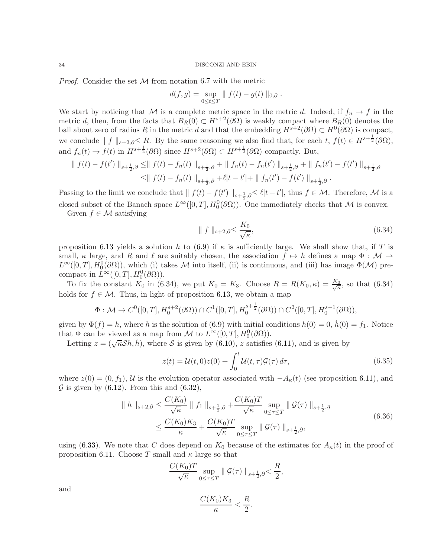*Proof.* Consider the set  $M$  from notation [6.7](#page-25-3) with the metric

$$
d(f,g) = \sup_{0 \le t \le T} || f(t) - g(t) ||_{0,\partial}.
$$

We start by noticing that M is a complete metric space in the metric d. Indeed, if  $f_n \to f$  in the metric d, then, from the facts that  $B_R(0) \subset H^{s+2}(\partial\Omega)$  is weakly compact where  $B_R(0)$  denotes the ball about zero of radius R in the metric d and that the embedding  $H^{s+2}(\partial\Omega) \subset H^0(\partial\Omega)$  is compact, we conclude  $\| f \|_{s+2,\partial} \leq R$ . By the same reasoning we also find that, for each  $t, f(t) \in H^{s+\frac{1}{2}}(\partial\Omega)$ , and  $f_n(t) \to f(t)$  in  $H^{s+\frac{1}{2}}(\partial \Omega)$  since  $H^{s+2}(\partial \Omega) \subset H^{s+\frac{1}{2}}(\partial \Omega)$  compactly. But,

$$
\| f(t) - f(t') \|_{s + \frac{1}{2},\partial} \le \| f(t) - f_n(t) \|_{s + \frac{1}{2},\partial} + \| f_n(t) - f_n(t') \|_{s + \frac{1}{2},\partial} + \| f_n(t') - f(t') \|_{s + \frac{1}{2},\partial}
$$
  

$$
\le \| f(t) - f_n(t) \|_{s + \frac{1}{2},\partial} + \ell |t - t'| + \| f_n(t') - f(t') \|_{s + \frac{1}{2},\partial}.
$$

Passing to the limit we conclude that  $|| f(t) - f(t') ||_{s+\frac{1}{2},\partial} \leq \ell |t-t'|$ , thus  $f \in M$ . Therefore, M is a closed subset of the Banach space  $L^{\infty}([0,T], H_0^0(\partial\Omega))$ . One immediately checks that M is convex.

Given  $f \in \mathcal{M}$  satisfying

<span id="page-33-0"></span>
$$
\parallel f \parallel_{s+2,\partial} \le \frac{K_0}{\sqrt{\kappa}},\tag{6.34}
$$

proposition [6.13](#page-30-2) yields a solution h to [\(6.9\)](#page-22-0) if  $\kappa$  is sufficiently large. We shall show that, if T is small,  $\kappa$  large, and R and  $\ell$  are suitably chosen, the association  $f \mapsto h$  defines a map  $\Phi : \mathcal{M} \to$  $L^{\infty}([0,T], H_0^0(\partial\Omega))$ , which (i) takes M into itself, (ii) is continuous, and (iii) has image  $\Phi(\mathcal{M})$  precompact in  $\dot{L}^{\infty}([0,T], H_0^0(\partial\Omega)).$ 

To fix the constant  $K_0$  in [\(6.34\)](#page-33-0), we put  $K_0 = K_3$ . Choose  $R = R(K_0, \kappa) = \frac{K_0}{\sqrt{\kappa}}$  $\frac{0}{\kappa}$ , so that  $(6.34)$ holds for  $f \in \mathcal{M}$ . Thus, in light of proposition [6.13,](#page-30-2) we obtain a map

$$
\Phi: \mathcal{M} \to C^{0}([0, T], H_{0}^{s+2}(\partial \Omega)) \cap C^{1}([0, T], H_{0}^{s+\frac{1}{2}}(\partial \Omega)) \cap C^{2}([0, T], H_{0}^{s-1}(\partial \Omega)),
$$

given by  $\Phi(f) = h$ , where h is the solution of [\(6.9\)](#page-22-0) with initial conditions  $h(0) = 0$ ,  $h(0) = f_1$ . Notice that  $\Phi$  can be viewed as a map from M to  $L^{\infty}([0,T], H_0^0(\partial\Omega)).$ 

Letting  $z = (\sqrt{\kappa} \mathcal{S}h, \dot{h})$ , where  $\mathcal S$  is given by  $(6.10)$ , z satisfies  $(6.11)$ , and is given by

<span id="page-33-1"></span>
$$
z(t) = \mathcal{U}(t,0)z(0) + \int_0^t \mathcal{U}(t,\tau)\mathcal{G}(\tau) d\tau,
$$
\n(6.35)

where  $z(0) = (0, f_1)$ , U is the evolution operator associated with  $-A_k(t)$  (see proposition [6.11\)](#page-25-1), and G is given by  $(6.12)$ . From this and  $(6.32)$ ,

$$
\| h \|_{s+2,\partial} \leq \frac{C(K_0)}{\sqrt{\kappa}} \| f_1 \|_{s+\frac{1}{2},\partial} + \frac{C(K_0)T}{\sqrt{\kappa}} \sup_{0 \leq \tau \leq T} \| \mathcal{G}(\tau) \|_{s+\frac{1}{2},\partial}
$$
  

$$
\leq \frac{C(K_0)K_3}{\kappa} + \frac{C(K_0)T}{\sqrt{\kappa}} \sup_{0 \leq \tau \leq T} \| \mathcal{G}(\tau) \|_{s+\frac{1}{2},\partial},
$$
(6.36)

using [\(6.33\)](#page-32-0). We note that C does depend on  $K_0$  because of the estimates for  $A_{\kappa}(t)$  in the proof of proposition [6.11.](#page-25-1) Choose T small and  $\kappa$  large so that

$$
\frac{C(K_0)T}{\sqrt{\kappa}} \sup_{0 \le \tau \le T} \| \mathcal{G}(\tau) \|_{s+\frac{1}{2},\partial} < \frac{R}{2},
$$

and

<span id="page-33-2"></span>
$$
\frac{C(K_0)K_3}{\kappa} < \frac{R}{2}.
$$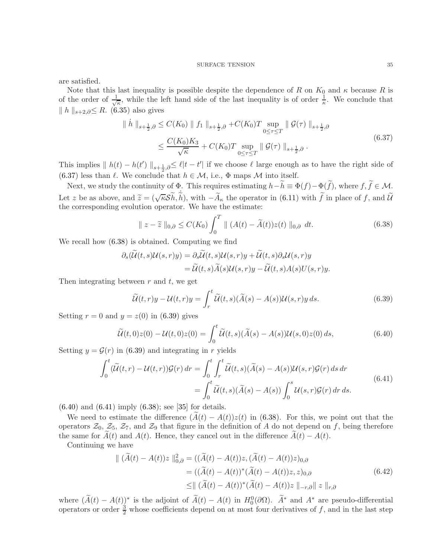are satisfied.

Note that this last inequality is possible despite the dependence of R on  $K_0$  and  $\kappa$  because R is of the order of  $\frac{1}{\sqrt{2}}$  $\frac{1}{\kappa}$ , while the left hand side of the last inequality is of order  $\frac{1}{\kappa}$ . We conclude that  $|| h ||_{s+2,\partial} \leq R$ . [\(6.35\)](#page-33-1) also gives

<span id="page-34-0"></span>
$$
\| h \|_{s + \frac{1}{2}, \partial} \le C(K_0) \| f_1 \|_{s + \frac{1}{2}, \partial} + C(K_0) T \sup_{0 \le \tau \le T} \| \mathcal{G}(\tau) \|_{s + \frac{1}{2}, \partial}
$$
  

$$
\le \frac{C(K_0) K_3}{\sqrt{\kappa}} + C(K_0) T \sup_{0 \le \tau \le T} \| \mathcal{G}(\tau) \|_{s + \frac{1}{2}, \partial} .
$$
 (6.37)

This implies  $||h(t) - h(t')||_{s + \frac{1}{2}, \partial} \leq \ell |t - t'|$  if we choose  $\ell$  large enough as to have the right side of [\(6.37\)](#page-34-0) less than  $\ell$ . We conclude that  $h \in \mathcal{M}$ , i.e.,  $\Phi$  maps  $\mathcal M$  into itself.

Next, we study the continuity of  $\Phi$ . This requires estimating  $h-\widetilde{h} \equiv \Phi(f)-\Phi(\widetilde{f})$ , where  $f, \widetilde{f} \in \mathcal{M}$ . Let z be as above, and  $\widetilde{z} = (\sqrt{\kappa S} \widetilde{h}, \widetilde{h})$ , with  $-\widetilde{A}_{\kappa}$  the operator in [\(6.11\)](#page-22-1) with  $\widetilde{f}$  in place of f, and  $\widetilde{U}$ the corresponding evolution operator. We have the estimate:

<span id="page-34-1"></span>
$$
\|z - \widetilde{z}\|_{0,\partial} \le C(K_0) \int_0^T \| (A(t) - \widetilde{A}(t))z(t) \|_{0,\partial} dt.
$$
 (6.38)

We recall how [\(6.38\)](#page-34-1) is obtained. Computing we find

$$
\partial_s(\mathcal{U}(t,s)\mathcal{U}(s,r)y) = \partial_s\mathcal{U}(t,s)\mathcal{U}(s,r)y + \mathcal{U}(t,s)\partial_s\mathcal{U}(s,r)y \n= \widetilde{\mathcal{U}}(t,s)\widetilde{A}(s)\mathcal{U}(s,r)y - \widetilde{\mathcal{U}}(t,s)A(s)\mathcal{U}(s,r)y.
$$

Then integrating between  $r$  and  $t$ , we get

<span id="page-34-4"></span><span id="page-34-3"></span><span id="page-34-2"></span>
$$
\widetilde{\mathcal{U}}(t,r)y - \mathcal{U}(t,r)y = \int_r^t \widetilde{\mathcal{U}}(t,s)(\widetilde{A}(s) - A(s))\mathcal{U}(s,r)y\,ds.
$$
\n(6.39)

Setting  $r = 0$  and  $y = z(0)$  in  $(6.39)$  gives

$$
\widetilde{\mathcal{U}}(t,0)z(0) - \mathcal{U}(t,0)z(0) = \int_0^t \widetilde{\mathcal{U}}(t,s)(\widetilde{A}(s) - A(s))\mathcal{U}(s,0)z(0) ds,
$$
\n(6.40)

Setting  $y = \mathcal{G}(r)$  in [\(6.39\)](#page-34-2) and integrating in r yields

$$
\int_0^t (\widetilde{\mathcal{U}}(t,r) - \mathcal{U}(t,r))\mathcal{G}(r) dr = \int_0^t \int_r^t \widetilde{\mathcal{U}}(t,s)(\widetilde{A}(s) - A(s))\mathcal{U}(s,r)\mathcal{G}(r) ds dr
$$
\n
$$
= \int_0^t \widetilde{\mathcal{U}}(t,s)(\widetilde{A}(s) - A(s))\int_0^s \mathcal{U}(s,r)\mathcal{G}(r) dr ds.
$$
\n(6.41)

[\(6.40\)](#page-34-3) and [\(6.41\)](#page-34-4) imply [\(6.38\)](#page-34-1); see [\[35\]](#page-54-30) for details.

We need to estimate the difference  $(A(t) - A(t))z(t)$  in [\(6.38\)](#page-34-1). For this, we point out that the operators  $\mathcal{Z}_0$ ,  $\mathcal{Z}_5$ ,  $\mathcal{Z}_7$ , and  $\mathcal{Z}_9$  that figure in the definition of A do not depend on f, being therefore the same for  $A(t)$  and  $A(t)$ . Hence, they cancel out in the difference  $A(t) - A(t)$ .

Continuing we have

<span id="page-34-5"></span>
$$
\| (\widetilde{A}(t) - A(t))z \|_{0,\partial}^2 = ((\widetilde{A}(t) - A(t))z, (\widetilde{A}(t) - A(t))z)_{0,\partial}
$$
  
\n
$$
= ((\widetilde{A}(t) - A(t))^* (\widetilde{A}(t) - A(t))z, z)_{0,\partial}
$$
  
\n
$$
\leq \| (\widetilde{A}(t) - A(t))^* (\widetilde{A}(t) - A(t))z \|_{-r,\partial} \| z \|_{r,\partial}
$$
\n(6.42)

where  $(\tilde{A}(t) - A(t))^*$  is the adjoint of  $\tilde{A}(t) - A(t)$  in  $H_0^0(\partial\Omega)$ .  $\tilde{A}^*$  and  $A^*$  are pseudo-differential operators or order  $\frac{3}{2}$  whose coefficients depend on at most four derivatives of f, and in the last step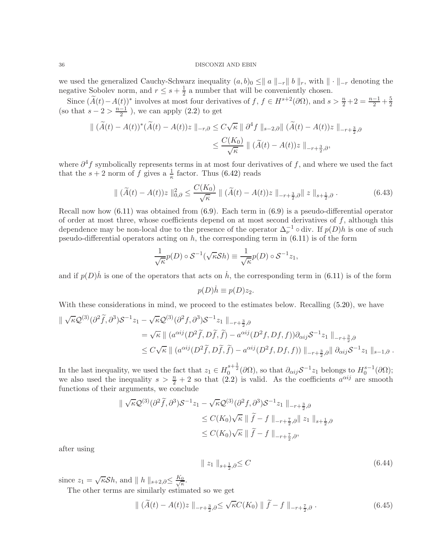we used the generalized Cauchy-Schwarz inequality  $(a, b)_0 \le ||a||-r|| b ||_r$ , with  $|| \cdot ||_{-r}$  denoting the negative Sobolev norm, and  $r \leq s + \frac{1}{2}$  $\frac{1}{2}$  a number that will be conveniently chosen.

Since  $(\widetilde{A}(t) - A(t))^*$  involves at most four derivatives of  $f, f \in H^{s+2}(\partial\Omega)$ , and  $s > \frac{n}{2} + 2 = \frac{n-1}{2} + \frac{5}{2}$ 2 (so that  $s - 2 > \frac{n-1}{2}$ ), we can apply [\(2.2\)](#page-7-3) to get

$$
\| (\widetilde{A}(t) - A(t))^* (\widetilde{A}(t) - A(t))z \|_{-r,\partial} \le C\sqrt{\kappa} \| \partial^4 f \|_{s-2,\partial} \| (\widetilde{A}(t) - A(t))z \|_{-r+\frac{3}{2},\partial}
$$
  

$$
\le \frac{C(K_0)}{\sqrt{\kappa}} \| (\widetilde{A}(t) - A(t))z \|_{-r+\frac{3}{2},\partial},
$$

where  $\partial^4 f$  symbolically represents terms in at most four derivatives of f, and where we used the fact that the  $s + 2$  norm of f gives a  $\frac{1}{\kappa}$  factor. Thus [\(6.42\)](#page-34-5) reads

$$
\| (\widetilde{A}(t) - A(t))z \|_{0,\partial}^2 \le \frac{C(K_0)}{\sqrt{\kappa}} \| (\widetilde{A}(t) - A(t))z \|_{-r + \frac{3}{2},\partial} \| z \|_{s + \frac{1}{2},\partial}.
$$
 (6.43)

Recall now how  $(6.11)$  was obtained from  $(6.9)$ . Each term in  $(6.9)$  is a pseudo-differential operator of order at most three, whose coefficients depend on at most second derivatives of  $f$ , although this dependence may be non-local due to the presence of the operator  $\Delta_{\nu}^{-1} \circ \text{div}$ . If  $p(D)h$  is one of such pseudo-differential operators acting on  $h$ , the corresponding term in  $(6.11)$  is of the form

$$
\frac{1}{\sqrt{\kappa}}p(D)\circ \mathcal{S}^{-1}(\sqrt{\kappa}\mathcal{S}h)\equiv \frac{1}{\sqrt{\kappa}}p(D)\circ \mathcal{S}^{-1}z_1,
$$

and if  $p(D)$ *h* is one of the operators that acts on *h*, the corresponding term in [\(6.11\)](#page-22-1) is of the form

<span id="page-35-0"></span>
$$
p(D)\dot{h} \equiv p(D)z_2.
$$

With these considerations in mind, we proceed to the estimates below. Recalling  $(5.20)$ , we have

$$
\begin{split} \|\sqrt{\kappa}\mathcal{Q}^{(3)}(\partial^2 \tilde{f}, \partial^3) \mathcal{S}^{-1} z_1 - \sqrt{\kappa}\mathcal{Q}^{(3)}(\partial^2 f, \partial^3) \mathcal{S}^{-1} z_1 \|_{-r+\frac{3}{2},\partial} \\ &= \sqrt{\kappa} \|\left( a^{\alpha ij} (D^2 \tilde{f}, D \tilde{f}, \tilde{f}) - a^{\alpha ij} (D^2 f, D f, f) \right) \partial_{\alpha ij} \mathcal{S}^{-1} z_1 \|_{-r+\frac{3}{2},\partial} \\ &\leq C \sqrt{\kappa} \|\left( a^{\alpha ij} (D^2 \tilde{f}, D \tilde{f}, \tilde{f}) - a^{\alpha ij} (D^2 f, D f, f) \right) \|_{-r+\frac{3}{2},\partial} \|\partial_{\alpha ij} \mathcal{S}^{-1} z_1 \|_{s-1,\partial} \,. \end{split}
$$

In the last inequality, we used the fact that  $z_1 \in H_0^{s+\frac{1}{2}}(\partial\Omega)$ , so that  $\partial_{\alpha i j} S^{-1} z_1$  belongs to  $H_0^{s-1}(\partial\Omega)$ ; we also used the inequality  $s > \frac{n}{2} + 2$  so that  $(2.2)$  is valid. As the coefficients  $a^{\alpha ij}$  are smooth functions of their arguments, we conclude

$$
\begin{aligned} \parallel \sqrt{\kappa} \mathcal{Q}^{(3)} (\partial^2 \widetilde{f}, \partial^3) \mathcal{S}^{-1} z_1 - \sqrt{\kappa} \mathcal{Q}^{(3)} (\partial^2 f, \partial^3) \mathcal{S}^{-1} z_1 \parallel_{-r + \frac{3}{2}, \partial} \\ &\leq C(K_0) \sqrt{\kappa} \parallel \widetilde{f} - f \parallel_{-r + \frac{7}{2}, \partial} \parallel z_1 \parallel_{s + \frac{1}{2}, \partial} \\ &\leq C(K_0) \sqrt{\kappa} \parallel \widetilde{f} - f \parallel_{-r + \frac{7}{2}, \partial}, \end{aligned}
$$

after using

<span id="page-35-2"></span><span id="page-35-1"></span>
$$
\|z_1\|_{s+\frac{1}{2},\partial} \le C \tag{6.44}
$$

since  $z_1 = \sqrt{\kappa} \mathcal{S}h$ , and  $|| h ||_{s+2,\partial} \leq \frac{K_0}{\sqrt{\kappa}}$  $\frac{0}{\kappa}$ .

The other terms are similarly estimated so we get

$$
\| (\widetilde{A}(t) - A(t))z \|_{-r + \frac{3}{2}, \partial} \le \sqrt{\kappa} C(K_0) \| \widetilde{f} - f \|_{-r + \frac{7}{2}, \partial}.
$$
 (6.45)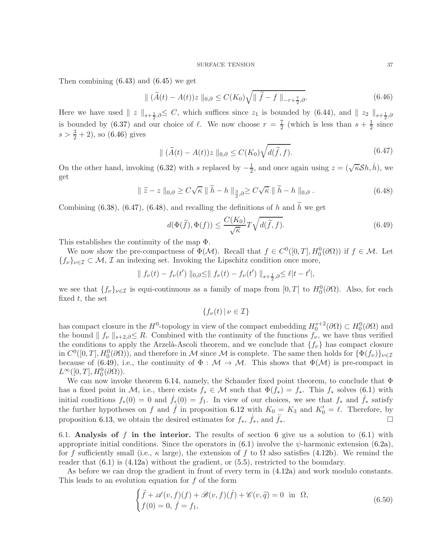Then combining [\(6.43\)](#page-35-0) and [\(6.45\)](#page-35-1) we get

$$
\| (\widetilde{A}(t) - A(t))z \|_{0,\partial} \le C(K_0) \sqrt{\|\widetilde{f} - f\|_{-r + \frac{7}{2},\partial}}.
$$
\n(6.46)

Here we have used  $|| z ||_{s+\frac{1}{2},0} \leq C$ , which suffices since  $z_1$  is bounded by [\(6.44\)](#page-35-2), and  $|| z_2 ||_{s+\frac{1}{2},0}$ is bounded by [\(6.37\)](#page-34-0) and our choice of  $\ell$ . We now choose  $r = \frac{7}{2}$  $\frac{7}{2}$  (which is less than  $s + \frac{1}{2}$  $\frac{1}{2}$  since  $s > \frac{3}{2} + 2$ , so [\(6.46\)](#page-36-1) gives

<span id="page-36-2"></span><span id="page-36-1"></span>
$$
\| (\widetilde{A}(t) - A(t))z \|_{0,\partial} \le C(K_0) \sqrt{d(\widetilde{f}, f)}.
$$
\n(6.47)

On the other hand, invoking [\(6.32\)](#page-31-0) with s replaced by  $-\frac{1}{2}$  $\frac{1}{2}$ , and once again using  $z = (\sqrt{\kappa} \mathcal{S} h, \dot{h})$ , we get

$$
\|\tilde{z} - z\|_{0,\partial} \ge C\sqrt{\kappa} \|\tilde{h} - h\|_{\frac{3}{2},\partial} \ge C\sqrt{\kappa} \|\tilde{h} - h\|_{0,\partial}.
$$
\n(6.48)

Combining [\(6.38\)](#page-34-1), [\(6.47\)](#page-36-2), [\(6.48\)](#page-36-3), and recalling the definitions of h and  $\tilde{h}$  we get

<span id="page-36-3"></span>
$$
d(\Phi(\tilde{f}), \Phi(f)) \le \frac{C(K_0)}{\sqrt{\kappa}} T \sqrt{d(\tilde{f}, f)}.
$$
\n(6.49)

This establishes the continuity of the map Φ.

We now show the pre-compactness of  $\Phi(\mathcal{M})$ . Recall that  $f \in C^0([0,T], H_0^0(\partial\Omega))$  if  $f \in \mathcal{M}$ . Let  ${f_{\nu}}_{\nu\in\mathcal{I}}\subset\mathcal{M},\mathcal{I}$  an indexing set. Invoking the Lipschitz condition once more,

$$
\| f_{\nu}(t) - f_{\nu}(t') \|_{0,\partial} \leq \| f_{\nu}(t) - f_{\nu}(t') \|_{s + \frac{1}{2},\partial} \leq \ell |t - t'|,
$$

we see that  $\{f_{\nu}\}_{\nu\in\mathcal{I}}$  is equi-continuous as a family of maps from  $[0,T]$  to  $H_0^0(\partial\Omega)$ . Also, for each fixed  $t$ , the set

<span id="page-36-4"></span>
$$
\{f_{\nu}(t)\,|\,\nu\in\mathcal{I}\}
$$

has compact closure in the  $H^0$ -topology in view of the compact embedding  $H_0^{s+2}(\partial\Omega) \subset H_0^0(\partial\Omega)$  and the bound  $|| f_\nu ||_{s+2,\partial} \leq R$ . Combined with the continuity of the functions  $f_\nu$ , we have thus verified the conditions to apply the Arzelà-Ascoli theorem, and we conclude that  $\{f_{\nu}\}\$  has compact closure in  $C^0([0,T], H_0^0(\partial\Omega))$ , and therefore in M since M is complete. The same then holds for  $\{\Phi(f_\nu)\}_{\nu\in\mathcal{I}}$ because of [\(6.49\)](#page-36-4), i.e., the continuity of  $\Phi : \mathcal{M} \to \mathcal{M}$ . This shows that  $\Phi(\mathcal{M})$  is pre-compact in  $L^{\infty}([0,T], H_0^0(\partial\Omega)).$ 

We can now invoke theorem [6.14,](#page-32-1) namely, the Schauder fixed point theorem, to conclude that  $\Phi$ has a fixed point in M, i.e., there exists  $f_* \in \mathcal{M}$  such that  $\Phi(f_*) = f_*$ . This  $f_*$  solves [\(6.1\)](#page-19-1) with initial conditions  $f_*(0) = 0$  and  $f_*(0) = f_1$ . In view of our choices, we see that  $f_*$  and  $f_*$  satisfy the further hypotheses on f and f in proposition [6.12](#page-29-1) with  $K_0 = K_3$  and  $K'_0 = \ell$ . Therefore, by proposition [6.13,](#page-30-2) we obtain the desired estimates for  $f_*$ ,  $\dot{f}_*$ , and  $\ddot{f}_*$ .

<span id="page-36-0"></span>[6](#page-18-0).1. Analysis of f in the interior. The results of section 6 give us a solution to  $(6.1)$  with appropriate initial conditions. Since the operators in  $(6.1)$  involve the  $\psi$ -harmonic extension  $(6.2a)$ , for f sufficiently small (i.e.,  $\kappa$  large), the extension of f to  $\Omega$  also satisfies [\(4.12b\)](#page-13-1). We remind the reader that  $(6.1)$  is  $(4.12a)$  without the gradient, or  $(5.5)$ , restricted to the boundary.

As before we can drop the gradient in front of every term in [\(4.12a\)](#page-13-1) and work modulo constants. This leads to an evolution equation for f of the form

<span id="page-36-5"></span>
$$
\begin{cases}\n\ddot{f} + \mathscr{A}(v, f)(f) + \mathscr{B}(v, f)(\dot{f}) + \mathscr{C}(v, \tilde{q}) = 0 \text{ in } \Omega, \\
f(0) = 0, \ \dot{f} = f_1,\n\end{cases}
$$
\n(6.50)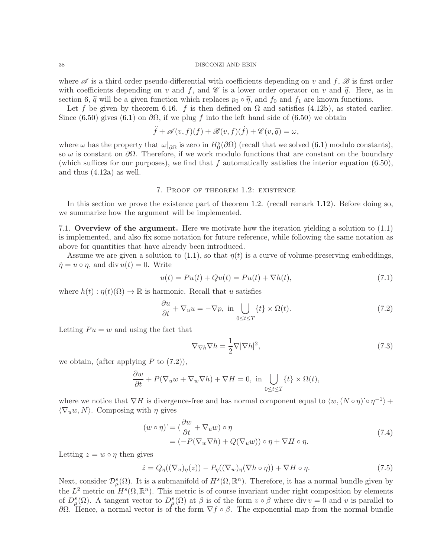where  $\mathscr A$  is a third order pseudo-differential with coefficients depending on v and f,  $\mathscr B$  is first order with coefficients depending on v and f, and  $\mathscr C$  is a lower order operator on v and  $\tilde q$ . Here, as in section [6,](#page-18-0)  $\tilde{q}$  will be a given function which replaces  $p_0 \circ \tilde{\eta}$ , and  $f_0$  and  $f_1$  are known functions.

Let f be given by theorem [6.16.](#page-32-0) f is then defined on  $\Omega$  and satisfies [\(4.12b\)](#page-13-1), as stated earlier. Since [\(6.50\)](#page-36-5) gives [\(6.1\)](#page-19-1) on  $\partial\Omega$ , if we plug f into the left hand side of (6.50) we obtain

$$
\ddot{f} + \mathscr{A}(v, f)(f) + \mathscr{B}(v, f)(f) + \mathscr{C}(v, \tilde{q}) = \omega,
$$

where  $\omega$  has the property that  $\omega|_{\partial\Omega}$  is zero in  $H_0^s(\partial\Omega)$  (recall that we solved [\(6.1\)](#page-19-1) modulo constants), so  $\omega$  is constant on  $\partial\Omega$ . Therefore, if we work modulo functions that are constant on the boundary (which suffices for our purposes), we find that f automatically satisfies the interior equation  $(6.50)$ , and thus [\(4.12a\)](#page-13-1) as well.

## 7. Proof of theorem [1.2:](#page-3-0) existence

<span id="page-37-0"></span>In this section we prove the existence part of theorem [1.2.](#page-3-0) (recall remark [1.12\)](#page-6-4). Before doing so, we summarize how the argument will be implemented.

<span id="page-37-1"></span>7.1. Overview of the argument. Here we motivate how the iteration yielding a solution to [\(1.1\)](#page-1-0) is implemented, and also fix some notation for future reference, while following the same notation as above for quantities that have already been introduced.

Assume we are given a solution to  $(1.1)$ , so that  $\eta(t)$  is a curve of volume-preserving embeddings,  $\dot{\eta} = u \circ \eta$ , and div  $u(t) = 0$ . Write

$$
u(t) = Pu(t) + Qu(t) = Pu(t) + \nabla h(t),
$$
\n(7.1)

where  $h(t): \eta(t)(\Omega) \to \mathbb{R}$  is harmonic. Recall that u satisfies

$$
\frac{\partial u}{\partial t} + \nabla_u u = -\nabla p, \text{ in } \bigcup_{0 \le t \le T} \{t\} \times \Omega(t). \tag{7.2}
$$

Letting  $Pu = w$  and using the fact that

<span id="page-37-4"></span><span id="page-37-3"></span><span id="page-37-2"></span>
$$
\nabla_{\nabla h} \nabla h = \frac{1}{2} \nabla |\nabla h|^2,\tag{7.3}
$$

we obtain, (after applying  $P$  to  $(7.2)$ ),

$$
\frac{\partial w}{\partial t} + P(\nabla_u w + \nabla_w \nabla h) + \nabla H = 0, \text{ in } \bigcup_{0 \le t \le T} \{t\} \times \Omega(t),
$$

where we notice that  $\nabla H$  is divergence-free and has normal component equal to  $\langle w, (N \circ \eta) \circ \eta^{-1} \rangle +$  $\langle \nabla_u w, N \rangle$ . Composing with  $\eta$  gives

$$
(w \circ \eta) = \left(\frac{\partial w}{\partial t} + \nabla_u w\right) \circ \eta
$$
  
= 
$$
(-P(\nabla_w \nabla h) + Q(\nabla_u w)) \circ \eta + \nabla H \circ \eta.
$$
 (7.4)

Letting  $z = w \circ \eta$  then gives

$$
\dot{z} = Q_{\eta}((\nabla_u)_{\eta}(z)) - P_{\eta}((\nabla_w)_{\eta}(\nabla h \circ \eta)) + \nabla H \circ \eta.
$$
\n(7.5)

Next, consider  $\mathcal{D}_{\mu}^{s}(\Omega)$ . It is a submanifold of  $H^{s}(\Omega,\mathbb{R}^{n})$ . Therefore, it has a normal bundle given by the  $L^2$  metric on  $H^s(\Omega,\mathbb{R}^n)$ . This metric is of course invariant under right composition by elements of  $D_{\mu}^{s}(\Omega)$ . A tangent vector to  $D_{\mu}^{s}(\Omega)$  at  $\beta$  is of the form  $v \circ \beta$  where div  $v = 0$  and v is parallel to  $\partial\Omega$ . Hence, a normal vector is of the form  $\nabla f \circ \beta$ . The exponential map from the normal bundle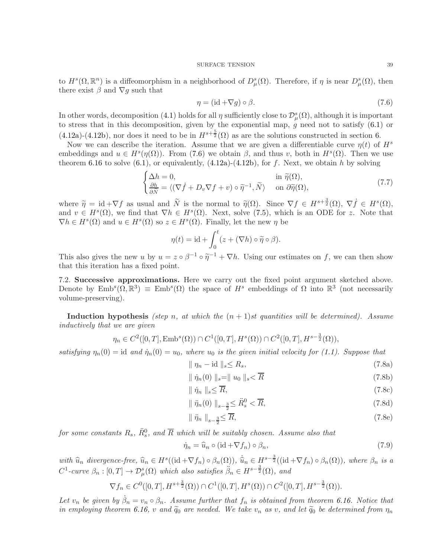to  $H^s(\Omega,\mathbb{R}^n)$  is a diffeomorphism in a neighborhood of  $D^s_\mu(\Omega)$ . Therefore, if  $\eta$  is near  $D^s_\mu(\Omega)$ , then there exist  $\beta$  and  $\nabla g$  such that

<span id="page-38-1"></span>
$$
\eta = (\text{id} + \nabla g) \circ \beta. \tag{7.6}
$$

In other words, decomposition [\(4.1\)](#page-11-2) holds for all  $\eta$  sufficiently close to  $\mathcal{D}_{\mu}^{s}(\Omega)$ , although it is important to stress that in this decomposition, given by the exponential map,  $g$  need not to satisfy  $(6.1)$  or  $(4.12a)-(4.12b)$  $(4.12a)-(4.12b)$  $(4.12a)-(4.12b)$ , nor does it need to be in  $H^{s+\frac{5}{2}}(\Omega)$  as are the solutions constructed in section [6.](#page-18-0)

Now we can describe the iteration. Assume that we are given a differentiable curve  $\eta(t)$  of  $H^s$ embeddings and  $u \in H^s(\eta(\Omega))$ . From [\(7.6\)](#page-38-1) we obtain  $\beta$ , and thus v, both in  $H^s(\Omega)$ . Then we use theorem [6.16](#page-32-0) to solve  $(6.1)$ , or equivalently,  $(4.12a)-(4.12b)$  $(4.12a)-(4.12b)$ , for f. Next, we obtain h by solving

$$
\begin{cases} \Delta h = 0, & \text{in } \widetilde{\eta}(\Omega), \\ \frac{\partial h}{\partial \widetilde{N}} = \langle (\nabla \dot{f} + D_v \nabla f + v) \circ \widetilde{\eta}^{-1}, \widetilde{N} \rangle & \text{on } \partial \widetilde{\eta}(\Omega), \end{cases}
$$
(7.7)

where  $\widetilde{\eta} = \text{id} + \nabla f$  as usual and  $\widetilde{N}$  is the normal to  $\widetilde{\eta}(\Omega)$ . Since  $\nabla f \in H^{s+ \frac{3}{2}}(\Omega)$ ,  $\nabla \dot{f} \in H^{s}(\Omega)$ , and  $\eta \in H^{s}(\Omega)$ , and  $\eta \in H^{s}(\Omega)$  are  $\eta \in H^{s}(\Omega)$ . and  $v \in H^s(\Omega)$ , we find that  $\nabla h \in H^s(\Omega)$ . Next, solve [\(7.5\)](#page-37-3), which is an ODE for z. Note that  $\nabla h \in H^s(\Omega)$  and  $u \in H^s(\Omega)$  so  $z \in H^s(\Omega)$ . Finally, let the new  $\eta$  be

$$
\eta(t) = \mathrm{id} + \int_0^t (z + (\nabla h) \circ \widetilde{\eta} \circ \beta).
$$

This also gives the new u by  $u = z \circ \beta^{-1} \circ \tilde{\eta}^{-1} + \nabla h$ . Using our estimates on f, we can then show that this iteration has a fixed point.

<span id="page-38-0"></span>7.2. Successive approximations. Here we carry out the fixed point argument sketched above. Denote by  $\text{Emb}^s(\Omega,\mathbb{R}^3) \equiv \text{Emb}^s(\Omega)$  the space of  $H^s$  embeddings of  $\Omega$  into  $\mathbb{R}^3$  (not necessarily volume-preserving).

Induction hypothesis (step n, at which the  $(n + 1)$ st quantities will be determined). Assume inductively that we are given

$$
\eta_n \in C^2([0,T], \text{Emb}^s(\Omega)) \cap C^1([0,T], H^s(\Omega)) \cap C^2([0,T], H^{s-\frac{3}{2}}(\Omega)),
$$

satisfying  $\eta_n(0) = \text{id}$  and  $\dot{\eta}_n(0) = u_0$ , where  $u_0$  is the given initial velocity for [\(1.1\)](#page-1-0). Suppose that

<span id="page-38-4"></span>
$$
\|\eta_n - \mathrm{id}\|_{s} \le R_s,\tag{7.8a}
$$

<span id="page-38-2"></span>
$$
\|\dot{\eta}_n(0)\|_{s} = \|u_0\|_{s} < \overline{R} \tag{7.8b}
$$

<span id="page-38-5"></span>
$$
\|\dot{\eta}_n\|_{s} \le \overline{R},\tag{7.8c}
$$

<span id="page-38-3"></span>
$$
\|\ \ddot{\eta}_n(0)\ \|_{s-\frac{3}{2}} \le \ddot{R}_s^0 < \overline{R},\tag{7.8d}
$$

<span id="page-38-6"></span>
$$
\|\ddot{\eta}_n\|_{s=\frac{3}{2}} \le \overline{R},\tag{7.8e}
$$

for some constants  $R_s$ ,  $\ddot{R}_s^0$ , and  $\overline{R}$  which will be suitably chosen. Assume also that

$$
\dot{\eta}_n = \hat{u}_n \circ (\text{id} + \nabla f_n) \circ \beta_n,\tag{7.9}
$$

with  $\hat{u}_n$  divergence-free,  $\hat{u}_n \in H^s((id + \nabla f_n) \circ \beta_n(\Omega))$ ,  $\hat{u}_n \in H^{s-\frac{3}{2}}((id + \nabla f_n) \circ \beta_n(\Omega))$ , where  $\beta_n$  is a  $C^1$ -curve  $\beta_n : [0,T] \to \mathcal{D}_{\mu}^s(\Omega)$  which also satisfies  $\ddot{\beta}_n \in H^{s-\frac{3}{2}}(\Omega)$ , and

$$
\nabla f_n \in C^0([0,T], H^{s+\frac{3}{2}}(\Omega)) \cap C^1([0,T], H^s(\Omega)) \cap C^2([0,T], H^{s-\frac{3}{2}}(\Omega)).
$$

Let  $v_n$  be given by  $\beta_n = v_n \circ \beta_n$ . Assume further that  $f_n$  is obtained from theorem [6.16.](#page-32-0) Notice that in employing theorem [6.16,](#page-32-0) v and  $\tilde{q}_0$  are needed. We take  $v_n$  as v, and let  $\tilde{q}_0$  be determined from  $\eta_n$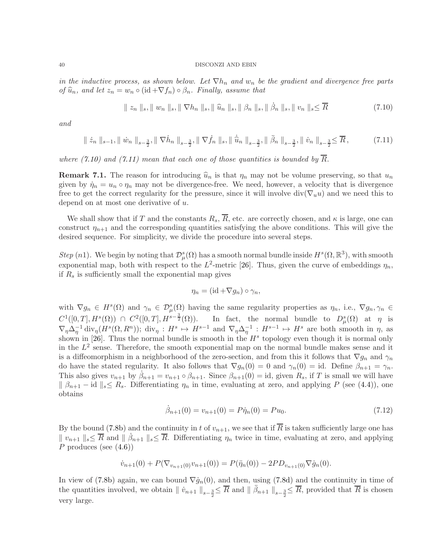in the inductive process, as shown below. Let  $\nabla h_n$  and  $w_n$  be the gradient and divergence free parts of  $\widehat{u}_n$ , and let  $z_n = w_n \circ (\mathrm{id} + \nabla f_n) \circ \beta_n$ . Finally, assume that

<span id="page-39-0"></span>
$$
\| z_n \|_{s}, \| w_n \|_{s}, \| \nabla h_n \|_{s}, \| \widehat{u}_n \|_{s}, \| \beta_n \|_{s}, \| \dot{\beta}_n \|_{s}, \| v_n \|_{s} \leq \overline{R}
$$
\n(7.10)

and

$$
\| \n\dot{z}_n \|_{s-1}, \| \n\dot{w}_n \|_{s-\frac{3}{2}}, \| \nabla \dot{h}_n \|_{s-\frac{3}{2}}, \| \nabla \dot{f}_n \|_{s}, \| \n\dot{\hat{u}}_n \|_{s-\frac{3}{2}}, \| \n\ddot{\beta}_n \|_{s-\frac{3}{2}}, \| \n\dot{v}_n \|_{s-\frac{3}{2}} \leq \overline{R},
$$
\n(7.11)

where [\(7.10\)](#page-39-0) and [\(7.11\)](#page-39-1) mean that each one of those quantities is bounded by  $\overline{R}$ .

**Remark 7.1.** The reason for introducing  $\hat{u}_n$  is that  $\eta_n$  may not be volume preserving, so that  $u_n$ given by  $\eta_n = u_n \circ \eta_n$  may not be divergence-free. We need, however, a velocity that is divergence free to get the correct regularity for the pressure, since it will involve div( $\nabla_u u$ ) and we need this to depend on at most one derivative of u.

We shall show that if T and the constants  $R_s$ ,  $\overline{R}$ , etc. are correctly chosen, and  $\kappa$  is large, one can construct  $\eta_{n+1}$  and the corresponding quantities satisfying the above conditions. This will give the desired sequence. For simplicity, we divide the procedure into several steps.

Step (n1). We begin by noting that  $\mathcal{D}_{\mu}^{s}(\Omega)$  has a smooth normal bundle inside  $H^{s}(\Omega,\mathbb{R}^{3})$ , with smooth exponential map, both with respect to the  $L^2$ -metric [\[26\]](#page-53-1). Thus, given the curve of embeddings  $\eta_n$ , if  $R_s$  is sufficiently small the exponential map gives

<span id="page-39-1"></span>
$$
\eta_n = (\mathrm{id} + \nabla g_n) \circ \gamma_n,
$$

with  $\nabla g_n \in H^s(\Omega)$  and  $\gamma_n \in \mathcal{D}_{\mu}^s(\Omega)$  having the same regularity properties as  $\eta_n$ , i.e.,  $\nabla g_n, \gamma_n \in$  $C^1([0,T], H^s(\Omega)) \cap C^2([0,T], H^{s-\frac{3}{2}}(\Omega)).$  In fact, the normal bundle to  $D^s_\mu(\Omega)$  at  $\eta$  is  $\nabla_{\eta} \Delta_{\eta}^{-1} \operatorname{div}_{\eta} (H^s(\Omega, R^n))$ ; div $_{\eta}: H^s \mapsto H^{s-1}$  and  $\nabla_{\eta} \Delta_{\eta}^{-1} : H^{s-1} \mapsto H^s$  are both smooth in  $\eta$ , as shown in [\[26\]](#page-53-1). Thus the normal bundle is smooth in the  $H<sup>s</sup>$  topology even though it is normal only in the  $L^2$  sense. Therefore, the smooth exponential map on the normal bundle makes sense and it is a diffeomorphism in a neighborhood of the zero-section, and from this it follows that  $\nabla g_n$  and  $\gamma_n$ do have the stated regularity. It also follows that  $\nabla g_n(0) = 0$  and  $\gamma_n(0) = id$ . Define  $\beta_{n+1} = \gamma_n$ . This also gives  $v_{n+1}$  by  $\beta_{n+1} = v_{n+1} \circ \beta_{n+1}$ . Since  $\beta_{n+1}(0) = id$ , given  $R_s$ , if T is small we will have  $\| \beta_{n+1} - \mathrm{id} \|_{s} \leq R_s$ . Differentiating  $\eta_n$  in time, evaluating at zero, and applying P (see [\(4.4\)](#page-12-0)), one obtains

<span id="page-39-2"></span>
$$
\dot{\beta}_{n+1}(0) = v_{n+1}(0) = P\dot{\eta}_n(0) = Pu_0.
$$
\n(7.12)

By the bound [\(7.8b\)](#page-38-2) and the continuity in t of  $v_{n+1}$ , we see that if  $\overline{R}$  is taken sufficiently large one has  $||v_{n+1}||_{s} \leq \overline{R}$  and  $||\dot{\beta}_{n+1}||_{s} \leq \overline{R}$ . Differentiating  $\eta_n$  twice in time, evaluating at zero, and applying P produces (see  $(4.6)$ )

$$
\dot{v}_{n+1}(0) + P(\nabla_{v_{n+1}(0)} v_{n+1}(0)) = P(\ddot{\eta}_n(0)) - 2PD_{v_{n+1}(0)} \nabla \dot{g}_n(0).
$$

In view of [\(7.8b\)](#page-38-2) again, we can bound  $\nabla \dot{g}_n(0)$ , and then, using [\(7.8d\)](#page-38-3) and the continuity in time of the quantities involved, we obtain  $\| \dot{v}_{n+1} \|_{s-\frac{3}{2}} \leq \overline{R}$  and  $\| \dot{\beta}_{n+1} \|_{s-\frac{3}{2}} \leq \overline{R}$ , provided that  $\overline{R}$  is chosen very large.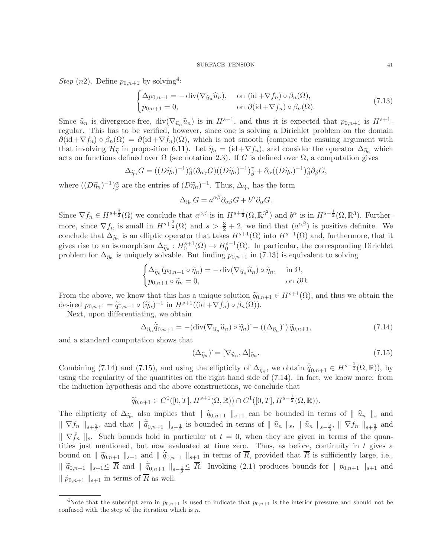Step  $(n2)$ . Define  $p_{0,n+1}$  by solving<sup>[4](#page-40-0)</sup>:

$$
\begin{cases} \Delta p_{0,n+1} = -\operatorname{div}(\nabla_{\widehat{u}_n} \widehat{u}_n), & \text{on } (\operatorname{id} + \nabla f_n) \circ \beta_n(\Omega), \\ p_{0,n+1} = 0, & \text{on } \partial(\operatorname{id} + \nabla f_n) \circ \beta_n(\Omega). \end{cases}
$$
(7.13)

Since  $\hat{u}_n$  is divergence-free, div( $\nabla_{\hat{u}_n} \hat{u}_n$ ) is in  $H^{s-1}$ , and thus it is expected that  $p_{0,n+1}$  is  $H^{s+1}$ regular. This has to be verified, however, since one is solving a Dirichlet problem on the domain  $\partial(\mathrm{id} + \nabla f_n) \circ \beta_n(\Omega) = \partial(\mathrm{id} + \nabla f_n)(\Omega)$ , which is not smooth (compare the ensuing argument with that involving  $\mathcal{H}_{\tilde{\eta}}$  in proposition [6.11\)](#page-25-1). Let  $\tilde{\eta}_n = (\text{id} + \nabla f_n)$ , and consider the operator  $\Delta_{\tilde{\eta}_n}$  which acts on functions defined over  $\Omega$  (see notation [2.3\)](#page-8-1). If G is defined over  $\Omega$ , a computation gives

$$
\Delta_{\widetilde{\eta}_n} G = ((D\widetilde{\eta}_n)^{-1})^{\alpha}_{\beta} (\partial_{\alpha\gamma} G)((D\widetilde{\eta}_n)^{-1})^{\gamma}_{\beta} + \partial_{\alpha} ((D\widetilde{\eta}_n)^{-1})^{\alpha}_{\beta} \partial_{\beta} G,
$$

where  $((D\tilde{\eta}_n)^{-1})^{\alpha}_{\beta}$  are the entries of  $(D\tilde{\eta}_n)^{-1}$ . Thus,  $\Delta_{\tilde{\eta}_n}$  has the form

<span id="page-40-1"></span>
$$
\Delta_{\widetilde{\eta}_n} G = a^{\alpha \beta} \partial_{\alpha \beta} G + b^{\alpha} \partial_{\alpha} G.
$$

Since  $\nabla f_n \in H^{s+\frac{3}{2}}(\Omega)$  we conclude that  $a^{\alpha\beta}$  is in  $H^{s+\frac{1}{2}}(\Omega,\mathbb{R}^3)$  and  $b^{\alpha}$  is in  $H^{s-\frac{1}{2}}(\Omega,\mathbb{R}^3)$ . Furthermore, since  $\nabla f_n$  is small in  $H^{s+\frac{3}{2}}(\Omega)$  and  $s > \frac{3}{2}+2$ , we find that  $(a^{\alpha\beta})$  is positive definite. We conclude that  $\Delta_{\tilde{\eta}_n}$  is an elliptic operator that takes  $H^{s+1}(\Omega)$  into  $H^{s-1}(\Omega)$  and, furthermore, that it gives rise to an isomorphism  $\Delta_{\tilde{\eta}_n}: H_0^{s+1}(\Omega) \to H_0^{s-1}(\Omega)$ . In particular, the corresponding Dirichlet problem for  $\Delta_{\tilde{\eta}_n}$  is uniquely solvable. But finding  $p_{0,n+1}$  in [\(7.13\)](#page-40-1) is equivalent to solving

$$
\begin{cases} \Delta_{\widetilde{\eta}_n}(p_{0,n+1}\circ\widetilde{\eta}_n)=-\operatorname{div}(\nabla_{\widehat{u}_n}\widehat{u}_n)\circ\widetilde{\eta}_n, & \text{in }\Omega, \\ p_{0,n+1}\circ\widetilde{\eta}_n=0, & \text{on }\partial\Omega. \end{cases}
$$

From the above, we know that this has a unique solution  $\widetilde{q}_{0,n+1} \in H^{s+1}(\Omega)$ , and thus we obtain the desired  $p_{0,n+1} = \widetilde{q}_{0,n+1} \circ (\widetilde{\eta}_n)^{-1}$  in  $H^{s+1}((id + \nabla f_n) \circ \beta_n(\Omega)).$ 

Next, upon differentiating, we obtain

$$
\Delta_{\widetilde{\eta}_n} \dot{\widetilde{q}}_{0,n+1} = -(\text{div}(\nabla_{\widehat{u}_n} \widehat{u}_n) \circ \widetilde{\eta}_n) - ((\Delta_{\widetilde{\eta}_n})^{\cdot}) \widetilde{q}_{0,n+1},
$$
\n(7.14)

and a standard computation shows that

<span id="page-40-3"></span><span id="page-40-2"></span>
$$
(\Delta_{\widetilde{\eta}_n}) = [\nabla_{\widehat{u}_n}, \Delta]_{\widetilde{\eta}_n}.\tag{7.15}
$$

Combining [\(7.14\)](#page-40-2) and [\(7.15\)](#page-40-3), and using the ellipticity of  $\Delta_{\tilde{\eta}_n}$ , we obtain  $\dot{\tilde{q}}_{0,n+1} \in H^{s-\frac{1}{2}}(\Omega,\mathbb{R})$ , by using the regularity of the quantities on the right hand side of [\(7.14\)](#page-40-2). In fact, we know more: from the induction hypothesis and the above constructions, we conclude that

$$
\widetilde{q}_{0,n+1} \in C^0([0,T],H^{s+1}(\Omega,\mathbb{R})) \cap C^1([0,T],H^{s-\frac{1}{2}}(\Omega,\mathbb{R})).
$$

The ellipticity of  $\Delta_{\tilde{\eta}_n}$  also implies that  $\|\tilde{q}_{0,n+1}\|_{s+1}$  can be bounded in terms of  $\|\hat{u}_n\|_s$  and  $\| \nabla f_n \|_{s+\frac{3}{2}},$  and that  $\|\nabla f_n \|_{s-\frac{1}{2}}$  is bounded in terms of  $\|\nabla f_n \|_{s,\frac{3}{2}}, \|\nabla f_n \|_{s+\frac{3}{2}}$  and  $\|\nabla \dot{f}_n\|_{s}$ . Such bounds hold in particular at  $t = 0$ , when they are given in terms of the quantities just mentioned, but now evaluated at time zero. Thus, as before, continuity in  $t$  gives a bound on  $\| \tilde{q}_{0,n+1} \|_{s+1}$  and  $\| \tilde{q}_{0,n+1} \|_{s+1}$  in terms of  $\overline{R}$ , provided that  $\overline{R}$  is sufficiently large, i.e.,  $\parallel \tilde{q}_{0,n+1} \parallel_{s+1} \leq \overline{R}$  and  $\parallel \tilde{q}_{0,n+1} \parallel_{s-\frac{1}{2}} \leq \overline{R}$ . Invoking [\(2.1\)](#page-7-4) produces bounds for  $\parallel p_{0,n+1} \parallel_{s+1}$  and  $\|\dot{p}_{0,n+1}\|_{s+1}$  in terms of  $\overline{R}$  as well.

<span id="page-40-0"></span><sup>&</sup>lt;sup>4</sup>Note that the subscript zero in  $p_{0,n+1}$  is used to indicate that  $p_{0,n+1}$  is the interior pressure and should not be confused with the step of the iteration which is  $n$ .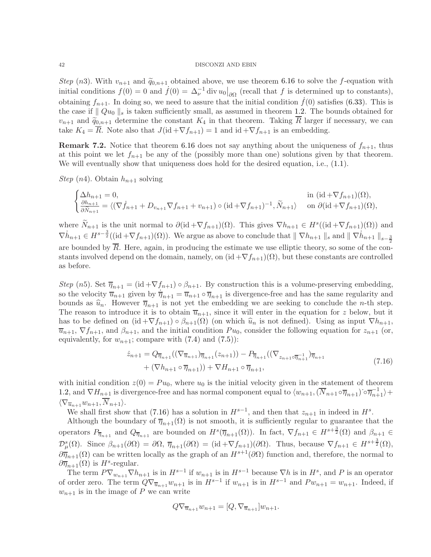Step (n3). With  $v_{n+1}$  and  $\tilde{q}_{0,n+1}$  obtained above, we use theorem [6.16](#page-32-0) to solve the f-equation with initial conditions  $f(0) = 0$  and  $\dot{f}(0) = \Delta_{\nu}^{-1} \text{div } u_0 \big|_{\partial \Omega}$  (recall that f is determined up to constants), obtaining  $f_{n+1}$ . In doing so, we need to assure that the initial condition  $f(0)$  satisfies [\(6.33\)](#page-32-0). This is the case if  $\| Qu_0 \|_{s}$  is taken sufficiently small, as assumed in theorem [1.2.](#page-3-0) The bounds obtained for  $v_{n+1}$  and  $\widetilde{q}_{0,n+1}$  determine the constant  $K_4$  in that theorem. Taking  $\overline{R}$  larger if necessary, we can take  $K_4 = R$ . Note also that  $J(\mathrm{id} + \nabla f_{n+1}) = 1$  and  $\mathrm{id} + \nabla f_{n+1}$  is an embedding.

**Remark 7.2.** Notice that theorem [6.16](#page-32-0) does not say anything about the uniqueness of  $f_{n+1}$ , thus at this point we let  $f_{n+1}$  be any of the (possibly more than one) solutions given by that theorem. We will eventually show that uniqueness does hold for the desired equation, i.e.,  $(1.1)$ .

*Step* (*n*4). Obtain  $h_{n+1}$  solving

$$
\begin{cases} \Delta h_{n+1} = 0, & \text{in } (\mathrm{id} + \nabla f_{n+1})(\Omega), \\ \frac{\partial h_{n+1}}{\partial \tilde{N}_{n+1}} = \langle (\nabla \dot{f}_{n+1} + D_{v_{n+1}} \nabla f_{n+1} + v_{n+1}) \circ (\mathrm{id} + \nabla f_{n+1})^{-1}, \tilde{N}_{n+1} \rangle & \text{on } \partial(\mathrm{id} + \nabla f_{n+1})(\Omega), \end{cases}
$$

where  $\widetilde{N}_{n+1}$  is the unit normal to  $\partial(\mathrm{id} + \nabla f_{n+1})(\Omega)$ . This gives  $\nabla h_{n+1} \in H^s((\mathrm{id} + \nabla f_{n+1})(\Omega))$  and  $\nabla \dot{h}_{n+1} \in H^{s-\frac{3}{2}}((\mathrm{id} + \nabla f_{n+1})(\Omega)).$  We argue as above to conclude that  $\| \nabla h_{n+1} \|_{s}$  and  $\| \nabla \dot{h}_{n+1} \|_{s-\frac{3}{2}}$ are bounded by  $\overline{R}$ . Here, again, in producing the estimate we use elliptic theory, so some of the constants involved depend on the domain, namely, on  $(id + \nabla f_{n+1})(\Omega)$ , but these constants are controlled as before.

Step (n5). Set  $\overline{\eta}_{n+1} = (\mathrm{id} + \nabla f_{n+1}) \circ \beta_{n+1}$ . By construction this is a volume-preserving embedding, so the velocity  $\overline{u}_{n+1}$  given by  $\overline{\eta}_{n+1} = \overline{u}_{n+1} \circ \overline{\eta}_{n+1}$  is divergence-free and has the same regularity and bounds as  $\hat{u}_n$ . However  $\overline{\eta}_{n+1}$  is not yet the embedding we are seeking to conclude the *n*-th step. The reason to introduce it is to obtain  $\overline{u}_{n+1}$ , since it will enter in the equation for z below, but it has to be defined on  $(id + \nabla f_{n+1}) \circ \beta_{n+1}(\Omega)$  (on which  $\hat{u}_n$  is not defined). Using as input  $\nabla h_{n+1}$ ,  $\overline{u}_{n+1}$ ,  $\nabla f_{n+1}$ , and  $\beta_{n+1}$ , and the initial condition  $Pu_0$ , consider the following equation for  $z_{n+1}$  (or, equivalently, for  $w_{n+1}$ ; compare with  $(7.4)$  and  $(7.5)$ :

<span id="page-41-0"></span>
$$
\dot{z}_{n+1} = Q_{\overline{\eta}_{n+1}}((\nabla_{\overline{u}_{n+1}})_{\overline{\eta}_{n+1}}(z_{n+1})) - P_{\overline{\eta}_{n+1}}((\nabla_{z_{n+1}\circ\overline{\eta}_{n+1}})_{\overline{\eta}_{n+1}} + (\nabla h_{n+1}\circ\overline{\eta}_{n+1})) + \nabla H_{n+1}\circ\overline{\eta}_{n+1},
$$
\n(7.16)

with initial condition  $z(0) = Pu_0$ , where  $u_0$  is the initial velocity given in the statement of theorem [1.2,](#page-3-0) and  $\nabla H_{n+1}$  is divergence-free and has normal component equal to  $\langle w_{n+1},(\overline{N}_{n+1} \circ \overline{\eta}_{n+1}) \circ \overline{\eta}_{n+1}^{-1} \rangle$ +  $\langle \nabla_{\overline{u}_{n+1}} w_{n+1}, \nabla_{n+1} \rangle.$ 

We shall first show that [\(7.16\)](#page-41-0) has a solution in  $H^{s-1}$ , and then that  $z_{n+1}$  in indeed in  $H^s$ .

Although the boundary of  $\overline{\eta}_{n+1}(\Omega)$  is not smooth, it is sufficiently regular to guarantee that the operators  $P_{\overline{\eta}_{n+1}}$  and  $Q_{\overline{\eta}_{n+1}}$  are bounded on  $H^s(\overline{\eta}_{n+1}(\Omega))$ . In fact,  $\nabla f_{n+1} \in H^{s+\frac{3}{2}}(\Omega)$  and  $\beta_{n+1} \in$  $\mathcal{D}_{\mu}^{s}(\Omega)$ . Since  $\beta_{n+1}(\partial\Omega) = \partial\Omega, \overline{\eta}_{n+1}(\partial\Omega) = (\text{id} + \nabla f_{n+1})(\partial\Omega)$ . Thus, because  $\nabla f_{n+1} \in H^{s+\frac{3}{2}}(\Omega)$ ,  $\partial \overline{\eta}_{n+1}(\Omega)$  can be written locally as the graph of an  $H^{s+1}(\partial \Omega)$  function and, therefore, the normal to  $\partial \overline{\eta}_{n+1}(\Omega)$  is  $H^s$ -regular.

The term  $P\nabla_{w_{n+1}} \nabla h_{n+1}$  is in  $H^{s-1}$  if  $w_{n+1}$  is in  $H^{s-1}$  because  $\nabla h$  is in  $H^s$ , and P is an operator of order zero. The term  $Q\nabla_{\overline{u}_{n+1}}w_{n+1}$  is in  $H^{s-1}$  if  $w_{n+1}$  is in  $H^{s-1}$  and  $Pw_{n+1} = w_{n+1}$ . Indeed, if  $w_{n+1}$  is in the image of P we can write

$$
Q\nabla_{\overline{u}_{n+1}}w_{n+1} = [Q, \nabla_{\overline{u}_{n+1}}]w_{n+1}.
$$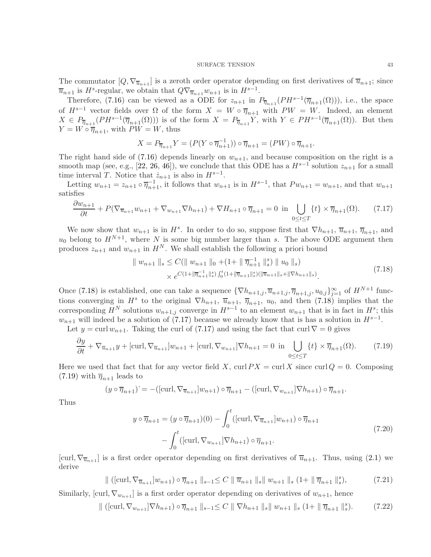The commutator  $[Q, \nabla_{\overline{u}_{n+1}}]$  is a zeroth order operator depending on first derivatives of  $\overline{u}_{n+1}$ ; since  $\overline{u}_{n+1}$  is  $H^s$ -regular, we obtain that  $Q\nabla_{\overline{u}_{n+1}}w_{n+1}$  is in  $H^{s-1}$ .

Therefore, [\(7.16\)](#page-41-0) can be viewed as a ODE for  $z_{n+1}$  in  $P_{\overline{\eta}_{n+1}}(PH^{s-1}(\overline{\eta}_{n+1}(\Omega)))$ , i.e., the space of  $H^{s-1}$  vector fields over  $\Omega$  of the form  $X = W \circ \overline{\eta}_{n+1}$  with  $PW = W$ . Indeed, an element  $X \in P_{\overline{\eta}_{n+1}}(PH^{s-1}(\overline{\eta}_{n+1}(\Omega)))$  is of the form  $X = P_{\overline{\eta}_{n+1}}Y$ , with  $Y \in PH^{s-1}(\overline{\eta}_{n+1}(\Omega))$ . But then  $Y = W \circ \overline{\eta}_{n+1}$ , with  $PW = W$ , thus

<span id="page-42-1"></span>
$$
X = P_{\overline{\eta}_{n+1}} Y = (P(Y \circ \overline{\eta}_{n+1}^{-1})) \circ \overline{\eta}_{n+1} = (PW) \circ \overline{\eta}_{n+1}.
$$

The right hand side of  $(7.16)$  depends linearly on  $w_{n+1}$ , and because composition on the right is a smooth map (see, e.g., [\[22,](#page-53-25) [26,](#page-53-1) [46\]](#page-54-21)), we conclude that this ODE has a  $H^{s-1}$  solution  $z_{n+1}$  for a small time interval T. Notice that  $\dot{z}_{n+1}$  is also in  $H^{s-1}$ .

Letting  $w_{n+1} = z_{n+1} \circ \overline{\eta}_{n+1}^{-1}$ , it follows that  $w_{n+1}$  is in  $H^{s-1}$ , that  $P w_{n+1} = w_{n+1}$ , and that  $w_{n+1}$ satisfies

$$
\frac{\partial w_{n+1}}{\partial t} + P(\nabla_{\overline{u}_{n+1}} w_{n+1} + \nabla_{w_{n+1}} \nabla h_{n+1}) + \nabla H_{n+1} \circ \overline{\eta}_{n+1} = 0 \text{ in } \bigcup_{0 \le t \le T} \{t\} \times \overline{\eta}_{n+1}(\Omega). \tag{7.17}
$$

We now show that  $w_{n+1}$  is in  $H^s$ . In order to do so, suppose first that  $\nabla h_{n+1}$ ,  $\overline{u}_{n+1}$ ,  $\overline{\eta}_{n+1}$ , and  $u_0$  belong to  $H^{N+1}$ , where N is some big number larger than s. The above ODE argument then produces  $z_{n+1}$  and  $w_{n+1}$  in  $H^N$ . We shall establish the following a priori bound

<span id="page-42-0"></span>
$$
\| w_{n+1} \|_{s} \le C (\| w_{n+1} \|_{0} + (1 + \| \overline{\eta}_{n+1}^{-1} \|_{s}^{s}) \| u_{0} \|_{s})
$$
  
 
$$
\times e^{C(1 + \| \overline{\eta}_{n+1}^{-1} \|_{s}^{s}) \int_{0}^{t} (1 + \| \overline{\eta}_{n+1} \|_{s}^{s}) (\| \overline{u}_{n+1} \|_{s} + \| \nabla h_{n+1} \|_{s})}.
$$
 (7.18)

Once [\(7.18\)](#page-42-0) is established, one can take a sequence  $\{\nabla h_{n+1,j}, \overline{u}_{n+1,j}, \overline{\eta}_{n+1,j}, u_{0,j}\}_{j=1}^{\infty}$  of  $H^{N+1}$  functions converging in  $H^s$  to the original  $\nabla h_{n+1}$ ,  $\overline{u}_{n+1}$ ,  $\overline{\eta}_{n+1}$ ,  $u_0$ , and then [\(7.18\)](#page-42-0) implies that the corresponding  $H^N$  solutions  $w_{n+1,j}$  converge in  $H^{s-1}$  to an element  $w_{n+1}$  that is in fact in  $H^s$ ; this  $w_{n+1}$  will indeed be a solution of [\(7.17\)](#page-42-1) because we already know that is has a solution in  $H^{s-1}$ .

Let  $y = \text{curl } w_{n+1}$ . Taking the curl of [\(7.17\)](#page-42-1) and using the fact that curl  $\nabla = 0$  gives

$$
\frac{\partial y}{\partial t} + \nabla_{\overline{u}_{n+1}} y + [\text{curl}, \nabla_{\overline{u}_{n+1}}] w_{n+1} + [\text{curl}, \nabla_{w_{n+1}}] \nabla h_{n+1} = 0 \text{ in } \bigcup_{0 \le t \le T} \{t\} \times \overline{\eta}_{n+1}(\Omega). \tag{7.19}
$$

Here we used that fact that for any vector field X, curl  $PX = \text{curl }X$  since curl  $Q = 0$ . Composing  $(7.19)$  with  $\overline{\eta}_{n+1}$  leads to

$$
(y \circ \overline{\eta}_{n+1})^{\cdot} = -([\text{curl}, \nabla_{\overline{u}_{n+1}}]w_{n+1}) \circ \overline{\eta}_{n+1} - ([\text{curl}, \nabla_{w_{n+1}}] \nabla h_{n+1}) \circ \overline{\eta}_{n+1}.
$$

Thus

<span id="page-42-5"></span><span id="page-42-4"></span><span id="page-42-3"></span><span id="page-42-2"></span>
$$
y \circ \overline{\eta}_{n+1} = (y \circ \overline{\eta}_{n+1})(0) - \int_0^t ([\operatorname{curl}, \nabla_{\overline{u}_{n+1}}] w_{n+1}) \circ \overline{\eta}_{n+1}
$$
  

$$
- \int_0^t ([\operatorname{curl}, \nabla_{w_{n+1}}] \nabla h_{n+1}) \circ \overline{\eta}_{n+1}.
$$
 (7.20)

[curl,  $\nabla_{\overline{u}_{n+1}}$ ] is a first order operator depending on first derivatives of  $\overline{u}_{n+1}$ . Thus, using [\(2.1\)](#page-7-4) we derive

$$
\| (\text{[curl}, \nabla_{\overline{u}_{n+1}}] w_{n+1}) \circ \overline{\eta}_{n+1} \|_{s-1} \leq C \| \overline{u}_{n+1} \|_{s} \| w_{n+1} \|_{s} (1 + \| \overline{\eta}_{n+1} \|_{s}^{s}), \tag{7.21}
$$

Similarly, [curl,  $\nabla_{w_{n+1}}$ ] is a first order operator depending on derivatives of  $w_{n+1}$ , hence

$$
\| (\text{[curl}, \nabla_{w_{n+1}}] \nabla h_{n+1}) \circ \overline{\eta}_{n+1} \|_{s-1} \leq C \| \nabla h_{n+1} \|_{s} \| w_{n+1} \|_{s} (1 + \| \overline{\eta}_{n+1} \|_{s}^{s}). \tag{7.22}
$$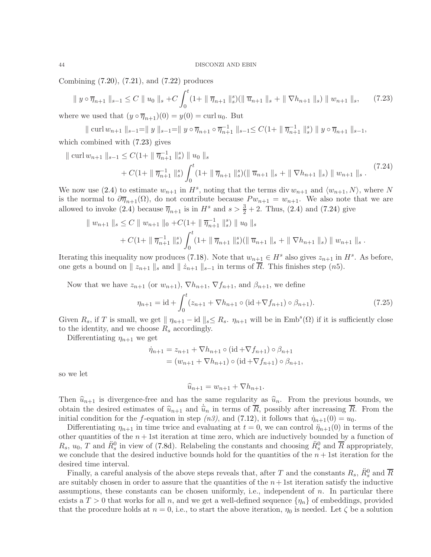Combining [\(7.20\)](#page-42-3), [\(7.21\)](#page-42-4), and [\(7.22\)](#page-42-5) produces

$$
\|y \circ \overline{\eta}_{n+1}\|_{s-1} \le C \|u_0\|_{s} + C \int_0^t (1 + \|\overline{\eta}_{n+1}\|_{s}^s) (\|\overline{u}_{n+1}\|_{s} + \|\nabla h_{n+1}\|_{s}) \|w_{n+1}\|_{s}, \qquad (7.23)
$$

where we used that  $(y \circ \overline{\eta}_{n+1})(0) = y(0) = \text{curl } u_0$ . But

<span id="page-43-0"></span> $\| \operatorname{curl} w_{n+1} \|_{s-1} = \| y \|_{s-1} = \| y \circ \overline{\eta}_{n+1} \circ \overline{\eta}_{n+1}^{-1} \|_{s-1} \leq C(1 + \| \overline{\eta}_{n+1}^{-1} \|_{s}^{s}) \| y \circ \overline{\eta}_{n+1} \|_{s-1},$ 

which combined with [\(7.23\)](#page-43-0) gives

$$
\| \operatorname{curl} w_{n+1} \|_{s-1} \le C(1 + \| \overline{\eta}_{n+1}^{-1} \|_{s}^{s}) \| u_{0} \|_{s} + C(1 + \| \overline{\eta}_{n+1}^{-1} \|_{s}^{s}) \int_{0}^{t} (1 + \| \overline{\eta}_{n+1} \|_{s}^{s}) (\| \overline{u}_{n+1} \|_{s} + \| \nabla h_{n+1} \|_{s}) \| w_{n+1} \|_{s}.
$$
 (7.24)

We now use [\(2.4\)](#page-8-2) to estimate  $w_{n+1}$  in  $H^s$ , noting that the terms div  $w_{n+1}$  and  $\langle w_{n+1}, N \rangle$ , where N is the normal to  $\partial \overline{\eta}_{n+1}(\Omega)$ , do not contribute because  $P w_{n+1} = w_{n+1}$ . We also note that we are allowed to invoke [\(2.4\)](#page-8-2) because  $\overline{\eta}_{n+1}$  is in  $H^s$  and  $s > \frac{3}{2} + 2$ . Thus, (2.4) and [\(7.24\)](#page-43-1) give

$$
\| w_{n+1} \|_{s} \leq C \| w_{n+1} \|_{0} + C \left( 1 + \| \overline{\eta}_{n+1}^{-1} \|_{s}^{s} \right) \| u_{0} \|_{s}
$$
  
+  $C \left( 1 + \| \overline{\eta}_{n+1}^{-1} \|_{s}^{s} \right) \int_{0}^{t} \left( 1 + \| \overline{\eta}_{n+1} \|_{s}^{s} \right) \left( \| \overline{u}_{n+1} \|_{s} + \| \nabla h_{n+1} \|_{s} \right) \| w_{n+1} \|_{s} .$ 

Iterating this inequality now produces [\(7.18\)](#page-42-0). Note that  $w_{n+1} \in H^s$  also gives  $z_{n+1}$  in  $H^s$ . As before, one gets a bound on  $\| z_{n+1} \|_{s}$  and  $\| \dot{z}_{n+1} \|_{s-1}$  in terms of  $\overline{R}$ . This finishes step (n5).

Now that we have  $z_{n+1}$  (or  $w_{n+1}$ ),  $\nabla h_{n+1}$ ,  $\nabla f_{n+1}$ , and  $\beta_{n+1}$ , we define

<span id="page-43-1"></span>
$$
\eta_{n+1} = \mathrm{id} + \int_0^t (z_{n+1} + \nabla h_{n+1} \circ (\mathrm{id} + \nabla f_{n+1}) \circ \beta_{n+1}).\tag{7.25}
$$

Given  $R_s$ , if T is small, we get  $|| \eta_{n+1} - id ||_{s} \leq R_s$ .  $\eta_{n+1}$  will be in  $Emb^s(\Omega)$  if it is sufficiently close to the identity, and we choose  $R_s$  accordingly.

Differentiating  $\eta_{n+1}$  we get

$$
\dot{\eta}_{n+1} = z_{n+1} + \nabla h_{n+1} \circ (\mathrm{id} + \nabla f_{n+1}) \circ \beta_{n+1} \n= (w_{n+1} + \nabla h_{n+1}) \circ (\mathrm{id} + \nabla f_{n+1}) \circ \beta_{n+1},
$$

so we let

<span id="page-43-2"></span>
$$
\widehat{u}_{n+1} = w_{n+1} + \nabla h_{n+1}.
$$

Then  $\hat{u}_{n+1}$  is divergence-free and has the same regularity as  $\hat{u}_n$ . From the previous bounds, we obtain the desired estimates of  $\hat{u}_{n+1}$  and  $\hat{u}_n$  in terms of  $\overline{R}$ , possibly after increasing  $\overline{R}$ . From the initial condition for the f-equation in step (n3), and [\(7.12\)](#page-39-2), it follows that  $\dot{\eta}_{n+1}(0) = u_0$ .

Differentiating  $\eta_{n+1}$  in time twice and evaluating at  $t = 0$ , we can control  $\ddot{\eta}_{n+1}(0)$  in terms of the other quantities of the  $n + 1$ st iteration at time zero, which are inductively bounded by a function of  $R_s$ ,  $u_0$ , T and  $\ddot{R}_s^0$  in view of [\(7.8d\)](#page-38-3). Relabeling the constants and choosing  $\ddot{R}_s^0$  and  $\overline{R}$  appropriately, we conclude that the desired inductive bounds hold for the quantities of the  $n + 1$ st iteration for the desired time interval.

Finally, a careful analysis of the above steps reveals that, after T and the constants  $R_s$ ,  $\ddot{R}^0_s$  and  $\overline{R}$ are suitably chosen in order to assure that the quantities of the  $n+1$ st iteration satisfy the inductive assumptions, these constants can be chosen uniformly, i.e., independent of n. In particular there exists a  $T > 0$  that works for all n, and we get a well-defined sequence  $\{\eta_n\}$  of embeddings, provided that the procedure holds at  $n = 0$ , i.e., to start the above iteration,  $\eta_0$  is needed. Let  $\zeta$  be a solution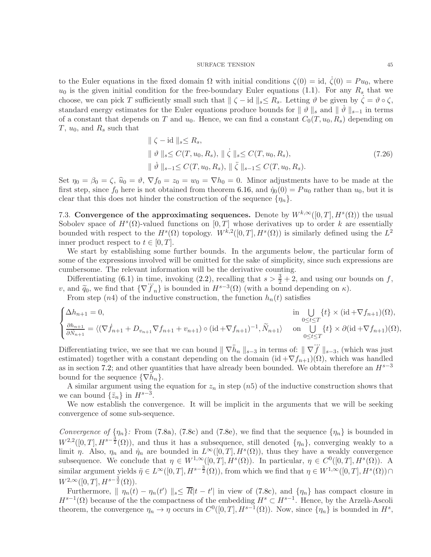to the Euler equations in the fixed domain  $\Omega$  with initial conditions  $\zeta(0) = id$ ,  $\dot{\zeta}(0) = Pu_0$ , where  $u_0$  is the given initial condition for the free-boundary Euler equations [\(1.1\)](#page-1-0). For any  $R_s$  that we choose, we can pick T sufficiently small such that  $\|\zeta - id\|_{s} \leq R_s$ . Letting  $\vartheta$  be given by  $\zeta = \vartheta \circ \zeta$ , standard energy estimates for the Euler equations produce bounds for  $\|\vartheta\|_{s}$  and  $\|\vartheta\|_{s-1}$  in terms of a constant that depends on T and  $u_0$ . Hence, we can find a constant  $C_0(T, u_0, R_s)$  depending on  $T, u_0$ , and  $R_s$  such that

<span id="page-44-1"></span>
$$
\|\zeta - id\|_{s} \le R_{s},
$$
  
\n
$$
\|\vartheta\|_{s} \le C(T, u_{0}, R_{s}), \|\dot{\zeta}\|_{s} \le C(T, u_{0}, R_{s}),
$$
  
\n
$$
\|\dot{\vartheta}\|_{s-1} \le C(T, u_{0}, R_{s}), \|\ddot{\zeta}\|_{s-1} \le C(T, u_{0}, R_{s}).
$$
\n(7.26)

Set  $\eta_0 = \beta_0 = \zeta$ ,  $\hat{u}_0 = \vartheta$ ,  $\nabla f_0 = z_0 = w_0 = \nabla h_0 = 0$ . Minor adjustments have to be made at the first step, since  $f_0$  here is not obtained from theorem [6.16,](#page-32-0) and  $\dot{\eta}_0(0) = Pu_0$  rather than  $u_0$ , but it is clear that this does not hinder the construction of the sequence  $\{\eta_n\}$ .

<span id="page-44-0"></span>7.3. Convergence of the approximating sequences. Denote by  $W^{k,\infty}([0,T], H^s(\Omega))$  the usual Sobolev space of  $H^s(\Omega)$ -valued functions on  $[0, T]$  whose derivatives up to order k are essentially bounded with respect to the  $H^s(\Omega)$  topology.  $W^{k,2}([0,T], H^s(\Omega))$  is similarly defined using the  $L^2$ inner product respect to  $t \in [0, T]$ .

We start by establishing some further bounds. In the arguments below, the particular form of some of the expressions involved will be omitted for the sake of simplicity, since such expressions are cumbersome. The relevant information will be the derivative counting.

Differentiating [\(6.1\)](#page-19-1) in time, invoking [\(2.2\)](#page-7-3), recalling that  $s > \frac{3}{2} + 2$ , and using our bounds on f, v, and  $\widetilde{q}_0$ , we find that  $\{\nabla \ddot{f}_n\}$  is bounded in  $H^{s-3}(\Omega)$  (with a bound depending on  $\kappa$ ).

From step (n4) of the inductive construction, the function  $h_n(t)$  satisfies

$$
\begin{cases} \Delta h_{n+1} = 0, & \text{in } \bigcup_{0 \le t \le T} \{t\} \times (\mathrm{id} + \nabla f_{n+1})(\Omega), \\ \frac{\partial h_{n+1}}{\partial \tilde{N}_{n+1}} = \langle (\nabla f_{n+1} + D_{v_{n+1}} \nabla f_{n+1} + v_{n+1}) \circ (\mathrm{id} + \nabla f_{n+1})^{-1}, \tilde{N}_{n+1} \rangle & \text{on } \bigcup_{0 \le t \le T} \{t\} \times \partial (\mathrm{id} + \nabla f_{n+1})(\Omega), \end{cases}
$$

Differentiating twice, we see that we can bound  $\| \nabla \ddot{h}_n \|_{s-3}$  in terms of:  $\| \nabla$  $f \parallel_{s=3}$ , (which was just estimated) together with a constant depending on the domain  $(id + \nabla f_{n+1})(\Omega)$ , which was handled as in section [7.2;](#page-38-0) and other quantities that have already been bounded. We obtain therefore an  $H^{s-3}$ bound for the sequence  $\{\nabla \ddot{h}_n\}.$ 

A similar argument using the equation for  $z_n$  in step  $(n5)$  of the inductive construction shows that we can bound  $\{\ddot{z}_n\}$  in  $H^{s-3}$ .

We now establish the convergence. It will be implicit in the arguments that we will be seeking convergence of some sub-sequence.

Convergence of  $\{\eta_n\}$ : From [\(7.8a\)](#page-38-4), [\(7.8c\)](#page-38-5) and [\(7.8e\)](#page-38-6), we find that the sequence  $\{\eta_n\}$  is bounded in  $W^{2,2}([0,T], H^{s-\frac{3}{2}}(\Omega))$ , and thus it has a subsequence, still denoted  $\{\eta_n\}$ , converging weakly to a limit  $\eta$ . Also,  $\eta_n$  and  $\dot{\eta}_n$  are bounded in  $L^{\infty}([0,T], H^s(\Omega))$ , thus they have a weakly convergence subsequence. We conclude that  $\eta \in W^{1,\infty}([0,T], H^s(\Omega))$ . In particular,  $\eta \in C^0([0,T], H^s(\Omega))$ . A similar argument yields  $\eta \in L^{\infty}([0,T], H^{s-\frac{3}{2}}(\Omega))$ , from which we find that  $\eta \in W^{1,\infty}([0,T], H^s(\Omega)) \cap$  $W^{2,\infty}([0,T],H^{s-\frac{3}{2}}(\Omega)).$ 

Furthermore,  $\| \eta_n(t) - \eta_n(t') \|_{s} \le R|t - t'|$  in view of [\(7.8c\)](#page-38-5), and  $\{\eta_n\}$  has compact closure in  $H^{s-1}(\Omega)$  because of the the compactness of the embedding  $H^s \subset H^{s-1}$ . Hence, by the Arzelà-Ascoli theorem, the convergence  $\eta_n \to \eta$  occurs in  $C^0([0,T], H^{s-1}(\Omega))$ . Now, since  $\{\eta_n\}$  is bounded in  $H^s$ ,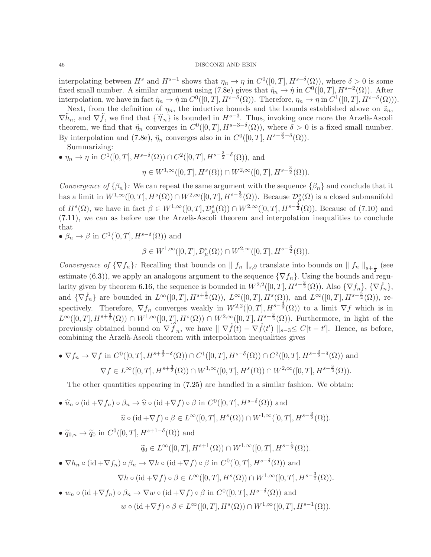interpolating between  $H^s$  and  $H^{s-1}$  shows that  $\eta_n \to \eta$  in  $C^0([0,T], H^{s-\delta}(\Omega))$ , where  $\delta > 0$  is some fixed small number. A similar argument using [\(7.8e\)](#page-38-6) gives that  $\eta_n \to \eta$  in  $C^0([0,T], H^{s-2}(\Omega))$ . After interpolation, we have in fact  $\eta_n \to \eta$  in  $C^0([0,T], H^{s-\delta}(\Omega))$ . Therefore,  $\eta_n \to \eta$  in  $C^1([0,T], H^{s-\delta}(\Omega))$ .

Next, from the definition of  $\eta_n$ , the inductive bounds and the bounds established above on  $\ddot{z}_n$ , Next, from the definition of  $\eta_n$ , the inductive bounds and the bounds established above on  $z_n$ ,<br> $\nabla \ddot{h}_n$ , and  $\nabla \ddot{f}$ , we find that  $\{\ddot{\eta}_n\}$  is bounded in  $H^{s-3}$ . Thus, invoking once more the Arzelà-Ascol theorem, we find that  $\ddot{\eta}_n$  converges in  $C^0([0,T], H^{s-3-\delta}(\Omega))$ , where  $\delta > 0$  is a fixed small number. By interpolation and [\(7.8e\)](#page-38-6),  $\ddot{\eta}_n$  converges also in in  $C^0([0,T], H^{s-\frac{3}{2}-\delta}(\Omega)).$ 

Summarizing:

•  $\eta_n \to \eta$  in  $C^1([0,T], H^{s-\delta}(\Omega)) \cap C^2([0,T], H^{s-\frac{3}{2}-\delta}(\Omega))$ , and  $\eta \in W^{1,\infty}([0,T],H^s(\Omega)) \cap W^{2,\infty}([0,T],H^{s-\frac{3}{2}}(\Omega)).$ 

Convergence of  $\{\beta_n\}$ : We can repeat the same argument with the sequence  $\{\beta_n\}$  and conclude that it has a limit in  $W^{1,\infty}([0,T], H^s(\Omega)) \cap W^{2,\infty}([0,T], H^{s-\frac{3}{2}}(\Omega))$ . Because  $\mathcal{D}_{\mu}^s(\Omega)$  is a closed submanifold of  $H^s(\Omega)$ , we have in fact  $\beta \in W^{1,\infty}([0,T], \mathcal{D}^s_\mu(\Omega)) \cap W^{2,\infty}([0,T], H^{s-\frac{3}{2}}(\Omega))$ . Because of [\(7.10\)](#page-39-0) and  $(7.11)$ , we can as before use the Arzelà-Ascoli theorem and interpolation inequalities to conclude that

•  $\beta_n \to \beta$  in  $C^1([0,T], H^{s-\delta}(\Omega))$  and

 $\beta \in W^{1,\infty}([0,T], \mathcal{D}^s_\mu(\Omega)) \cap W^{2,\infty}([0,T], H^{s-\frac{3}{2}}(\Omega)).$ 

Convergence of  $\{\nabla f_n\}$ : Recalling that bounds on  $\|f_n\|_{s,\partial}$  translate into bounds on  $\|f_n\|_{s+\frac{1}{2}}$  (see estimate [\(6.3\)](#page-20-0)), we apply an analogous argument to the sequence  $\{\nabla f_n\}$ . Using the bounds and regu-larity given by theorem [6.16,](#page-32-0) the sequence is bounded in  $W^{2,2}([0,T], H^{s-\frac{3}{2}}(\Omega))$ . Also  $\{\nabla f_n\}$ ,  $\{\nabla \dot{f}_n\}$ , and  $\{\nabla \ddot{f}_n\}$  are bounded in  $L^{\infty}([0,T], H^{s+\frac{3}{2}}(\Omega))$ ,  $L^{\infty}([0,T], H^s(\Omega))$ , and  $L^{\infty}([0,T], H^{s-\frac{3}{2}}(\Omega))$ , respectively. Therefore,  $\nabla f_n$  converges weakly in  $W^{2,2}([0,T], H_s^{s-\frac{3}{2}}(\Omega))$  to a limit  $\nabla f$  which is in  $L^{\infty}([0,T], H^{s+\frac{3}{2}}(\Omega)) \cap W^{1,\infty}([0,T], H^s(\Omega)) \cap W^{2,\infty}([0,T], H^{s-\frac{3}{2}}(\Omega)).$  Furthermore, in light of the previously obtained bound on  $\nabla \ddot{f}_n$ , we have  $\|\nabla \ddot{f}(t) - \nabla \ddot{f}(t') \|_{s-3} \leq C|t-t'|$ . Hence, as before, combining the Arzelà-Ascoli theorem with interpolation inequalities gives

• 
$$
\nabla f_n \to \nabla f
$$
 in  $C^0([0, T], H^{s + \frac{3}{2} - \delta}(\Omega)) \cap C^1([0, T], H^{s - \delta}(\Omega)) \cap C^2([0, T], H^{s - \frac{3}{2} - \delta}(\Omega))$  and  
\n
$$
\nabla f \in L^\infty([0, T], H^{s + \frac{3}{2}}(\Omega)) \cap W^{1, \infty}([0, T], H^s(\Omega)) \cap W^{2, \infty}([0, T], H^{s - \frac{3}{2}}(\Omega)).
$$

The other quantities appearing in [\(7.25\)](#page-43-2) are handled in a similar fashion. We obtain:

• 
$$
\hat{u}_n \circ (\text{id} + \nabla f_n) \circ \beta_n \to \hat{u} \circ (\text{id} + \nabla f) \circ \beta
$$
 in  $C^0([0, T], H^{s-\delta}(\Omega))$  and  
\n $\hat{u} \circ (\text{id} + \nabla f) \circ \beta \in L^\infty([0, T], H^s(\Omega)) \cap W^{1, \infty}([0, T], H^{s-\frac{3}{2}}(\Omega)).$ 

•  $\widetilde{q}_{0,n} \to \widetilde{q}_0$  in  $C^0([0,T], H^{s+1-\delta}(\Omega))$  and

$$
\widetilde{q}_0 \in L^{\infty}([0,T], H^{s+1}(\Omega)) \cap W^{1,\infty}([0,T], H^{s-\frac{1}{2}}(\Omega)).
$$

•  $\nabla h_n \circ (\mathrm{id} + \nabla f_n) \circ \beta_n \to \nabla h \circ (\mathrm{id} + \nabla f) \circ \beta \text{ in } C^0([0, T], H^{s-\delta}(\Omega)) \text{ and }$ 

$$
\nabla h \circ (\mathrm{id} + \nabla f) \circ \beta \in L^{\infty}([0, T], H^s(\Omega)) \cap W^{1, \infty}([0, T], H^{s - \frac{3}{2}}(\Omega)).
$$

•  $w_n \circ (\mathrm{id} + \nabla f_n) \circ \beta_n \to \nabla w \circ (\mathrm{id} + \nabla f) \circ \beta$  in  $C^0([0, T], H^{s-\delta}(\Omega))$  and  $w \circ (\mathrm{id} + \nabla f) \circ \beta \in L^{\infty}([0, T], H^s(\Omega)) \cap W^{1, \infty}([0, T], H^{s-1}(\Omega)).$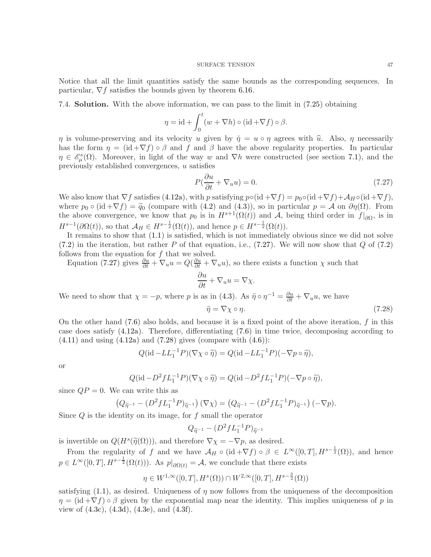Notice that all the limit quantities satisfy the same bounds as the corresponding sequences. In particular,  $\nabla f$  satisfies the bounds given by theorem [6.16.](#page-32-0)

<span id="page-46-0"></span>7.4. Solution. With the above information, we can pass to the limit in [\(7.25\)](#page-43-2) obtaining

$$
\eta = \mathrm{id} + \int_0^t (w + \nabla h) \circ (\mathrm{id} + \nabla f) \circ \beta.
$$

 $\eta$  is volume-preserving and its velocity u given by  $\dot{\eta} = u \circ \eta$  agrees with  $\hat{u}$ . Also,  $\eta$  necessarily has the form  $\eta = (\mathrm{id} + \nabla f) \circ \beta$  and f and  $\beta$  have the above regularity properties. In particular  $\eta \in \mathscr{E}_{\mu}^{s}(\Omega)$ . Moreover, in light of the way w and  $\nabla h$  were constructed (see section [7.1\)](#page-37-1), and the previously established convergences,  $u$  satisfies

<span id="page-46-1"></span>
$$
P(\frac{\partial u}{\partial t} + \nabla_u u) = 0.
$$
 (7.27)

We also know that  $\nabla f$  satisfies [\(4.12a\)](#page-13-1), with p satisfying  $p \circ (\mathrm{id} + \nabla f) = p_0 \circ (\mathrm{id} + \nabla f) + A_H \circ (\mathrm{id} + \nabla f)$ , where  $p_0 \circ (\mathrm{id} + \nabla f) = \tilde{q}_0$  (compare with [\(4.2\)](#page-11-3) and [\(4.3\)](#page-11-3)), so in particular  $p = \mathcal{A}$  on  $\partial \eta(\Omega)$ . From the above convergence, we know that  $p_0$  is in  $H^{s+1}(\Omega(t))$  and A, being third order in  $f|_{\partial\Omega}$ , is in  $H^{s-1}(\partial \Omega(t))$ , so that  $\mathcal{A}_H \in H^{s-\frac{1}{2}}(\Omega(t))$ , and hence  $p \in H^{s-\frac{1}{2}}(\Omega(t))$ .

It remains to show that  $(1.1)$  is satisfied, which is not immediately obvious since we did not solve  $(7.2)$  in the iteration, but rather P of that equation, i.e.,  $(7.27)$ . We will now show that Q of  $(7.2)$ follows from the equation for  $f$  that we solved.

Equation [\(7.27\)](#page-46-1) gives  $\frac{\partial u}{\partial t} + \nabla_u u = Q(\frac{\partial u}{\partial t} + \nabla_u u)$ , so there exists a function  $\chi$  such that

$$
\frac{\partial u}{\partial t} + \nabla_u u = \nabla \chi.
$$

We need to show that  $\chi = -p$ , where p is as in [\(4.3\)](#page-11-3). As  $\ddot{\eta} \circ \eta^{-1} = \frac{\partial u}{\partial t} + \nabla_u u$ , we have

<span id="page-46-2"></span>
$$
\ddot{\eta} = \nabla \chi \circ \eta. \tag{7.28}
$$

On the other hand  $(7.6)$  also holds, and because it is a fixed point of the above iteration, f in this case does satisfy [\(4.12a\)](#page-13-1). Therefore, differentiating [\(7.6\)](#page-38-1) in time twice, decomposing according to  $(4.11)$  and using  $(4.12a)$  and  $(7.28)$  gives (compare with  $(4.6)$ ):

$$
Q(\mathrm{id} - LL_1^{-1}P)(\nabla \chi \circ \widetilde{\eta}) = Q(\mathrm{id} - LL_1^{-1}P)(-\nabla p \circ \widetilde{\eta}),
$$

or

$$
Q(\mathrm{id} - D^2 f L_1^{-1} P)(\nabla \chi \circ \widetilde{\eta}) = Q(\mathrm{id} - D^2 f L_1^{-1} P)(-\nabla p \circ \widetilde{\eta}),
$$

since  $QP = 0$ . We can write this as

$$
(Q_{\widetilde{\eta}^{-1}} - (D^2 f L_1^{-1} P)_{\widetilde{\eta}^{-1}}) (\nabla \chi) = (Q_{\widetilde{\eta}^{-1}} - (D^2 f L_1^{-1} P)_{\widetilde{\eta}^{-1}}) (-\nabla p).
$$

Since  $Q$  is the identity on its image, for  $f$  small the operator

$$
Q_{\widetilde{\eta}^{-1}} - (D^2 f L_1^{-1} P)_{\widetilde{\eta}^{-1}}
$$

is invertible on  $Q(H^s(\tilde{\eta}(\Omega)))$ , and therefore  $\nabla \chi = -\nabla p$ , as desired.

From the regularity of f and we have  $\mathcal{A}_H \circ (\mathrm{id} + \nabla f) \circ \beta \in L^{\infty}([0,T], H^{s-\frac{1}{2}}(\Omega)),$  and hence  $p \in L^{\infty}([0,T], H^{s-\frac{1}{2}}(\Omega(t)))$ . As  $p|_{\partial \Omega(t)} = A$ , we conclude that there exists

$$
\eta \in W^{1,\infty}([0,T],H^s(\Omega)) \cap W^{2,\infty}([0,T],H^{s-\frac{3}{2}}(\Omega))
$$

satisfying [\(1.1\)](#page-1-0), as desired. Uniqueness of  $\eta$  now follows from the uniqueness of the decomposition  $\eta = (\mathrm{id} + \nabla f) \circ \beta$  given by the exponential map near the identity. This implies uniqueness of p in view of [\(4.3c\)](#page-12-1), [\(4.3d\)](#page-12-1), [\(4.3e\)](#page-12-1), and [\(4.3f\)](#page-12-1).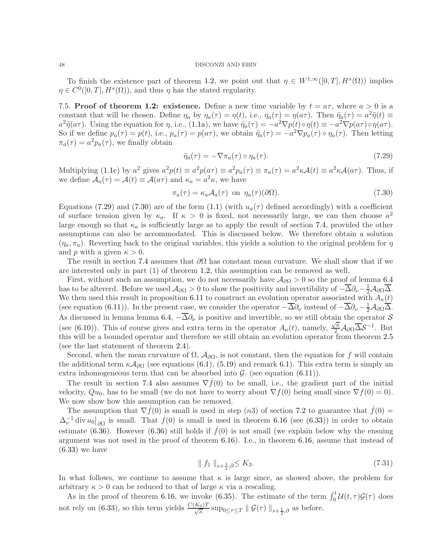To finish the existence part of theorem [1.2,](#page-3-0) we point out that  $\eta \in W^{1,\infty}([0,T], H^s(\Omega))$  implies  $\eta \in C^0([0,T],H^s(\Omega))$ , and thus  $\eta$  has the stated regularity.

<span id="page-47-0"></span>7.5. Proof of theorem [1.2:](#page-3-0) existence. Define a new time variable by  $t = a\tau$ , where  $a > 0$  is a constant that will be chosen. Define  $\eta_a$  by  $\eta_a(\tau) = \eta(t)$ , i.e.,  $\eta_a(\tau) = \eta(a\tau)$ . Then  $\ddot{\eta}_a(\tau) = a^2 \ddot{\eta}(t) = a^2 \ddot{\eta}(t)$  $a^2 \ddot{\eta}(a\tau)$ . Using the equation for  $\eta$ , i.e., [\(1.1a\)](#page-1-1), we have  $\ddot{\eta}_a(\tau) = -a^2 \nabla p(t) \circ \eta(t) \equiv -a^2 \nabla p(a\tau) \circ \eta(a\tau)$ . So if we define  $p_a(\tau) = p(t)$ , i.e.,  $p_a(\tau) = p(a\tau)$ , we obtain  $\ddot{\eta}_a(\tau) = -a^2 \nabla p_a(\tau) \circ \eta_a(\tau)$ . Then letting  $\pi_a(\tau) = a^2 p_a(\tau)$ , we finally obtain

<span id="page-47-2"></span><span id="page-47-1"></span>
$$
\ddot{\eta}_a(\tau) = -\nabla \pi_a(\tau) \circ \eta_a(\tau). \tag{7.29}
$$

Multiplying [\(1.1c\)](#page-1-1) by  $a^2$  gives  $a^2p(t) \equiv a^2p(a\tau) \equiv a^2p_a(\tau) \equiv \pi_a(\tau) = a^2\kappa\mathcal{A}(t) \equiv a^2\kappa\mathcal{A}(a\tau)$ . Thus, if we define  $A_a(\tau) = A(t) \equiv A(a\tau)$  and  $\kappa_a = a^2 \kappa$ , we have

$$
\pi_a(\tau) = \kappa_a \mathcal{A}_a(\tau) \text{ on } \eta_a(\tau) (\partial \Omega). \tag{7.30}
$$

Equations [\(7.29\)](#page-47-1) and [\(7.30\)](#page-47-2) are of the form [\(1.1\)](#page-1-0) (with  $u_a(\tau)$  defined accordingly) with a coefficient of surface tension given by  $\kappa_a$ . If  $\kappa > 0$  is fixed, not necessarily large, we can then choose  $a^2$ large enough so that  $\kappa_a$  is sufficiently large as to apply the result of section [7.4,](#page-46-0) provided the other assumptions can also be accommodated. This is discussed below. We therefore obtain a solution  $(\eta_a, \pi_a)$ . Reverting back to the original variables, this yields a solution to the original problem for  $\eta$ and p with a given  $\kappa > 0$ .

The result in section [7.4](#page-46-0) assumes that  $\partial\Omega$  has constant mean curvature. We shall show that if we are interested only in part (1) of theorem [1.2,](#page-3-0) this assumption can be removed as well.

First, without such an assumption, we do not necessarily have  $\mathcal{A}_{\partial\Omega} > 0$  so the proof of lemma [6.4](#page-20-2) has to be altererd. Before we used  $\mathcal{A}_{\partial\Omega} > 0$  to show the positivity and invertibility of  $-\overline{\Delta}\partial_{\nu} - \frac{1}{2}\mathcal{A}_{\partial\Omega}\overline{\Delta}$ . We then used this result in proposition [6.11](#page-25-1) to construct an evolution operator associated with  $A_{\kappa}(t)$ (see equation [\(6.11\)](#page-22-1)). In the present case, we consider the operator  $-\overline{\Delta}\partial_{\nu}$  instead of  $-\overline{\Delta}\partial_{\nu} - \frac{1}{2}\mathcal{A}_{\partial\Omega}\overline{\Delta}$ . As discussed in lemma lemma [6.4,](#page-20-2)  $-\overline{\Delta}\partial_{\nu}$  is positive and invertible, so we still obtain the operator S (see [\(6.10\)](#page-22-3)). This of course gives and extra term in the operator  $A_{\kappa}(t)$ , namely,  $\frac{\sqrt{\kappa}}{2}A_{\partial\Omega}\overline{\Delta}S^{-1}$ . But this will be a bounded operator and therefore we still obtain an evolution operator from theorem [2.5](#page-9-0) (see the last statement of theorem [2.4\)](#page-9-1).

Second, when the mean curvature of  $\Omega$ ,  $\mathcal{A}_{\partial\Omega}$ , is not constant, then the equation for f will contain the additional term  $\kappa A_{\partial\Omega}$  (see equations [\(6.1\)](#page-19-1), [\(5.19\)](#page-18-1) and remark [6.1\)](#page-19-0). This extra term is simply an extra inhomogeneous term that can be absorbed into  $\mathcal{G}$ . (see equation [\(6.11\)](#page-22-1)).

The result in section [7.4](#page-46-0) also assumes  $\nabla \dot{f}(0)$  to be small, i.e., the gradient part of the initial velocity,  $Qu_0$ , has to be small (we do not have to worry about  $\nabla f(0)$  being small since  $\nabla f(0) = 0$ ). We now show how this assumption can be removed.

The assumption that  $\nabla \dot{f}(0)$  is small is used in step (n3) of section [7.2](#page-38-0) to guarantee that  $\dot{f}(0)$  =  $\Delta_{\nu}^{-1}$  div  $u_0|_{\partial\Omega}$  is small. That  $\dot{f}(0)$  is small is used in theorem [6.16](#page-32-0) (see [\(6.33\)](#page-32-0)) in order to obtain estimate [\(6.36\)](#page-33-2). However (6.36) still holds if  $\dot{f}(0)$  is not small (we explain below why the ensuing argument was not used in the proof of theorem [6.16\)](#page-32-0). I.e., in theorem [6.16,](#page-32-0) assume that instead of [\(6.33\)](#page-32-0) we have

<span id="page-47-3"></span>
$$
\| f_1 \|_{s + \frac{1}{2}, \partial} \le K_3. \tag{7.31}
$$

In what follows, we continue to assume that  $\kappa$  is large since, as showed above, the problem for arbitrary  $\kappa > 0$  can be reduced to that of large  $\kappa$  via a rescaling.

As in the proof of theorem [6.16,](#page-32-0) we invoke [\(6.35\)](#page-33-1). The estimate of the term  $\int_0^t \mathcal{U}(t,\tau) \mathcal{G}(\tau)$  does not rely on [\(6.33\)](#page-32-0), so this term yields  $\frac{C(K_0)T}{\sqrt{\kappa}} \sup_{0 \le \tau \le T} || \mathcal{G}(\tau) ||_{s+\frac{1}{2},\partial}$  as before.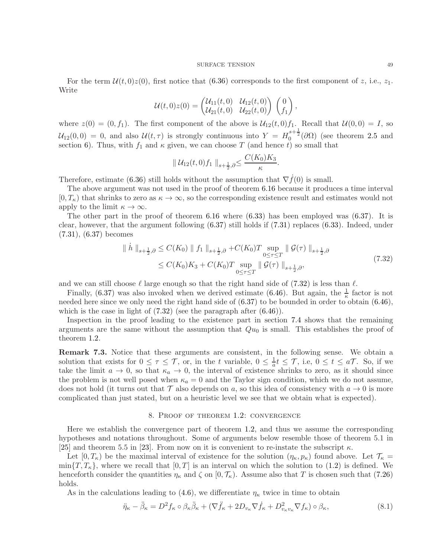For the term  $\mathcal{U}(t, 0)z(0)$ , first notice that [\(6.36\)](#page-33-2) corresponds to the first component of z, i.e.,  $z_1$ . Write

$$
\mathcal{U}(t,0)z(0) = \begin{pmatrix} \mathcal{U}_{11}(t,0) & \mathcal{U}_{12}(t,0) \\ \mathcal{U}_{21}(t,0) & \mathcal{U}_{22}(t,0) \end{pmatrix} \begin{pmatrix} 0 \\ f_1 \end{pmatrix},
$$

where  $z(0) = (0, f_1)$ . The first component of the above is  $\mathcal{U}_{12}(t, 0) f_1$ . Recall that  $\mathcal{U}(0, 0) = I$ , so  $U_{12}(0,0) = 0$ , and also  $U(t,\tau)$  is strongly continuous into  $Y = H_0^{s+\frac{1}{2}}(\partial\Omega)$  (see theorem [2.5](#page-9-0) and section [6\)](#page-18-0). Thus, with  $f_1$  and  $\kappa$  given, we can choose T (and hence t) so small that

<span id="page-48-1"></span>
$$
\| \mathcal{U}_{12}(t,0) f_1 \|_{s+\frac{1}{2},\partial} \leq \frac{C(K_0) K_3}{\kappa}.
$$

Therefore, estimate [\(6.36\)](#page-33-2) still holds without the assumption that  $\nabla \dot{f}(0)$  is small.

The above argument was not used in the proof of theorem [6.16](#page-32-0) because it produces a time interval  $[0, T<sub>\kappa</sub>)$  that shrinks to zero as  $\kappa \to \infty$ , so the corresponding existence result and estimates would not apply to the limit  $\kappa \to \infty$ .

The other part in the proof of theorem  $6.16$  where  $(6.33)$  has been employed was  $(6.37)$ . It is clear, however, that the argument following [\(6.37\)](#page-34-0) still holds if [\(7.31\)](#page-47-3) replaces [\(6.33\)](#page-32-0). Indeed, under [\(7.31\)](#page-47-3), [\(6.37\)](#page-34-0) becomes

$$
\| h \|_{s + \frac{1}{2}, \partial} \le C(K_0) \| f_1 \|_{s + \frac{1}{2}, \partial} + C(K_0) T \sup_{0 \le \tau \le T} \| \mathcal{G}(\tau) \|_{s + \frac{1}{2}, \partial}
$$
  
\n
$$
\le C(K_0) K_3 + C(K_0) T \sup_{0 \le \tau \le T} \| \mathcal{G}(\tau) \|_{s + \frac{1}{2}, \partial},
$$
\n(7.32)

and we can still choose  $\ell$  large enough so that the right hand side of [\(7.32\)](#page-48-1) is less than  $\ell$ .

Finally, [\(6.37\)](#page-34-0) was also invoked when we derived estimate [\(6.46\)](#page-36-1). But again, the  $\frac{1}{\kappa}$  factor is not needed here since we only need the right hand side of [\(6.37\)](#page-34-0) to be bounded in order to obtain [\(6.46\)](#page-36-1), which is the case in light of  $(7.32)$  (see the paragraph after  $(6.46)$ ).

Inspection in the proof leading to the existence part in section [7.4](#page-46-0) shows that the remaining arguments are the same without the assumption that  $Qu<sub>0</sub>$  is small. This establishes the proof of theorem [1.2.](#page-3-0)

Remark 7.3. Notice that these arguments are consistent, in the following sense. We obtain a solution that exists for  $0 \leq \tau \leq \mathcal{T}$ , or, in the t variable,  $0 \leq \frac{1}{a} t \leq \mathcal{T}$ , i.e,  $0 \leq t \leq a\mathcal{T}$ . So, if we take the limit  $a \to 0$ , so that  $\kappa_a \to 0$ , the interval of existence shrinks to zero, as it should since the problem is not well posed when  $\kappa_a = 0$  and the Taylor sign condition, which we do not assume, does not hold (it turns out that  $\mathcal T$  also depends on a, so this idea of consistency with  $a \to 0$  is more complicated than just stated, but on a heuristic level we see that we obtain what is expected).

#### <span id="page-48-2"></span>8. Proof of theorem [1.2:](#page-3-0) convergence

<span id="page-48-0"></span>Here we establish the convergence part of theorem [1.2,](#page-3-0) and thus we assume the corresponding hypotheses and notations throughout. Some of arguments below resemble those of theorem 5.1 in [\[25\]](#page-53-6) and theorem 5.5 in [\[23\]](#page-53-5). From now on it is convenient to re-instate the subscript  $\kappa$ .

Let  $[0, T_{\kappa})$  be the maximal interval of existence for the solution  $(\eta_{\kappa}, p_{\kappa})$  found above. Let  $\mathcal{T}_{\kappa}$  =  $\min\{T, T_{\kappa}\}\,$ , where we recall that  $[0, T]$  is an interval on which the solution to [\(1.2\)](#page-1-1) is defined. We henceforth consider the quantities  $\eta_{\kappa}$  and  $\zeta$  on  $[0, \mathcal{T}_{\kappa})$ . Assume also that T is chosen such that [\(7.26\)](#page-44-1) holds.

As in the calculations leading to [\(4.6\)](#page-12-2), we differentiate  $\eta_{\kappa}$  twice in time to obtain

$$
\ddot{\eta}_{\kappa} - \ddot{\beta}_{\kappa} = D^2 f_{\kappa} \circ \beta_{\kappa} \ddot{\beta}_{\kappa} + (\nabla \ddot{f}_{\kappa} + 2D_{v_{\kappa}} \nabla \dot{f}_{\kappa} + D^2_{v_{\kappa} v_{\kappa}} \nabla f_{\kappa}) \circ \beta_{\kappa},\tag{8.1}
$$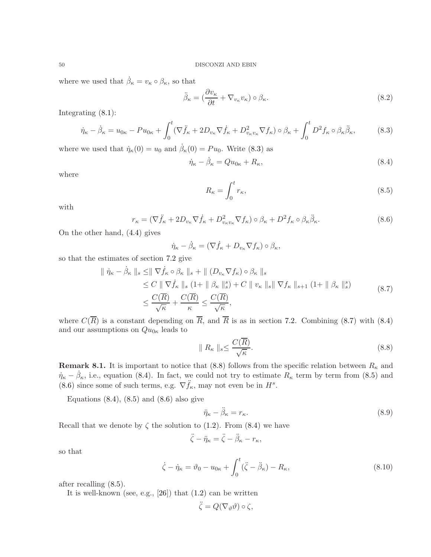where we used that  $\dot{\beta}_{\kappa} = v_{\kappa} \circ \beta_{\kappa}$ , so that

$$
\ddot{\beta}_{\kappa} = \left(\frac{\partial v_{\kappa}}{\partial t} + \nabla_{v_{\kappa}} v_{\kappa}\right) \circ \beta_{\kappa}.\tag{8.2}
$$

Integrating [\(8.1\)](#page-48-2):

$$
\dot{\eta}_{\kappa} - \dot{\beta}_{\kappa} = u_{0\kappa} - Pu_{0\kappa} + \int_0^t (\nabla \ddot{f}_{\kappa} + 2D_{v_{\kappa}} \nabla \dot{f}_{\kappa} + D_{v_{\kappa}v_{\kappa}}^2 \nabla f_{\kappa}) \circ \beta_{\kappa} + \int_0^t D^2 f_{\kappa} \circ \beta_{\kappa} \ddot{\beta}_{\kappa},
$$
(8.3)

where we used that  $\dot{\eta}_{\kappa}(0) = u_0$  and  $\dot{\beta}_{\kappa}(0) = Pu_0$ . Write [\(8.3\)](#page-49-0) as

$$
\dot{\eta}_{\kappa} - \dot{\beta}_{\kappa} = Qu_{0\kappa} + R_{\kappa},\tag{8.4}
$$

where

<span id="page-49-6"></span><span id="page-49-5"></span><span id="page-49-4"></span><span id="page-49-2"></span><span id="page-49-0"></span>
$$
R_{\kappa} = \int_0^t r_{\kappa},\tag{8.5}
$$

with

$$
r_{\kappa} = (\nabla \ddot{f}_{\kappa} + 2D_{v_{\kappa}} \nabla \dot{f}_{\kappa} + D_{v_{\kappa}v_{\kappa}}^2 \nabla f_{\kappa}) \circ \beta_{\kappa} + D^2 f_{\kappa} \circ \beta_{\kappa} \ddot{\beta}_{\kappa}.
$$
\n(8.6)

On the other hand, [\(4.4\)](#page-12-0) gives

$$
\dot{\eta}_{\kappa} - \dot{\beta}_{\kappa} = (\nabla \dot{f}_{\kappa} + D_{v_{\kappa}} \nabla f_{\kappa}) \circ \beta_{\kappa},
$$

so that the estimates of section [7.2](#page-38-0) give

$$
\|\n\dot{\eta}_{\kappa} - \dot{\beta}_{\kappa}\|_{s} \leq \|\nabla \dot{f}_{\kappa} \circ \beta_{\kappa}\|_{s} + \|\left(D_{v_{\kappa}} \nabla f_{\kappa}\right) \circ \beta_{\kappa}\|_{s} \n\leq C \|\nabla \dot{f}_{\kappa}\|_{s} (1 + \|\beta_{\kappa}\|_{s}^{s}) + C \|\nu_{\kappa}\|_{s} \|\nabla f_{\kappa}\|_{s+1} (1 + \|\beta_{\kappa}\|_{s}^{s}) \n\leq \frac{C(\overline{R})}{\sqrt{\kappa}} + \frac{C(\overline{R})}{\kappa} \leq \frac{C(\overline{R})}{\sqrt{\kappa}},
$$
\n(8.7)

where  $C(\overline{R})$  is a constant depending on  $\overline{R}$ , and  $\overline{R}$  is as in section [7.2.](#page-38-0) Combining [\(8.7\)](#page-49-1) with [\(8.4\)](#page-49-2) and our assumptions on  $Qu_{0\kappa}$  leads to

<span id="page-49-3"></span><span id="page-49-1"></span>
$$
\| R_{\kappa} \|_{s} \le \frac{C(\overline{R})}{\sqrt{\kappa}}.
$$
\n(8.8)

**Remark 8.1.** It is important to notice that [\(8.8\)](#page-49-3) follows from the specific relation between  $R_{\kappa}$  and  $\dot{\eta}_{\kappa} - \dot{\beta}_{\kappa}$ , i.e., equation [\(8.4\)](#page-49-2). In fact, we could not try to estimate  $R_{\kappa}$  term by term from [\(8.5\)](#page-49-4) and [\(8.6\)](#page-49-5) since some of such terms, e.g.  $\nabla \ddot{f}_\kappa$ , may not even be in  $H^s$ .

Equations  $(8.4)$ ,  $(8.5)$  and  $(8.6)$  also give

<span id="page-49-7"></span>
$$
\ddot{\eta}_{\kappa} - \ddot{\beta}_{\kappa} = r_{\kappa}.\tag{8.9}
$$

Recall that we denote by  $\zeta$  the solution to [\(1.2\)](#page-1-1). From [\(8.4\)](#page-49-2) we have

$$
\ddot{\zeta} - \ddot{\eta}_{\kappa} = \ddot{\zeta} - \ddot{\beta}_{\kappa} - r_{\kappa},
$$

so that

$$
\dot{\zeta} - \dot{\eta}_{\kappa} = \vartheta_0 - u_{0\kappa} + \int_0^t (\ddot{\zeta} - \ddot{\beta}_{\kappa}) - R_{\kappa}, \tag{8.10}
$$

after recalling [\(8.5\)](#page-49-4).

It is well-known (see, e.g., [\[26\]](#page-53-1)) that [\(1.2\)](#page-1-1) can be written

$$
\ddot{\zeta} = Q(\nabla_{\vartheta} \vartheta) \circ \zeta,
$$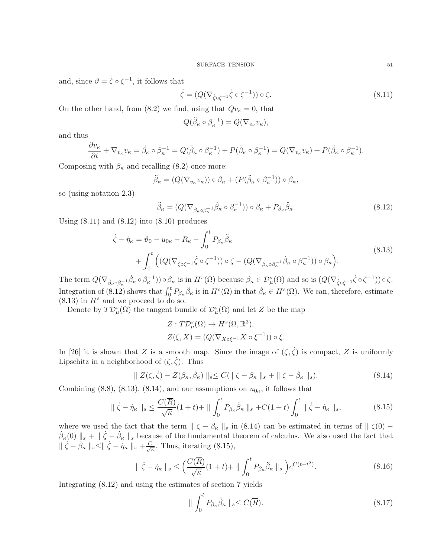and, since  $\vartheta = \dot{\zeta} \circ \zeta^{-1}$ , it follows that

$$
\ddot{\zeta} = (Q(\nabla_{\dot{\zeta}\circ\zeta^{-1}}\dot{\zeta}\circ\zeta^{-1})) \circ \zeta.
$$
\n(8.11)

On the other hand, from [\(8.2\)](#page-49-6) we find, using that  $Qv_{\kappa} = 0$ , that

$$
Q(\ddot{\beta}_{\kappa} \circ \beta_{\kappa}^{-1}) = Q(\nabla_{v_{\kappa}} v_{\kappa}),
$$

and thus

$$
\frac{\partial v_{\kappa}}{\partial t} + \nabla_{v_{\kappa}} v_{\kappa} = \ddot{\beta}_{\kappa} \circ \beta_{\kappa}^{-1} = Q(\ddot{\beta}_{\kappa} \circ \beta_{\kappa}^{-1}) + P(\ddot{\beta}_{\kappa} \circ \beta_{\kappa}^{-1}) = Q(\nabla_{v_{\kappa}} v_{\kappa}) + P(\ddot{\beta}_{\kappa} \circ \beta_{\kappa}^{-1}).
$$

Composing with  $\beta_{\kappa}$  and recalling [\(8.2\)](#page-49-6) once more:

$$
\ddot{\beta}_{\kappa} = (Q(\nabla_{v_{\kappa}} v_{\kappa})) \circ \beta_{\kappa} + (P(\ddot{\beta}_{\kappa} \circ \beta_{\kappa}^{-1})) \circ \beta_{\kappa},
$$

so (using notation [2.3\)](#page-8-1)

$$
\ddot{\beta}_{\kappa} = (Q(\nabla_{\dot{\beta}_{\kappa}\circ\beta_{\kappa}^{-1}}\dot{\beta}_{\kappa}\circ\beta_{\kappa}^{-1})) \circ \beta_{\kappa} + P_{\beta_{\kappa}}\ddot{\beta}_{\kappa}.
$$
\n(8.12)

Using  $(8.11)$  and  $(8.12)$  into  $(8.10)$  produces

$$
\dot{\zeta} - \dot{\eta}_{\kappa} = \vartheta_0 - u_{0\kappa} - R_{\kappa} - \int_0^t P_{\beta_{\kappa}} \ddot{\beta}_{\kappa} + \int_0^t \left( (Q(\nabla_{\dot{\zeta}\circ\zeta^{-1}}\dot{\zeta}\circ\zeta^{-1})) \circ \zeta - (Q(\nabla_{\dot{\beta}_{\kappa}\circ\beta_{\kappa}^{-1}}\dot{\beta}_{\kappa}\circ\beta_{\kappa}^{-1})) \circ \beta_{\kappa} \right).
$$
\n(8.13)

The term  $Q(\nabla_{\dot{\beta}_{\kappa}\circ\beta_{\kappa}^{-1}}\dot{\beta}_{\kappa}\circ\beta_{\kappa}^{-1}))\circ\beta_{\kappa}$  is in  $H^s(\Omega)$  because  $\beta_{\kappa}\in\mathcal{D}_{\mu}^s(\Omega)$  and so is  $(Q(\nabla_{\dot{\zeta}\circ\zeta^{-1}}\dot{\zeta}\circ\zeta^{-1}))\circ\zeta$ . Integration of [\(8.12\)](#page-50-1) shows that  $\int_0^t P_{\beta_{\kappa}} \ddot{\beta}_{\kappa}$  is in  $H^s(\Omega)$  in that  $\dot{\beta}_{\kappa} \in H^s(\Omega)$ . We can, therefore, estimate  $(8.13)$  in  $H<sup>s</sup>$  and we proceed to do so.

Denote by  $T{\mathcal D}^s_{\mu}(\Omega)$  the tangent bundle of  ${\mathcal D}^s_{\mu}(\Omega)$  and let Z be the map

<span id="page-50-3"></span>
$$
Z: T\mathcal{D}^s_\mu(\Omega) \to H^s(\Omega, \mathbb{R}^3),
$$
  

$$
Z(\xi, X) = (Q(\nabla_{X \circ \xi^{-1}} X \circ \xi^{-1})) \circ \xi.
$$

In [\[26\]](#page-53-1) it is shown that Z is a smooth map. Since the image of  $(\zeta, \dot{\zeta})$  is compact, Z is uniformly Lipschitz in a neighborhood of  $(\zeta, \dot{\zeta})$ . Thus

$$
\| Z(\zeta, \dot{\zeta}) - Z(\beta_{\kappa}, \dot{\beta}_{\kappa}) \|_{s} \le C(\| \zeta - \beta_{\kappa} \|_{s} + \| \dot{\zeta} - \dot{\beta}_{\kappa} \|_{s}). \tag{8.14}
$$

Combining [\(8.8\)](#page-49-3), [\(8.13\)](#page-50-2), [\(8.14\)](#page-50-3), and our assumptions on  $u_{0\kappa}$ , it follows that

$$
\|\dot{\zeta} - \dot{\eta}_{\kappa}\|_{s} \le \frac{C(\overline{R})}{\sqrt{\kappa}} (1+t) + \|\int_{0}^{t} P_{\beta_{\kappa}} \ddot{\beta}_{\kappa}\|_{s} + C(1+t) \int_{0}^{t} \|\dot{\zeta} - \dot{\eta}_{\kappa}\|_{s},
$$
(8.15)

where we used the fact that the term  $|| \zeta - \beta_{\kappa} ||_s$  in [\(8.14\)](#page-50-3) can be estimated in terms of  $|| \dot{\zeta}(0) \hat{\beta}_{\kappa}(0) \|_{s} + \| \hat{\zeta} - \hat{\beta}_{\kappa} \|_{s}$  because of the fundamental theorem of calculus. We also used the fact that  $\|\dot{\zeta}-\dot{\beta}_{\kappa}\|_{s}\leq \parallel \dot{\zeta}-\dot{\eta}_{\kappa}\parallel_{s}+\frac{C}{\sqrt{\beta}}$  $\frac{1}{\kappa}$ . Thus, iterating [\(8.15\)](#page-50-4),

$$
\|\dot{\zeta} - \dot{\eta}_{\kappa}\|_{s} \le \left(\frac{C(\overline{R})}{\sqrt{\kappa}}(1+t) + \|\int_{0}^{t} P_{\beta_{\kappa}} \ddot{\beta}_{\kappa}\|_{s}\right) e^{C(t+t^{2})}.
$$
\n(8.16)

Integrating [\(8.12\)](#page-50-1) and using the estimates of section [7](#page-37-0) yields

<span id="page-50-6"></span><span id="page-50-5"></span><span id="page-50-4"></span>
$$
\| \int_0^t P_{\beta_{\kappa}} \ddot{\beta}_{\kappa} \|_s \le C(\overline{R}). \tag{8.17}
$$

<span id="page-50-2"></span><span id="page-50-1"></span><span id="page-50-0"></span>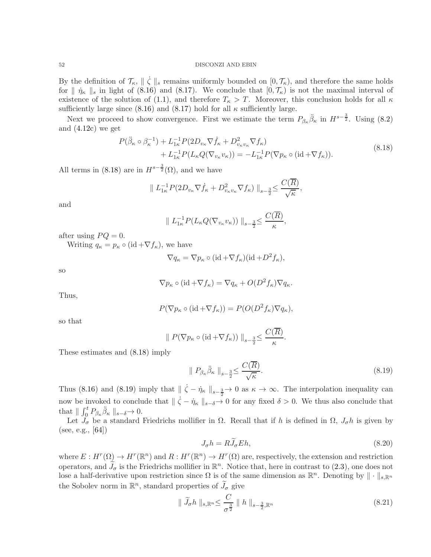By the definition of  $\mathcal{T}_{\kappa}$ ,  $\|\zeta\|_{s}$  remains uniformly bounded on  $[0, \mathcal{T}_{\kappa})$ , and therefore the same holds for  $\|\eta_{\kappa}\|_{s}$  in light of [\(8.16\)](#page-50-5) and [\(8.17\)](#page-50-6). We conclude that  $[0, \mathcal{T}_{\kappa})$  is not the maximal interval of existence of the solution of [\(1.1\)](#page-1-0), and therefore  $T_{\kappa} > T$ . Moreover, this conclusion holds for all  $\kappa$ sufficiently large since [\(8.16\)](#page-50-5) and [\(8.17\)](#page-50-6) hold for all  $\kappa$  sufficiently large.

Next we proceed to show convergence. First we estimate the term  $P_{\beta_{\kappa}}\ddot{\beta}_{\kappa}$  in  $H^{s-\frac{3}{2}}$ . Using [\(8.2\)](#page-49-6) and [\(4.12c\)](#page-13-1) we get

$$
P(\ddot{\beta}_{\kappa} \circ \beta_{\kappa}^{-1}) + L_{1\kappa}^{-1} P(2D_{v_{\kappa}} \nabla \dot{f}_{\kappa} + D_{v_{\kappa}v_{\kappa}}^{2} \nabla f_{\kappa}) + L_{1\kappa}^{-1} P(L_{\kappa} Q(\nabla_{v_{\kappa}} v_{\kappa})) = -L_{1\kappa}^{-1} P(\nabla p_{\kappa} \circ (\mathrm{id} + \nabla f_{\kappa})).
$$
\n(8.18)

All terms in [\(8.18\)](#page-51-0) are in  $H^{s-\frac{3}{2}}(\Omega)$ , and we have

$$
\| L_{1\kappa}^{-1} P(2D_{v_{\kappa}} \nabla \dot{f}_{\kappa} + D_{v_{\kappa}v_{\kappa}}^{2} \nabla f_{\kappa}) \|_{s=\frac{3}{2}} \leq \frac{C(R)}{\sqrt{\kappa}},
$$

and

<span id="page-51-0"></span>
$$
\| L_{1\kappa}^{-1} P(L_{\kappa} Q(\nabla_{v_{\kappa}} v_{\kappa})) \|_{s-\frac{3}{2}} \leq \frac{C(\overline{R})}{\kappa},
$$

after using  $PQ = 0$ .

Writing  $q_{\kappa} = p_{\kappa} \circ (\mathrm{id} + \nabla f_{\kappa})$ , we have

$$
\nabla q_{\kappa} = \nabla p_{\kappa} \circ (\mathrm{id} + \nabla f_{\kappa})(\mathrm{id} + D^2 f_{\kappa}),
$$

so

$$
\nabla p_{\kappa} \circ (\mathrm{id} + \nabla f_{\kappa}) = \nabla q_{\kappa} + O(D^2 f_{\kappa}) \nabla q_{\kappa}.
$$

Thus,

$$
P(\nabla p_{\kappa} \circ (\mathrm{id} + \nabla f_{\kappa})) = P(O(D^{2} f_{\kappa}) \nabla q_{\kappa}),
$$

so that

$$
|| P(\nabla p_\kappa \circ (\mathrm{id} + \nabla f_\kappa)) ||_{s - \frac{3}{2}} \leq \frac{C(\overline{R})}{\kappa}.
$$

These estimates and [\(8.18\)](#page-51-0) imply

<span id="page-51-1"></span>
$$
\| P_{\beta\kappa} \ddot{\beta}_{\kappa} \|_{s=\frac{3}{2}} \le \frac{C(\overline{R})}{\sqrt{\kappa}}.
$$
\n(8.19)

Thus [\(8.16\)](#page-50-5) and [\(8.19\)](#page-51-1) imply that  $\|\zeta - \eta_{\kappa}\|_{s-\frac{3}{2}} \to 0$  as  $\kappa \to \infty$ . The interpolation inequality can now be invoked to conclude that  $\|\n\zeta - \eta_{\kappa}\|_{s-\delta} \to 0$  for any fixed  $\delta > 0$ . We thus also conclude that that  $\| \int_0^t P_{\beta\kappa} \dot{\beta}_{\kappa} \|_{s-\delta} \to 0.$ 

Let  $J_{\sigma}$  be a standard Friedrichs mollifier in  $\Omega$ . Recall that if h is defined in  $\Omega$ ,  $J_{\sigma}h$  is given by (see, e.g., [\[64\]](#page-55-9))

<span id="page-51-3"></span><span id="page-51-2"></span>
$$
J_{\sigma}h = R\tilde{J}_{\sigma}Eh,\tag{8.20}
$$

where  $E: H^r(\Omega) \to H^r(\mathbb{R}^n)$  and  $R: H^r(\mathbb{R}^n) \to H^r(\Omega)$  are, respectively, the extension and restriction operators, and  $\tilde{J}_{\sigma}$  is the Friedrichs mollifier in  $\mathbb{R}^n$ . Notice that, here in contrast to [\(2.3\)](#page-8-0), one does not lose a half-derivative upon restriction since  $\Omega$  is of the same dimension as  $\mathbb{R}^n$ . Denoting by  $\|\cdot\|_{s,\mathbb{R}^n}$ the Sobolev norm in  $\mathbb{R}^n$ , standard properties of  $\widetilde{J}_{\sigma}$  give

$$
\parallel \widetilde{J}_{\sigma}h \parallel_{s,\mathbb{R}^n} \leq \frac{C}{\sigma^{\frac{3}{2}}} \parallel h \parallel_{s-\frac{3}{2},\mathbb{R}^n}
$$
\n(8.21)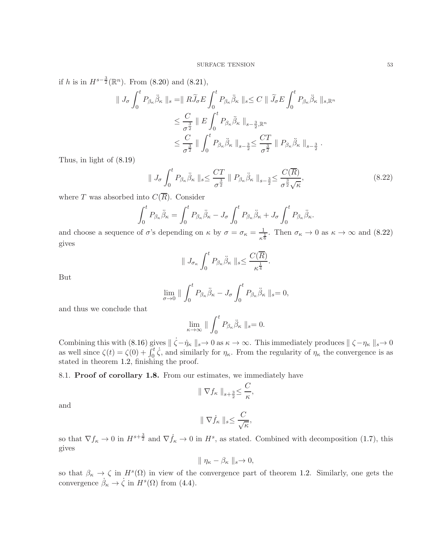if h is in  $H^{s-\frac{3}{2}}(\mathbb{R}^n)$ . From  $(8.20)$  and  $(8.21)$ ,

$$
\begin{split} \parallel J_{\sigma} \int_{0}^{t} P_{\beta_{\kappa}} \ddot{\beta}_{\kappa} \parallel_{s} &= \parallel R \widetilde{J}_{\sigma} E \int_{0}^{t} P_{\beta_{\kappa}} \ddot{\beta}_{\kappa} \parallel_{s} \leq C \parallel \widetilde{J}_{\sigma} E \int_{0}^{t} P_{\beta_{\kappa}} \ddot{\beta}_{\kappa} \parallel_{s, \mathbb{R}^{n}} \\ &\leq \frac{C}{\sigma^{\frac{3}{2}}} \parallel E \int_{0}^{t} P_{\beta_{\kappa}} \ddot{\beta}_{\kappa} \parallel_{s - \frac{3}{2}, \mathbb{R}^{n}} \\ &\leq \frac{C}{\sigma^{\frac{3}{2}}} \parallel \int_{0}^{t} P_{\beta_{\kappa}} \ddot{\beta}_{\kappa} \parallel_{s - \frac{3}{2}} \leq \frac{CT}{\sigma^{\frac{3}{2}}} \parallel P_{\beta_{\kappa}} \ddot{\beta}_{\kappa} \parallel_{s - \frac{3}{2}}. \end{split}
$$

Thus, in light of [\(8.19\)](#page-51-1)

$$
\parallel J_{\sigma} \int_{0}^{t} P_{\beta_{\kappa}} \ddot{\beta}_{\kappa} \parallel_{s} \leq \frac{CT}{\sigma^{\frac{3}{2}}} \parallel P_{\beta_{\kappa}} \ddot{\beta}_{\kappa} \parallel_{s-\frac{3}{2}} \leq \frac{C(\overline{R})}{\sigma^{\frac{3}{2}} \sqrt{\kappa}},
$$
\n(8.22)

where T was absorbed into  $C(\overline{R})$ . Consider

$$
\int_0^t P_{\beta_{\kappa}} \ddot{\beta}_{\kappa} = \int_0^t P_{\beta_{\kappa}} \ddot{\beta}_{\kappa} - J_{\sigma} \int_0^t P_{\beta_{\kappa}} \ddot{\beta}_{\kappa} + J_{\sigma} \int_0^t P_{\beta_{\kappa}} \ddot{\beta}_{\kappa}.
$$

and choose a sequence of  $\sigma$ 's depending on  $\kappa$  by  $\sigma = \sigma_{\kappa} = \frac{1}{\kappa^{\frac{1}{6}}}$ . Then  $\sigma_{\kappa} \to 0$  as  $\kappa \to \infty$  and [\(8.22\)](#page-52-1) gives

<span id="page-52-1"></span>
$$
\| J_{\sigma_{\kappa}} \int_0^t P_{\beta_{\kappa}} \ddot{\beta}_{\kappa} \|_{s} \leq \frac{C(\overline{R})}{\kappa^{\frac{1}{4}}}.
$$

But

$$
\lim_{\sigma \to 0} \| \int_0^t P_{\beta_{\kappa}} \ddot{\beta}_{\kappa} - J_{\sigma} \int_0^t P_{\beta_{\kappa}} \ddot{\beta}_{\kappa} \|_s = 0,
$$

and thus we conclude that

$$
\lim_{\kappa \to \infty} \| \int_0^t P_{\beta_\kappa} \ddot{\beta}_\kappa \|_s = 0.
$$

Combining this with [\(8.16\)](#page-50-5) gives  $\|\n\zeta - \eta_{\kappa}\|_{s} \to 0$  as  $\kappa \to \infty$ . This immediately produces  $\|\n\zeta - \eta_{\kappa}\|_{s} \to 0$ as well since  $\zeta(t) = \zeta(0) + \int_0^t \dot{\zeta}$ , and similarly for  $\eta_{\kappa}$ . From the regularity of  $\eta_{\kappa}$  the convergence is as stated in theorem [1.2,](#page-3-0) finishing the proof.

<span id="page-52-0"></span>8.1. Proof of corollary [1.8.](#page-4-0) From our estimates, we immediately have

$$
\| \nabla f_{\kappa} \|_{s+\frac{3}{2}} \leq \frac{C}{\kappa},
$$

and

$$
\| \nabla \dot{f}_{\kappa} \|_{s} \leq \frac{C}{\sqrt{\kappa}},
$$

so that  $\nabla f_{\kappa} \to 0$  in  $H^{s+\frac{3}{2}}$  and  $\nabla \dot{f}_{\kappa} \to 0$  in  $H^s$ , as stated. Combined with decomposition [\(1.7\)](#page-3-1), this gives

$$
\parallel \eta_{\kappa} - \beta_{\kappa} \parallel_{s} \to 0,
$$

so that  $\beta_{\kappa} \to \zeta$  in  $H^s(\Omega)$  in view of the convergence part of theorem [1.2.](#page-3-0) Similarly, one gets the convergence  $\dot{\beta}_{\kappa} \to \dot{\zeta}$  in  $H^s(\Omega)$  from [\(4.4\)](#page-12-0).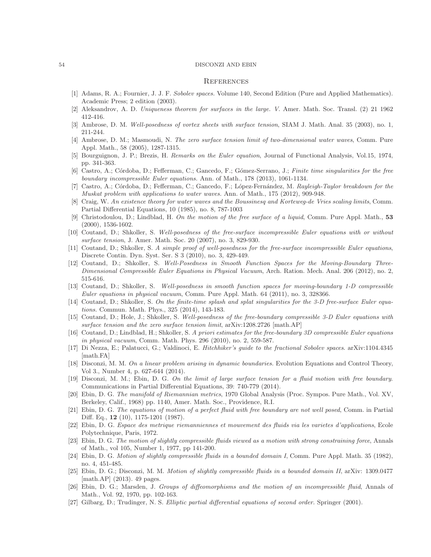#### <span id="page-53-0"></span>**REFERENCES**

- <span id="page-53-22"></span>[1] Adams, R. A.; Fournier, J. J. F. Sobolev spaces. Volume 140, Second Edition (Pure and Applied Mathematics). Academic Press; 2 edition (2003).
- <span id="page-53-7"></span><span id="page-53-4"></span>[2] Aleksandrov, A. D. Uniqueness theorem for surfaces in the large. V. Amer. Math. Soc. Transl. (2) 21 1962 412-416.
- <span id="page-53-8"></span>[3] Ambrose, D. M. Well-posedness of vortex sheets with surface tension, SIAM J. Math. Anal. 35 (2003), no. 1, 211-244.
- [4] Ambrose, D. M.; Masmoudi, N. The zero surface tension limit of two-dimensional water waves, Comm. Pure Appl. Math., 58 (2005), 1287-1315.
- <span id="page-53-23"></span><span id="page-53-13"></span>[5] Bourguignon, J. P.; Brezis, H. Remarks on the Euler equation, Journal of Functional Analysis, Vol.15, 1974, pp. 341-363.
- [6] Castro, A.; Córdoba, D.; Fefferman, C.; Gancedo, F.; Gómez-Serrano, J.; Finite time singularities for the free boundary incompressible Euler equations. Ann. of Math., 178 (2013), 1061-1134.
- <span id="page-53-14"></span>[7] Castro, A.; Córdoba, D.; Fefferman, C.; Gancedo, F.; López-Fernández, M. Rayleigh-Taylor breakdown for the Muskat problem with applications to water waves. Ann. of Math., 175 (2012), 909-948.
- <span id="page-53-9"></span>[8] Craig, W. An existence theory for water waves and the Boussinesq and Korteweg-de Vries scaling limits, Comm. Partial Differential Equations, 10 (1985), no. 8, 787-1003
- <span id="page-53-11"></span>[9] Christodoulou, D.; Lindblad, H. On the motion of the free surface of a liquid, Comm. Pure Appl. Math., 53 (2000), 1536-1602.
- <span id="page-53-3"></span>[10] Coutand, D.; Shkoller, S. Well-posedness of the free-surface incompressible Euler equations with or without surface tension, J. Amer. Math. Soc. 20 (2007), no. 3, 829-930.
- <span id="page-53-12"></span>[11] Coutand, D.; Shkoller, S. A simple proof of well-posedness for the free-surface incompressible Euler equations, Discrete Contin. Dyn. Syst. Ser. S 3 (2010), no. 3, 429-449.
- <span id="page-53-15"></span>[12] Coutand, D.; Shkoller, S. Well-Posedness in Smooth Function Spaces for the Moving-Boundary Three-Dimensional Compressible Euler Equations in Physical Vacuum, Arch. Ration. Mech. Anal. 206 (2012), no. 2, 515-616.
- <span id="page-53-16"></span>[13] Coutand, D.; Shkoller, S. Well-posedness in smooth function spaces for moving-boundary 1-D compressible Euler equations in physical vacuum, Comm. Pure Appl. Math. 64 (2011), no. 3, 328366.
- <span id="page-53-17"></span>[14] Coutand, D.; Shkoller, S. On the finite-time splash and splat singularities for the 3-D free-surface Euler equations. Commun. Math. Phys., 325 (2014), 143-183.
- <span id="page-53-18"></span>[15] Coutand, D.; Hole, J.; Shkoller, S. Well-posedness of the free-boundary compressible 3-D Euler equations with surface tension and the zero surface tension limit, arXiv:1208.2726 [math.AP]
- <span id="page-53-19"></span>[16] Coutand, D.; Lindblad, H.; Shkoller, S. A priori estimates for the free-boundary 3D compressible Euler equations in physical vacuum, Comm. Math. Phys. 296 (2010), no. 2, 559-587.
- <span id="page-53-24"></span>[17] Di Nezza, E.; Palatucci, G.; Valdinoci, E. Hitchhiker's guide to the fractional Sobolev spaces. arXiv:1104.4345 [math.FA]
- <span id="page-53-21"></span>[18] Disconzi, M. M. On a linear problem arising in dynamic boundaries. Evolution Equations and Control Theory, Vol 3., Number 4, p. 627-644 (2014).
- <span id="page-53-2"></span>[19] Disconzi, M. M.; Ebin, D. G. On the limit of large surface tension for a fluid motion with free boundary. Communications in Partial Differential Equations, 39: 740-779 (2014).
- <span id="page-53-26"></span>[20] Ebin, D. G. The manifold of Riemannian metrics, 1970 Global Analysis (Proc. Sympos. Pure Math., Vol. XV, Berkeley, Calif., 1968) pp. 1140, Amer. Math. Soc., Providence, R.I.
- <span id="page-53-10"></span>[21] Ebin, D. G. The equations of motion of a perfect fluid with free boundary are not well posed, Comm. in Partial Diff. Eq., 12 (10), 1175-1201 (1987).
- <span id="page-53-25"></span>[22] Ebin, D. G. Espace des metrique riemanniennes et mouvement des fluids via les varietes d'applications, Ecole Polytechnique, Paris, 1972.
- <span id="page-53-5"></span>[23] Ebin, D. G. The motion of slightly compressible fluids viewed as a motion with strong constraining force, Annals of Math., vol 105, Number 1, 1977, pp 141-200.
- <span id="page-53-20"></span>[24] Ebin, D. G. Motion of slightly compressible fluids in a bounded domain I, Comm. Pure Appl. Math. 35 (1982), no. 4, 451-485.
- <span id="page-53-6"></span>[25] Ebin, D. G.; Disconzi, M. M. Motion of slightly compressible fluids in a bounded domain II, arXiv: 1309.0477 [math.AP] (2013). 49 pages.
- <span id="page-53-1"></span>[26] Ebin, D. G.; Marsden, J. Groups of diffeomorphisms and the motion of an incompressible fluid, Annals of Math., Vol. 92, 1970, pp. 102-163.
- <span id="page-53-27"></span>[27] Gilbarg, D.; Trudinger, N. S. Elliptic partial differential equations of second order. Springer (2001).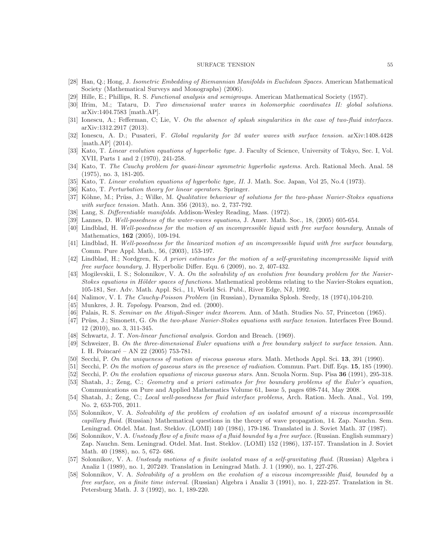- <span id="page-54-26"></span><span id="page-54-23"></span>[28] Han, Q.; Hong, J. Isometric Embedding of Riemannian Manifolds in Euclidean Spaces. American Mathematical Society (Mathematical Surveys and Monographs) (2006).
- <span id="page-54-3"></span>[29] Hille, E.; Phillips, R. S. Functional analysis and semigroups. American Mathematical Society (1957).
- [30] Ifrim, M.; Tataru, D. Two dimensional water waves in holomorphic coordinates II: global solutions. arXiv:1404.7583 [math.AP].
- <span id="page-54-10"></span><span id="page-54-4"></span>[31] Ionescu, A.; Fefferman, C; Lie, V. On the absence of splash singularities in the case of two-fluid interfaces. arXiv:1312.2917 (2013).
- [32] Ionescu, A. D.; Pusateri, F. Global regularity for 2d water waves with surface tension. arXiv:1408.4428 [math.AP] (2014).
- <span id="page-54-24"></span>[33] Kato, T. Linear evolution equations of hyperbolic type. J. Faculty of Science, University of Tokyo, Sec. I, Vol. XVII, Parts 1 and 2 (1970), 241-258.
- <span id="page-54-30"></span><span id="page-54-25"></span>[34] Kato, T. The Cauchy problem for quasi-linear symmetric hyperbolic systems. Arch. Rational Mech. Anal. 58 (1975), no. 3, 181-205.
- <span id="page-54-27"></span>[35] Kato, T. Linear evolution equations of hyperbolic type, II. J. Math. Soc. Japan, Vol 25, No.4 (1973).
- <span id="page-54-16"></span>[36] Kato, T. Perturbation theory for linear operators. Springer.
- [37] Köhne, M.; Prüss, J.; Wilke, M. Qualitative behaviour of solutions for the two-phase Navier-Stokes equations with surface tension. Math. Ann. 356 (2013), no. 2, 737-792.
- <span id="page-54-22"></span><span id="page-54-1"></span>[38] Lang, S. Differentiable manifolds. Addison-Wesley Reading, Mass. (1972).
- <span id="page-54-0"></span>[39] Lannes, D. Well-posedness of the water-waves equations, J. Amer. Math. Soc., 18, (2005) 605-654.
- [40] Lindblad, H. Well-posedness for the motion of an incompressible liquid with free surface boundary, Annals of Mathematics, 162 (2005), 109-194.
- <span id="page-54-6"></span>[41] Lindblad, H. Well-posedness for the linearized motion of an incompressible liquid with free surface boundary, Comm. Pure Appl. Math., 56, (2003), 153-197.
- <span id="page-54-5"></span>[42] Lindblad, H.; Nordgren, K. A priori estimates for the motion of a self-gravitating incompressible liquid with free surface boundary, J. Hyperbolic Differ. Equ. 6 (2009), no. 2, 407-432.
- <span id="page-54-11"></span>[43] Mogilevskii, I. S.; Solonnikov, V. A. On the solvability of an evolution free boundary problem for the Navier-Stokes equations in Hölder spaces of functions. Mathematical problems relating to the Navier-Stokes equation, 105-181, Ser. Adv. Math. Appl. Sci., 11, World Sci. Publ., River Edge, NJ, 1992.
- <span id="page-54-29"></span><span id="page-54-2"></span>[44] Nalimov, V. I. The Cauchy-Poisson Problem (in Russian), Dynamika Splosh. Sredy, 18 (1974),104-210.
- <span id="page-54-21"></span>[45] Munkres, J. R. *Topology*. Pearson, 2nd ed. (2000).
- <span id="page-54-17"></span>[46] Palais, R. S. Seminar on the Atiyah-Singer index theorem. Ann. of Math. Studies No. 57, Princeton (1965).
- [47] Prüss, J.; Simonett, G. On the two-phase Navier-Stokes equations with surface tension. Interfaces Free Bound. 12 (2010), no. 3, 311-345.
- <span id="page-54-28"></span><span id="page-54-8"></span>[48] Schwartz, J. T. Non-linear functional analysis. Gordon and Breach. (1969).
- [49] Schweizer, B. On the three-dimensional Euler equations with a free boundary subject to surface tension. Ann. I. H. Poincaré – AN 22 (2005) 753-781.
- <span id="page-54-19"></span><span id="page-54-18"></span>[50] Secchi, P. On the uniqueness of motion of viscous gaseous stars. Math. Methods Appl. Sci. 13, 391 (1990).
- <span id="page-54-20"></span>[51] Secchi, P. On the motion of gaseous stars in the presence of radiation. Commun. Part. Diff. Eqs. 15, 185 (1990).
- <span id="page-54-7"></span>[52] Secchi, P. On the evolution equations of viscous gaseous stars. Ann. Scuola Norm. Sup. Pisa 36 (1991), 295-318.
- [53] Shatah, J.; Zeng, C.; Geometry and a priori estimates for free boundary problems of the Euler's equation, Communications on Pure and Applied Mathematics Volume 61, Issue 5, pages 698-744, May 2008.
- <span id="page-54-9"></span>[54] Shatah, J.; Zeng, C.; Local well-posedness for fluid interface problems, Arch. Ration. Mech. Anal., Vol. 199, No. 2, 653-705, 2011.
- <span id="page-54-12"></span>[55] Solonnikov, V. A. Solvability of the problem of evolution of an isolated amount of a viscous incompressible capillary fluid. (Russian) Mathematical questions in the theory of wave propagation, 14. Zap. Nauchn. Sem. Leningrad. Otdel. Mat. Inst. Steklov. (LOMI) 140 (1984), 179-186. Translated in J. Soviet Math. 37 (1987).
- <span id="page-54-13"></span>[56] Solonnikov, V. A. Unsteady flow of a finite mass of a fluid bounded by a free surface. (Russian. English summary) Zap. Nauchn. Sem. Leningrad. Otdel. Mat. Inst. Steklov. (LOMI) 152 (1986), 137-157. Translation in J. Soviet Math. 40 (1988), no. 5, 672- 686.
- <span id="page-54-14"></span>[57] Solonnikov, V. A. Unsteady motions of a finite isolated mass of a self-gravitating fluid. (Russian) Algebra i Analiz 1 (1989), no. 1, 207249. Translation in Leningrad Math. J. 1 (1990), no. 1, 227-276.
- <span id="page-54-15"></span>[58] Solonnikov, V. A. Solvability of a problem on the evolution of a viscous incompressible fluid, bounded by a free surface, on a finite time interval. (Russian) Algebra i Analiz 3 (1991), no. 1, 222-257. Translation in St. Petersburg Math. J. 3 (1992), no. 1, 189-220.